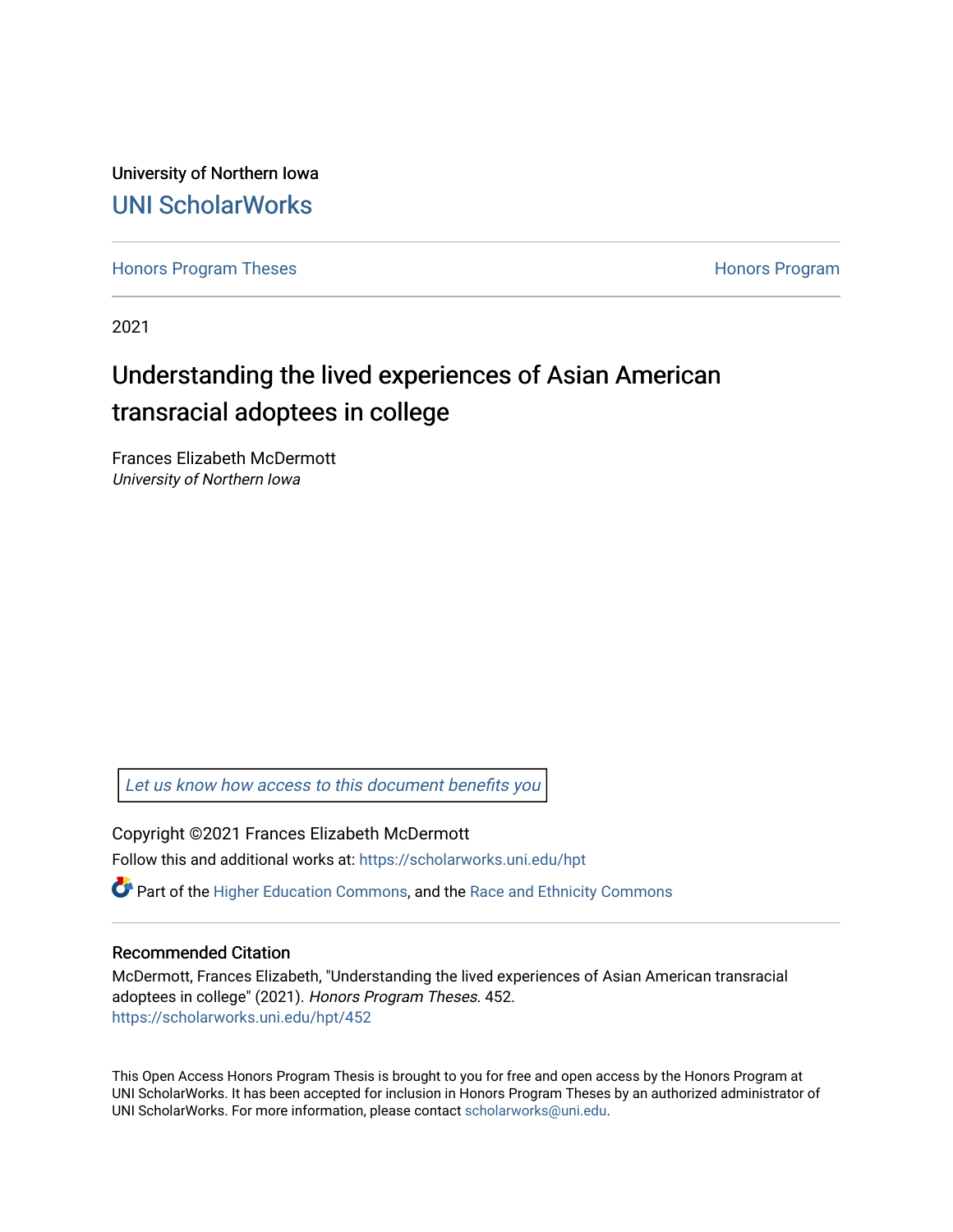University of Northern Iowa [UNI ScholarWorks](https://scholarworks.uni.edu/) 

[Honors Program Theses](https://scholarworks.uni.edu/hpt) **Honors Program** Honors Program

2021

# Understanding the lived experiences of Asian American transracial adoptees in college

Frances Elizabeth McDermott University of Northern Iowa

[Let us know how access to this document benefits you](https://scholarworks.uni.edu/feedback_form.html) 

Copyright ©2021 Frances Elizabeth McDermott Follow this and additional works at: [https://scholarworks.uni.edu/hpt](https://scholarworks.uni.edu/hpt?utm_source=scholarworks.uni.edu%2Fhpt%2F452&utm_medium=PDF&utm_campaign=PDFCoverPages) 

 $\bullet$  Part of the [Higher Education Commons,](http://network.bepress.com/hgg/discipline/1245?utm_source=scholarworks.uni.edu%2Fhpt%2F452&utm_medium=PDF&utm_campaign=PDFCoverPages) and the [Race and Ethnicity Commons](http://network.bepress.com/hgg/discipline/426?utm_source=scholarworks.uni.edu%2Fhpt%2F452&utm_medium=PDF&utm_campaign=PDFCoverPages)

# Recommended Citation

McDermott, Frances Elizabeth, "Understanding the lived experiences of Asian American transracial adoptees in college" (2021). Honors Program Theses. 452. [https://scholarworks.uni.edu/hpt/452](https://scholarworks.uni.edu/hpt/452?utm_source=scholarworks.uni.edu%2Fhpt%2F452&utm_medium=PDF&utm_campaign=PDFCoverPages) 

This Open Access Honors Program Thesis is brought to you for free and open access by the Honors Program at UNI ScholarWorks. It has been accepted for inclusion in Honors Program Theses by an authorized administrator of UNI ScholarWorks. For more information, please contact [scholarworks@uni.edu.](mailto:scholarworks@uni.edu)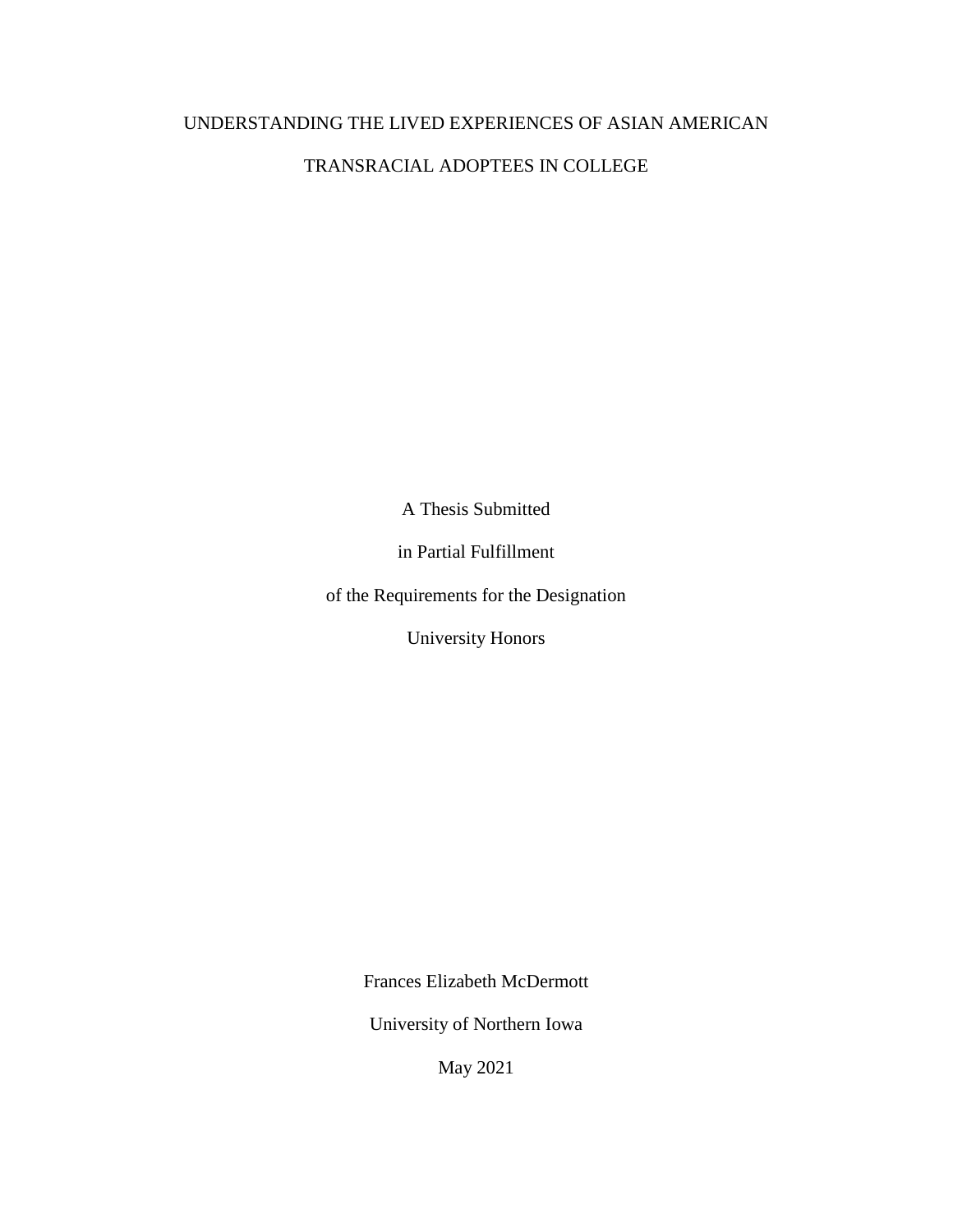# UNDERSTANDING THE LIVED EXPERIENCES OF ASIAN AMERICAN

# TRANSRACIAL ADOPTEES IN COLLEGE

A Thesis Submitted

in Partial Fulfillment

of the Requirements for the Designation

University Honors

Frances Elizabeth McDermott

University of Northern Iowa

May 2021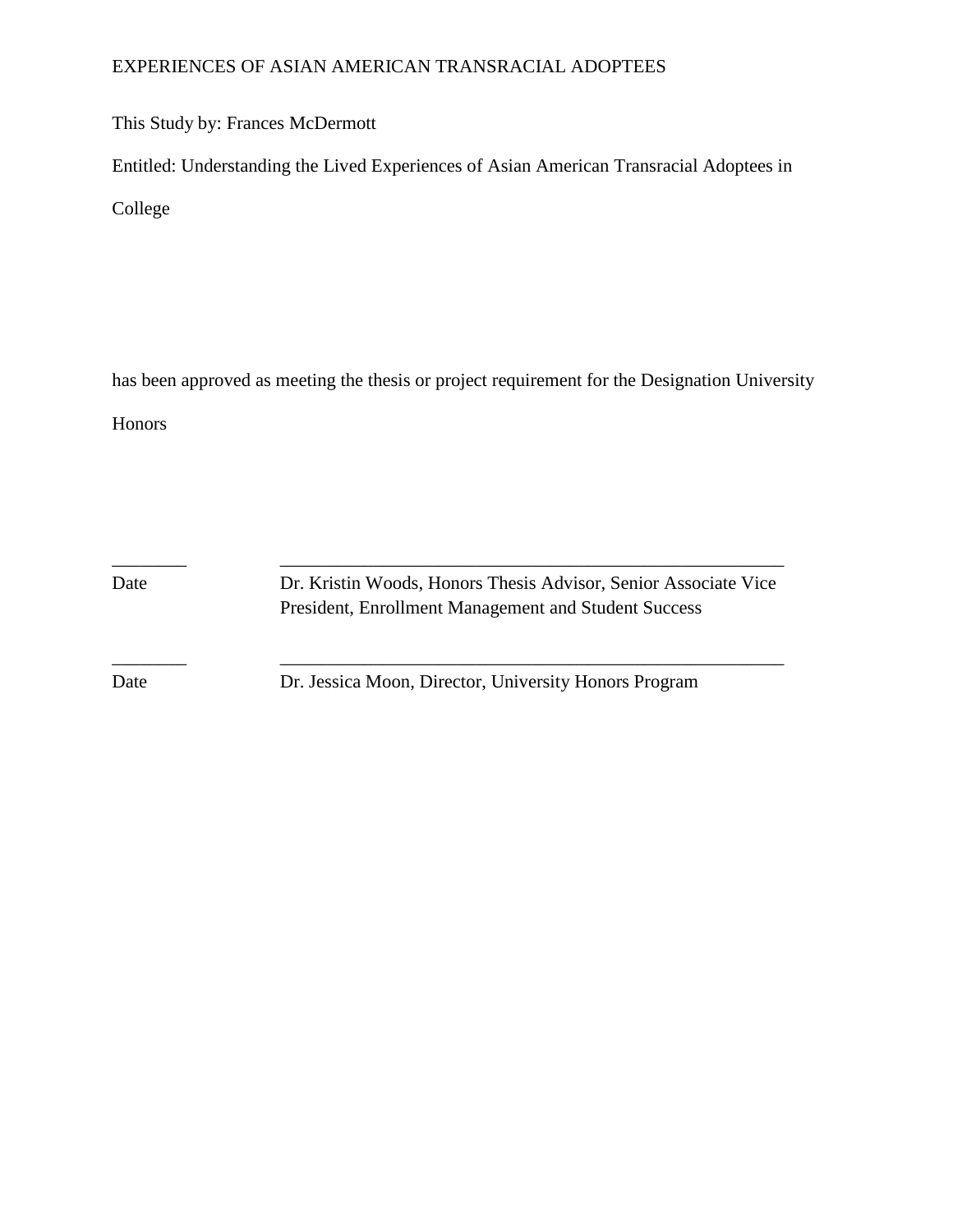# EXPERIENCES OF ASIAN AMERICAN TRANSRACIAL ADOPTEES

This Study by: Frances McDermott

Entitled: Understanding the Lived Experiences of Asian American Transracial Adoptees in

College

has been approved as meeting the thesis or project requirement for the Designation University

Honors

Date Dr. Kristin Woods, Honors Thesis Advisor, Senior Associate Vice President, Enrollment Management and Student Success

Date Dr. Jessica Moon, Director, University Honors Program

\_\_\_\_\_\_\_\_ \_\_\_\_\_\_\_\_\_\_\_\_\_\_\_\_\_\_\_\_\_\_\_\_\_\_\_\_\_\_\_\_\_\_\_\_\_\_\_\_\_\_\_\_\_\_\_\_\_\_\_\_\_\_

\_\_\_\_\_\_\_\_ \_\_\_\_\_\_\_\_\_\_\_\_\_\_\_\_\_\_\_\_\_\_\_\_\_\_\_\_\_\_\_\_\_\_\_\_\_\_\_\_\_\_\_\_\_\_\_\_\_\_\_\_\_\_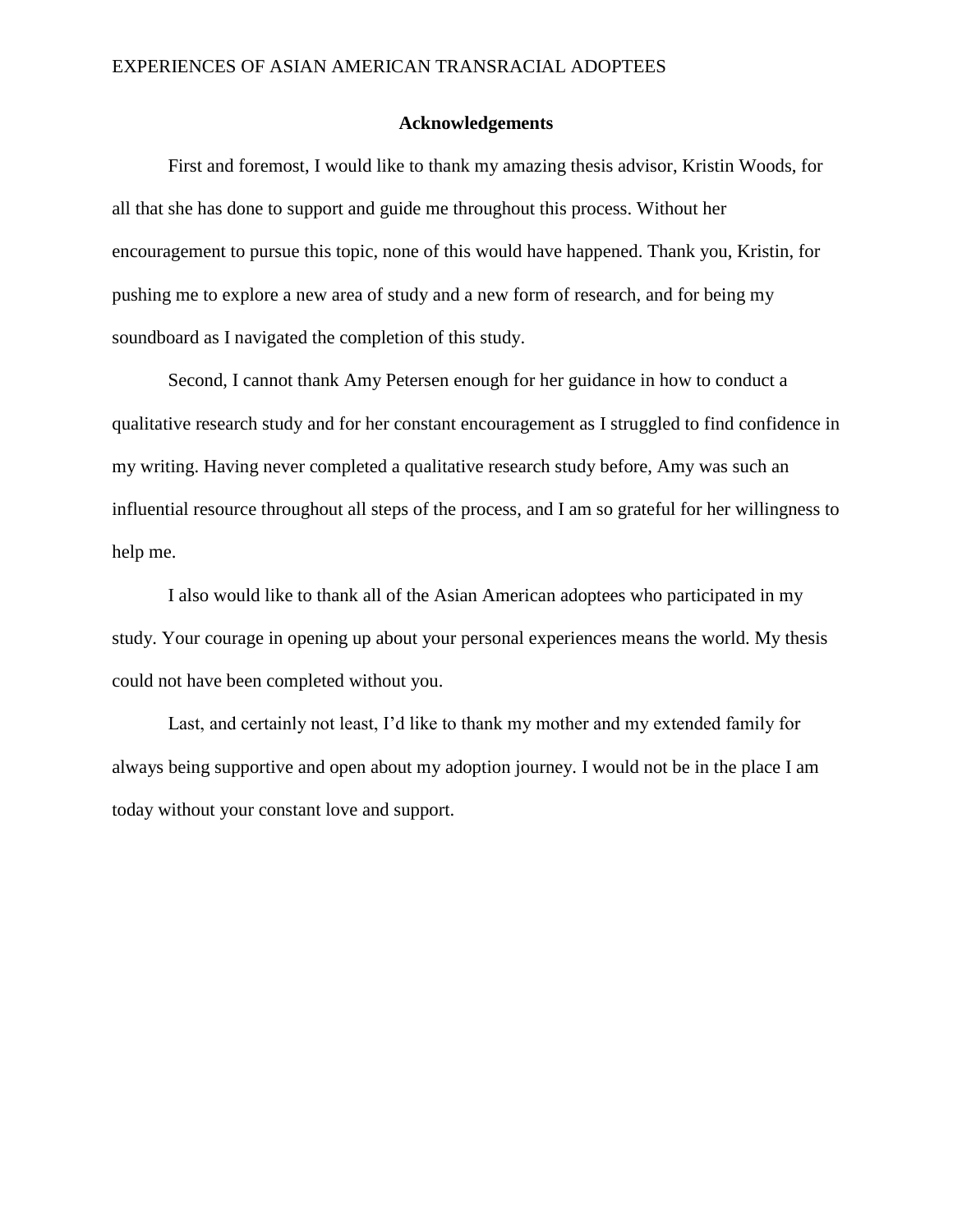#### **Acknowledgements**

First and foremost, I would like to thank my amazing thesis advisor, Kristin Woods, for all that she has done to support and guide me throughout this process. Without her encouragement to pursue this topic, none of this would have happened. Thank you, Kristin, for pushing me to explore a new area of study and a new form of research, and for being my soundboard as I navigated the completion of this study.

Second, I cannot thank Amy Petersen enough for her guidance in how to conduct a qualitative research study and for her constant encouragement as I struggled to find confidence in my writing. Having never completed a qualitative research study before, Amy was such an influential resource throughout all steps of the process, and I am so grateful for her willingness to help me.

I also would like to thank all of the Asian American adoptees who participated in my study. Your courage in opening up about your personal experiences means the world. My thesis could not have been completed without you.

Last, and certainly not least, I'd like to thank my mother and my extended family for always being supportive and open about my adoption journey. I would not be in the place I am today without your constant love and support.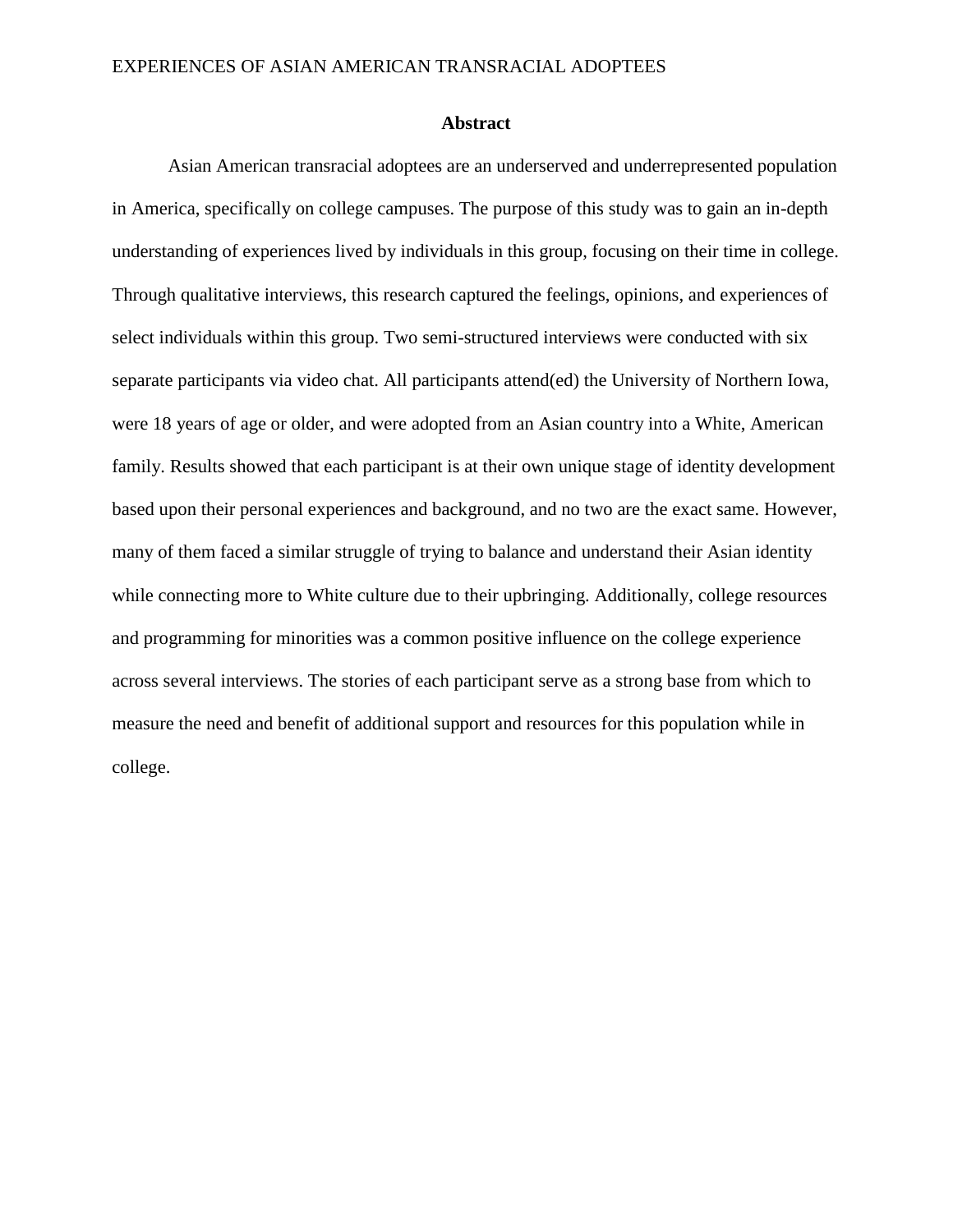#### **Abstract**

Asian American transracial adoptees are an underserved and underrepresented population in America, specifically on college campuses. The purpose of this study was to gain an in-depth understanding of experiences lived by individuals in this group, focusing on their time in college. Through qualitative interviews, this research captured the feelings, opinions, and experiences of select individuals within this group. Two semi-structured interviews were conducted with six separate participants via video chat. All participants attend(ed) the University of Northern Iowa, were 18 years of age or older, and were adopted from an Asian country into a White, American family. Results showed that each participant is at their own unique stage of identity development based upon their personal experiences and background, and no two are the exact same. However, many of them faced a similar struggle of trying to balance and understand their Asian identity while connecting more to White culture due to their upbringing. Additionally, college resources and programming for minorities was a common positive influence on the college experience across several interviews. The stories of each participant serve as a strong base from which to measure the need and benefit of additional support and resources for this population while in college.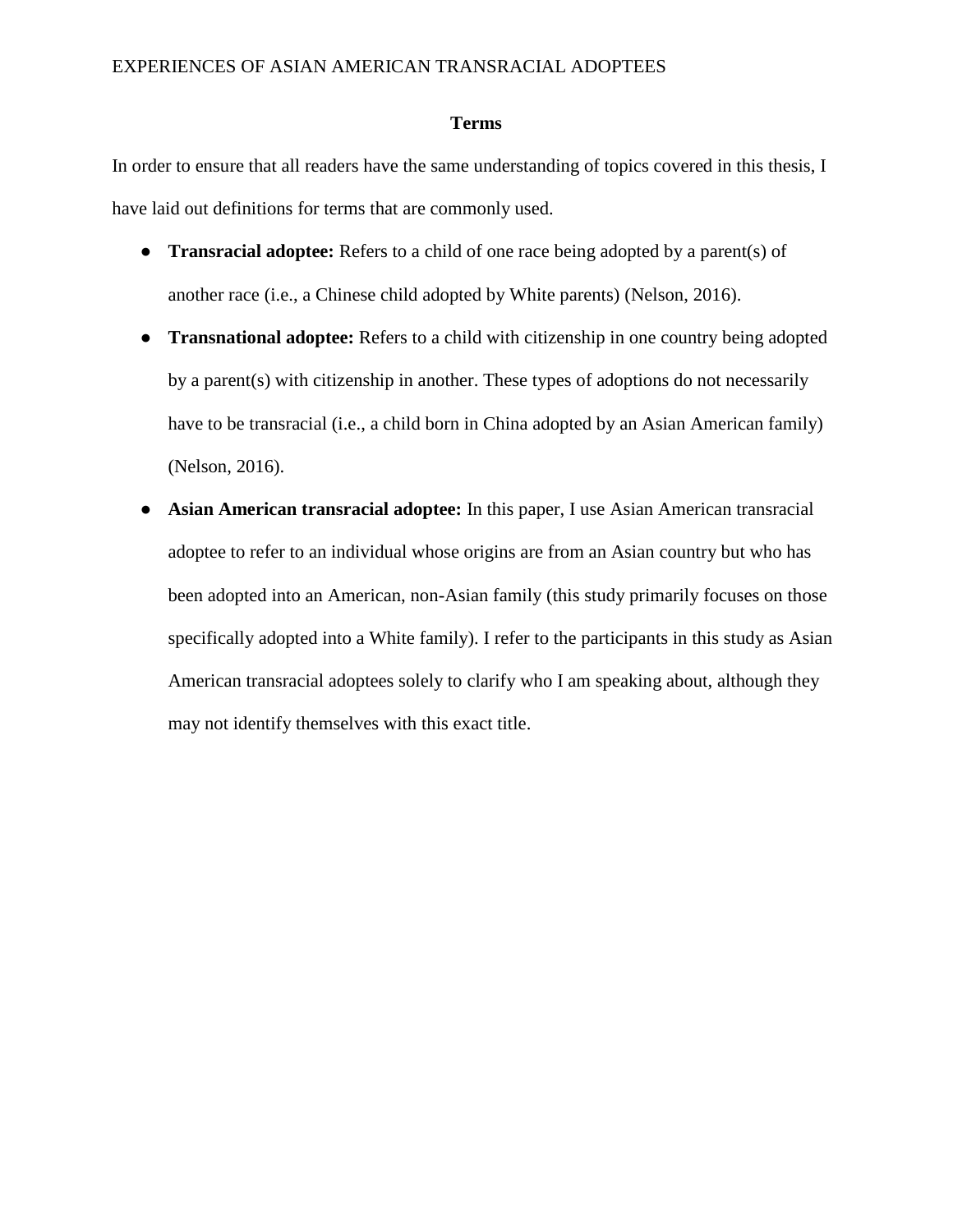# **Terms**

In order to ensure that all readers have the same understanding of topics covered in this thesis, I have laid out definitions for terms that are commonly used.

- **Transracial adoptee:** Refers to a child of one race being adopted by a parent(s) of another race (i.e., a Chinese child adopted by White parents) (Nelson, 2016).
- **Transnational adoptee:** Refers to a child with citizenship in one country being adopted by a parent(s) with citizenship in another. These types of adoptions do not necessarily have to be transracial (i.e., a child born in China adopted by an Asian American family) (Nelson, 2016).
- **Asian American transracial adoptee:** In this paper, I use Asian American transracial adoptee to refer to an individual whose origins are from an Asian country but who has been adopted into an American, non-Asian family (this study primarily focuses on those specifically adopted into a White family). I refer to the participants in this study as Asian American transracial adoptees solely to clarify who I am speaking about, although they may not identify themselves with this exact title.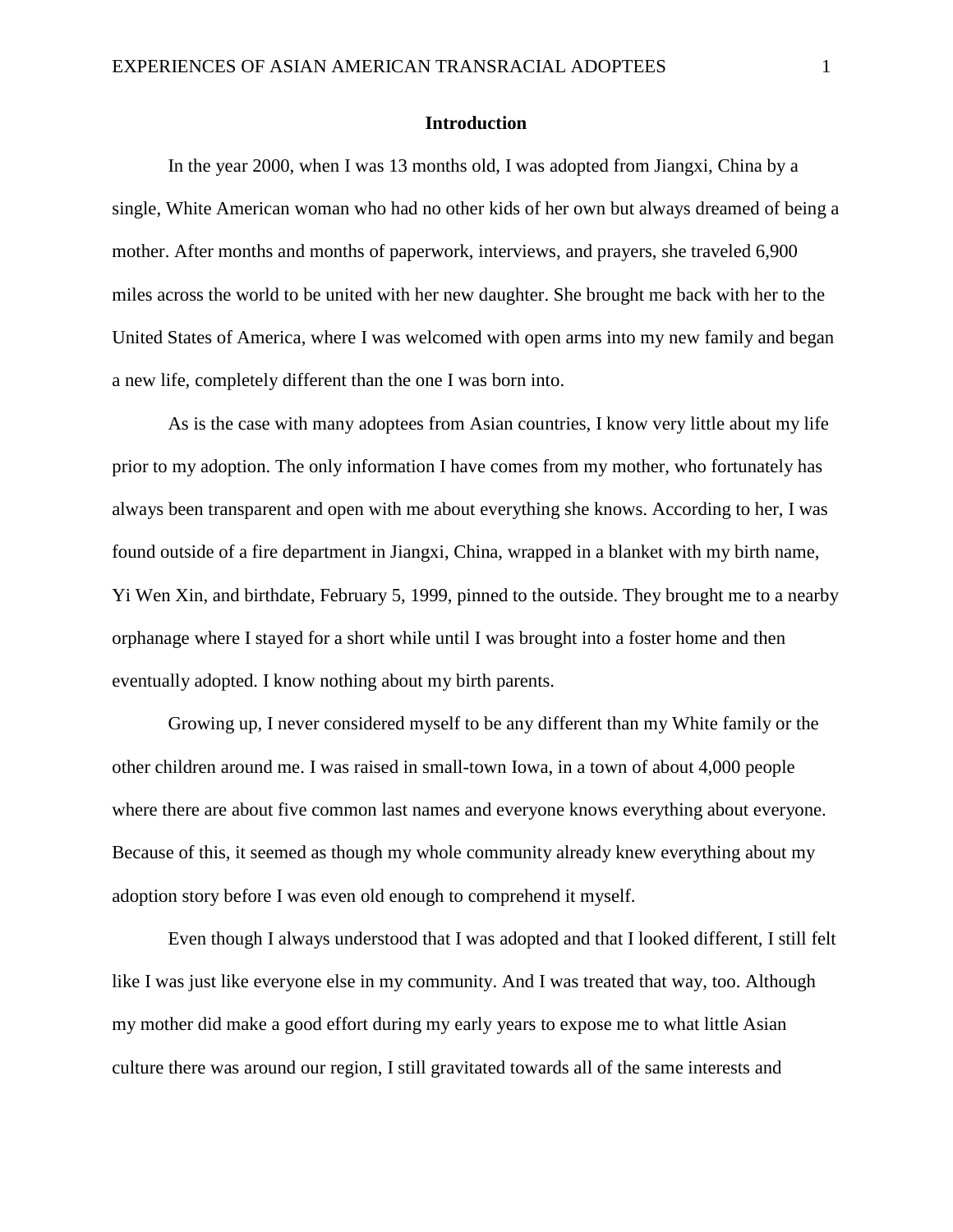# **Introduction**

In the year 2000, when I was 13 months old, I was adopted from Jiangxi, China by a single, White American woman who had no other kids of her own but always dreamed of being a mother. After months and months of paperwork, interviews, and prayers, she traveled 6,900 miles across the world to be united with her new daughter. She brought me back with her to the United States of America, where I was welcomed with open arms into my new family and began a new life, completely different than the one I was born into.

As is the case with many adoptees from Asian countries, I know very little about my life prior to my adoption. The only information I have comes from my mother, who fortunately has always been transparent and open with me about everything she knows. According to her, I was found outside of a fire department in Jiangxi, China, wrapped in a blanket with my birth name, Yi Wen Xin, and birthdate, February 5, 1999, pinned to the outside. They brought me to a nearby orphanage where I stayed for a short while until I was brought into a foster home and then eventually adopted. I know nothing about my birth parents.

Growing up, I never considered myself to be any different than my White family or the other children around me. I was raised in small-town Iowa, in a town of about 4,000 people where there are about five common last names and everyone knows everything about everyone. Because of this, it seemed as though my whole community already knew everything about my adoption story before I was even old enough to comprehend it myself.

Even though I always understood that I was adopted and that I looked different, I still felt like I was just like everyone else in my community. And I was treated that way, too. Although my mother did make a good effort during my early years to expose me to what little Asian culture there was around our region, I still gravitated towards all of the same interests and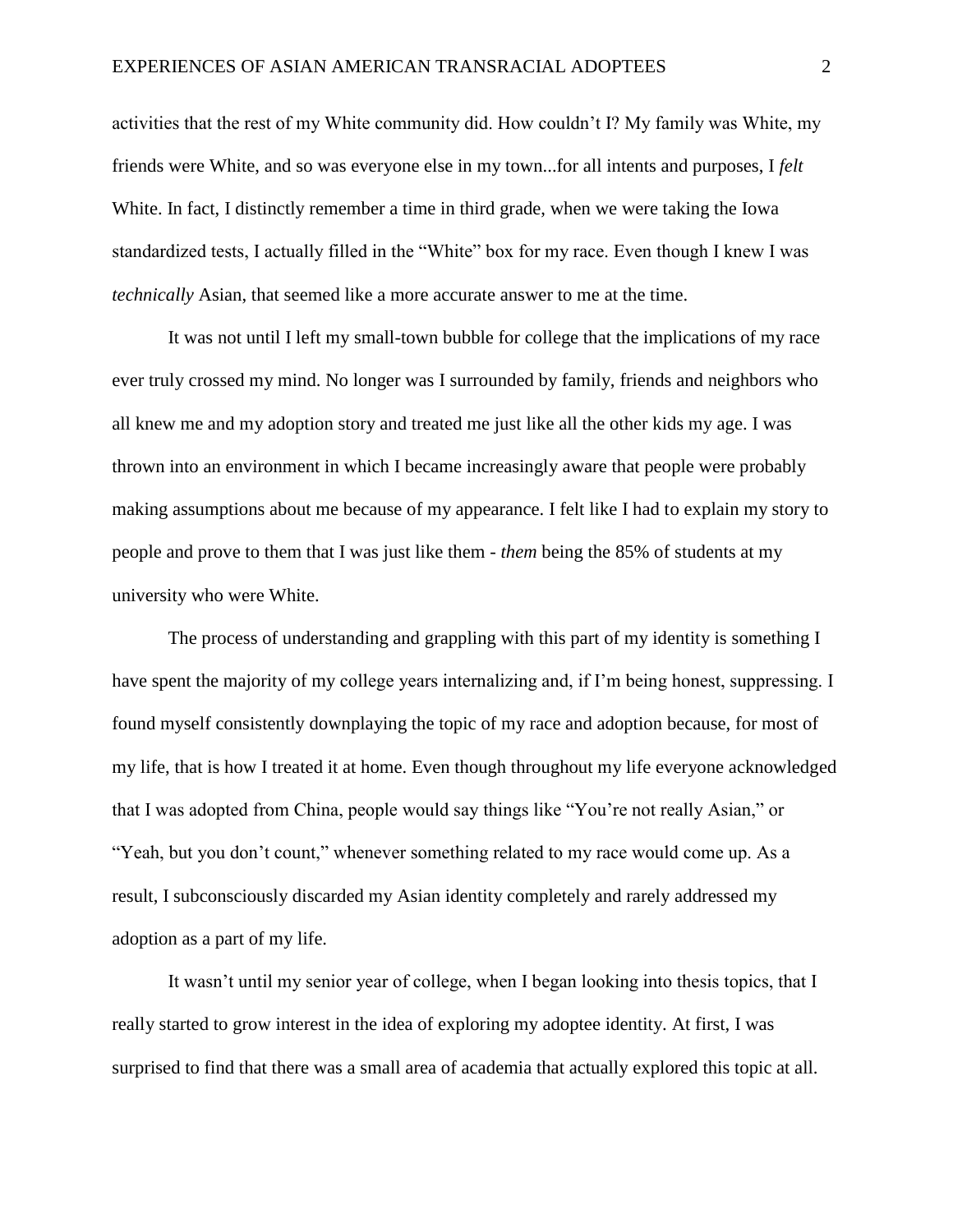activities that the rest of my White community did. How couldn't I? My family was White, my friends were White, and so was everyone else in my town...for all intents and purposes, I *felt* White. In fact, I distinctly remember a time in third grade, when we were taking the Iowa standardized tests, I actually filled in the "White" box for my race. Even though I knew I was *technically* Asian, that seemed like a more accurate answer to me at the time.

It was not until I left my small-town bubble for college that the implications of my race ever truly crossed my mind. No longer was I surrounded by family, friends and neighbors who all knew me and my adoption story and treated me just like all the other kids my age. I was thrown into an environment in which I became increasingly aware that people were probably making assumptions about me because of my appearance. I felt like I had to explain my story to people and prove to them that I was just like them - *them* being the 85% of students at my university who were White.

The process of understanding and grappling with this part of my identity is something I have spent the majority of my college years internalizing and, if I'm being honest, suppressing. I found myself consistently downplaying the topic of my race and adoption because, for most of my life, that is how I treated it at home. Even though throughout my life everyone acknowledged that I was adopted from China, people would say things like "You're not really Asian," or "Yeah, but you don't count," whenever something related to my race would come up. As a result, I subconsciously discarded my Asian identity completely and rarely addressed my adoption as a part of my life.

It wasn't until my senior year of college, when I began looking into thesis topics, that I really started to grow interest in the idea of exploring my adoptee identity. At first, I was surprised to find that there was a small area of academia that actually explored this topic at all.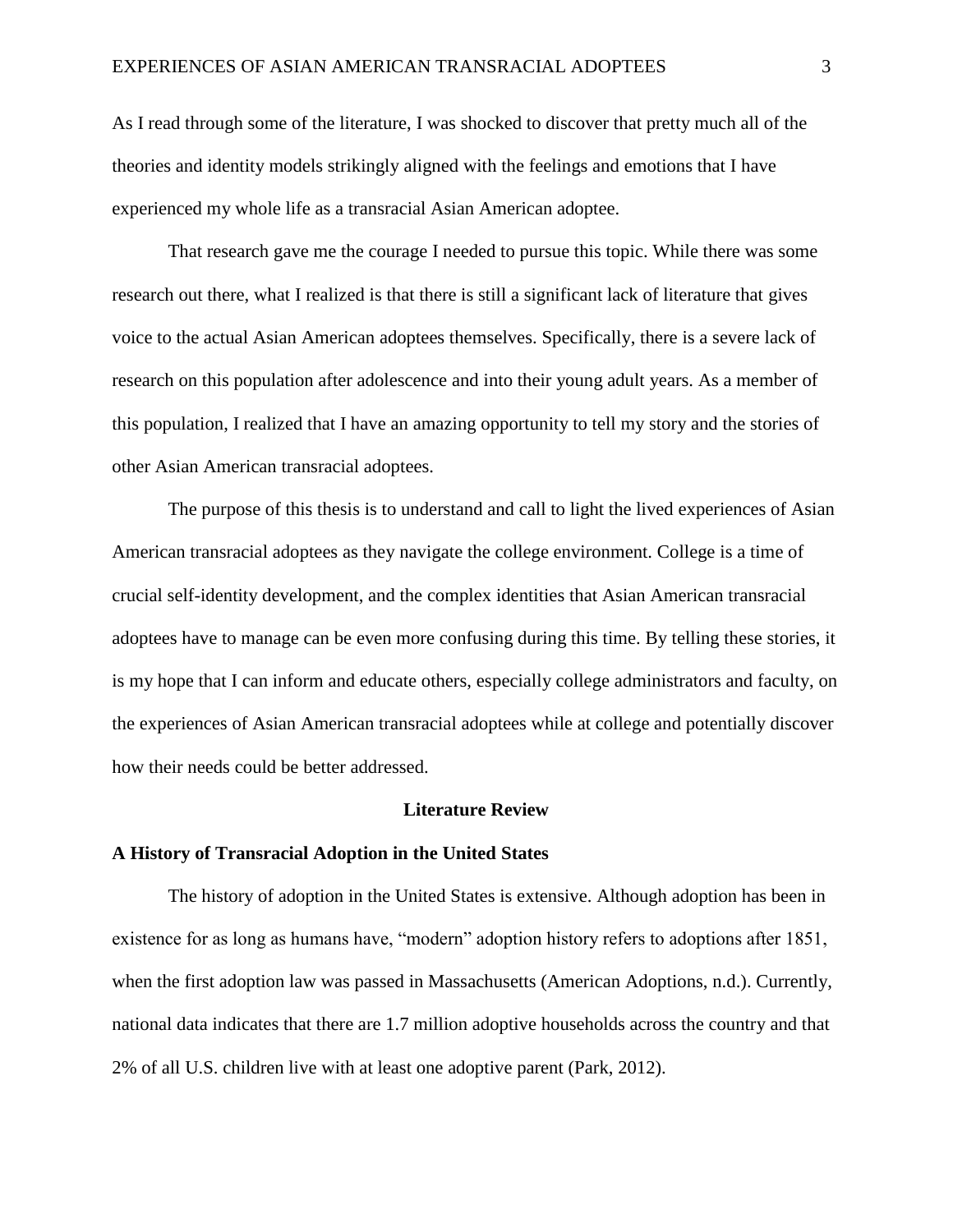As I read through some of the literature, I was shocked to discover that pretty much all of the theories and identity models strikingly aligned with the feelings and emotions that I have experienced my whole life as a transracial Asian American adoptee.

That research gave me the courage I needed to pursue this topic. While there was some research out there, what I realized is that there is still a significant lack of literature that gives voice to the actual Asian American adoptees themselves. Specifically, there is a severe lack of research on this population after adolescence and into their young adult years. As a member of this population, I realized that I have an amazing opportunity to tell my story and the stories of other Asian American transracial adoptees.

The purpose of this thesis is to understand and call to light the lived experiences of Asian American transracial adoptees as they navigate the college environment. College is a time of crucial self-identity development, and the complex identities that Asian American transracial adoptees have to manage can be even more confusing during this time. By telling these stories, it is my hope that I can inform and educate others, especially college administrators and faculty, on the experiences of Asian American transracial adoptees while at college and potentially discover how their needs could be better addressed.

#### **Literature Review**

#### **A History of Transracial Adoption in the United States**

The history of adoption in the United States is extensive. Although adoption has been in existence for as long as humans have, "modern" adoption history refers to adoptions after 1851, when the first adoption law was passed in Massachusetts (American Adoptions, n.d.). Currently, national data indicates that there are 1.7 million adoptive households across the country and that 2% of all U.S. children live with at least one adoptive parent (Park, 2012).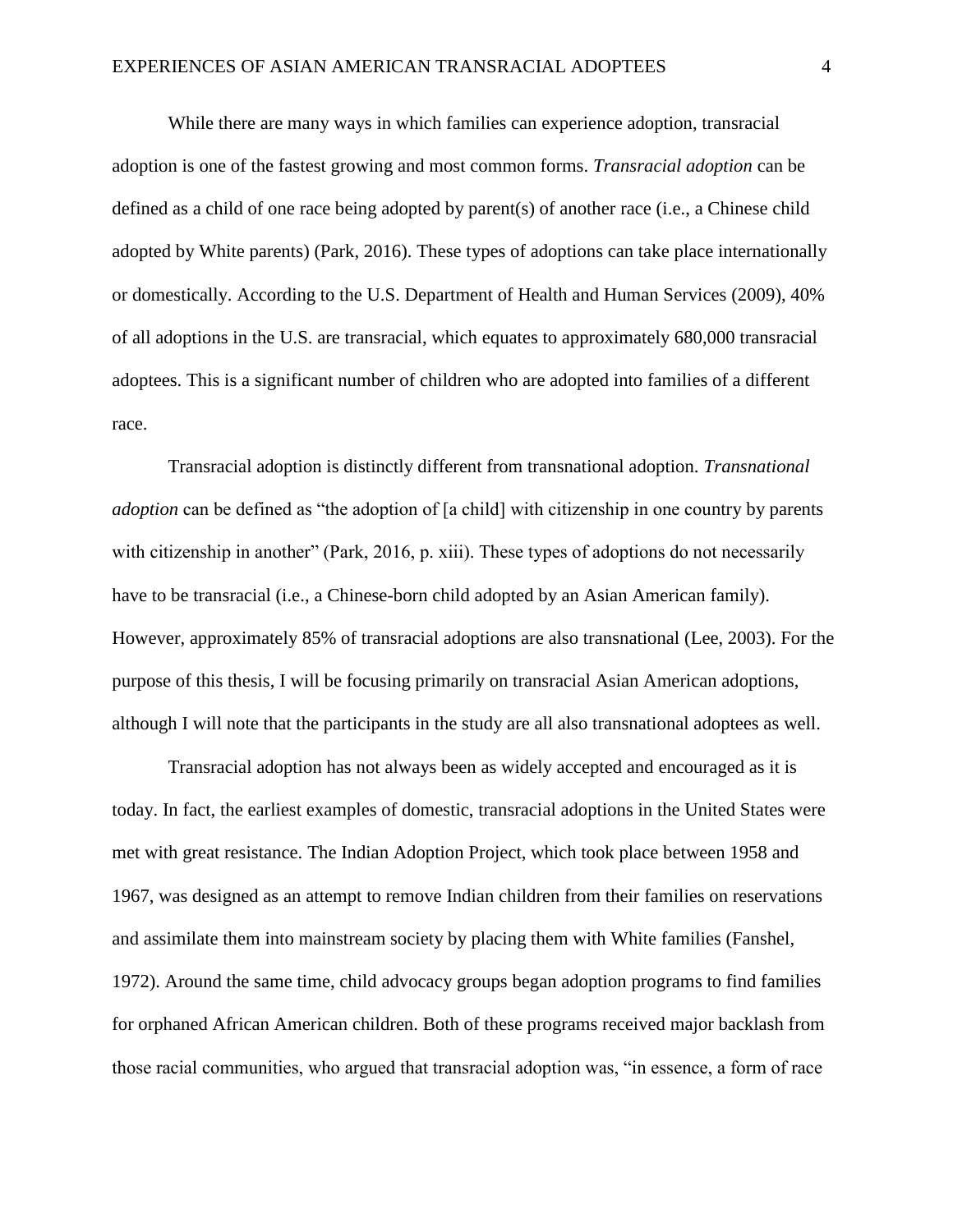While there are many ways in which families can experience adoption, transracial adoption is one of the fastest growing and most common forms. *Transracial adoption* can be defined as a child of one race being adopted by parent(s) of another race (i.e., a Chinese child adopted by White parents) (Park, 2016). These types of adoptions can take place internationally or domestically. According to the U.S. Department of Health and Human Services (2009), 40% of all adoptions in the U.S. are transracial, which equates to approximately 680,000 transracial adoptees. This is a significant number of children who are adopted into families of a different race.

Transracial adoption is distinctly different from transnational adoption. *Transnational adoption* can be defined as "the adoption of [a child] with citizenship in one country by parents with citizenship in another" (Park, 2016, p. xiii). These types of adoptions do not necessarily have to be transracial (i.e., a Chinese-born child adopted by an Asian American family). However, approximately 85% of transracial adoptions are also transnational (Lee, 2003). For the purpose of this thesis, I will be focusing primarily on transracial Asian American adoptions, although I will note that the participants in the study are all also transnational adoptees as well.

Transracial adoption has not always been as widely accepted and encouraged as it is today. In fact, the earliest examples of domestic, transracial adoptions in the United States were met with great resistance. The Indian Adoption Project, which took place between 1958 and 1967, was designed as an attempt to remove Indian children from their families on reservations and assimilate them into mainstream society by placing them with White families (Fanshel, 1972). Around the same time, child advocacy groups began adoption programs to find families for orphaned African American children. Both of these programs received major backlash from those racial communities, who argued that transracial adoption was, "in essence, a form of race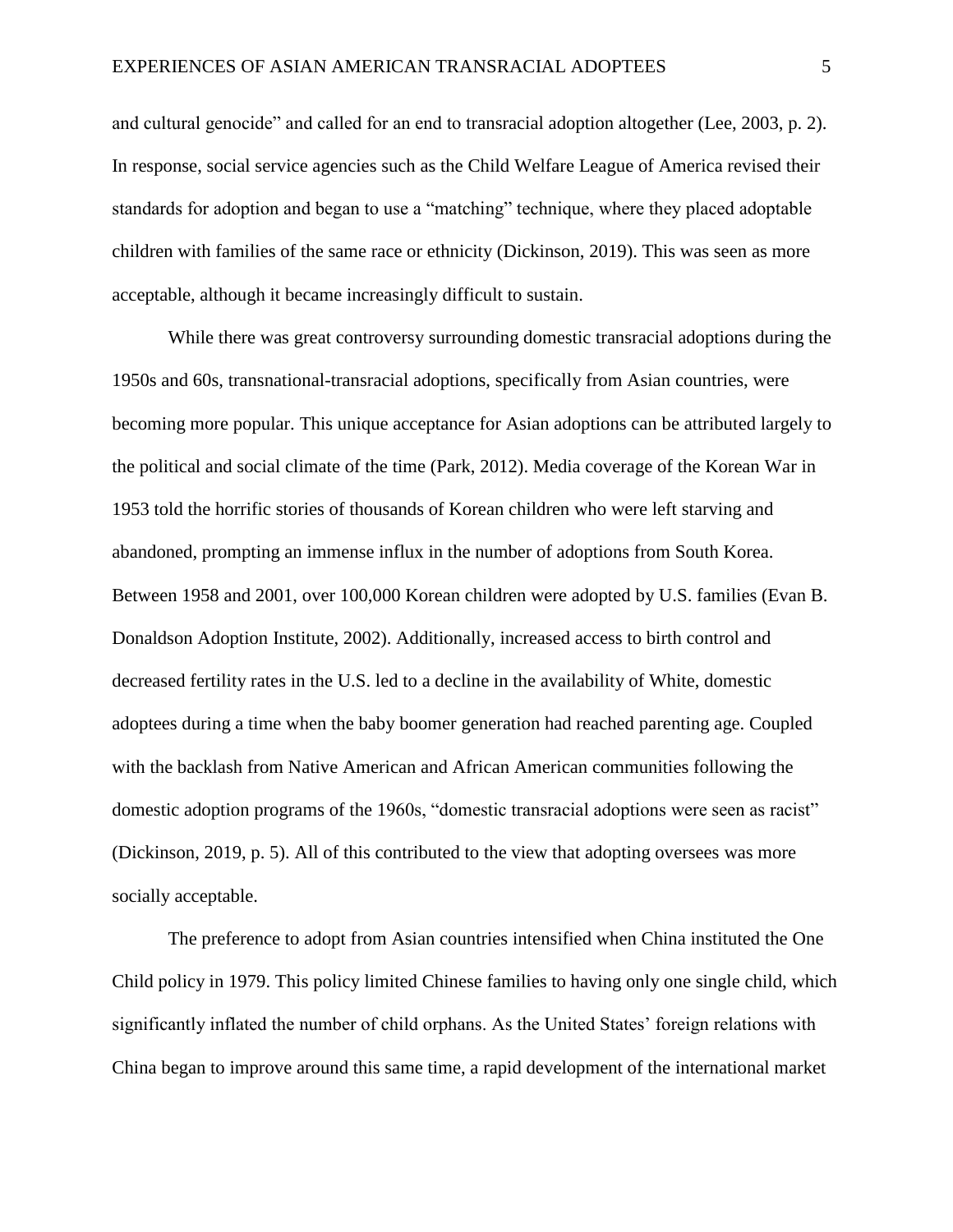and cultural genocide" and called for an end to transracial adoption altogether (Lee, 2003, p. 2). In response, social service agencies such as the Child Welfare League of America revised their standards for adoption and began to use a "matching" technique, where they placed adoptable children with families of the same race or ethnicity (Dickinson, 2019). This was seen as more acceptable, although it became increasingly difficult to sustain.

While there was great controversy surrounding domestic transracial adoptions during the 1950s and 60s, transnational-transracial adoptions, specifically from Asian countries, were becoming more popular. This unique acceptance for Asian adoptions can be attributed largely to the political and social climate of the time (Park, 2012). Media coverage of the Korean War in 1953 told the horrific stories of thousands of Korean children who were left starving and abandoned, prompting an immense influx in the number of adoptions from South Korea. Between 1958 and 2001, over 100,000 Korean children were adopted by U.S. families (Evan B. Donaldson Adoption Institute, 2002). Additionally, increased access to birth control and decreased fertility rates in the U.S. led to a decline in the availability of White, domestic adoptees during a time when the baby boomer generation had reached parenting age. Coupled with the backlash from Native American and African American communities following the domestic adoption programs of the 1960s, "domestic transracial adoptions were seen as racist" (Dickinson, 2019, p. 5). All of this contributed to the view that adopting oversees was more socially acceptable.

The preference to adopt from Asian countries intensified when China instituted the One Child policy in 1979. This policy limited Chinese families to having only one single child, which significantly inflated the number of child orphans. As the United States' foreign relations with China began to improve around this same time, a rapid development of the international market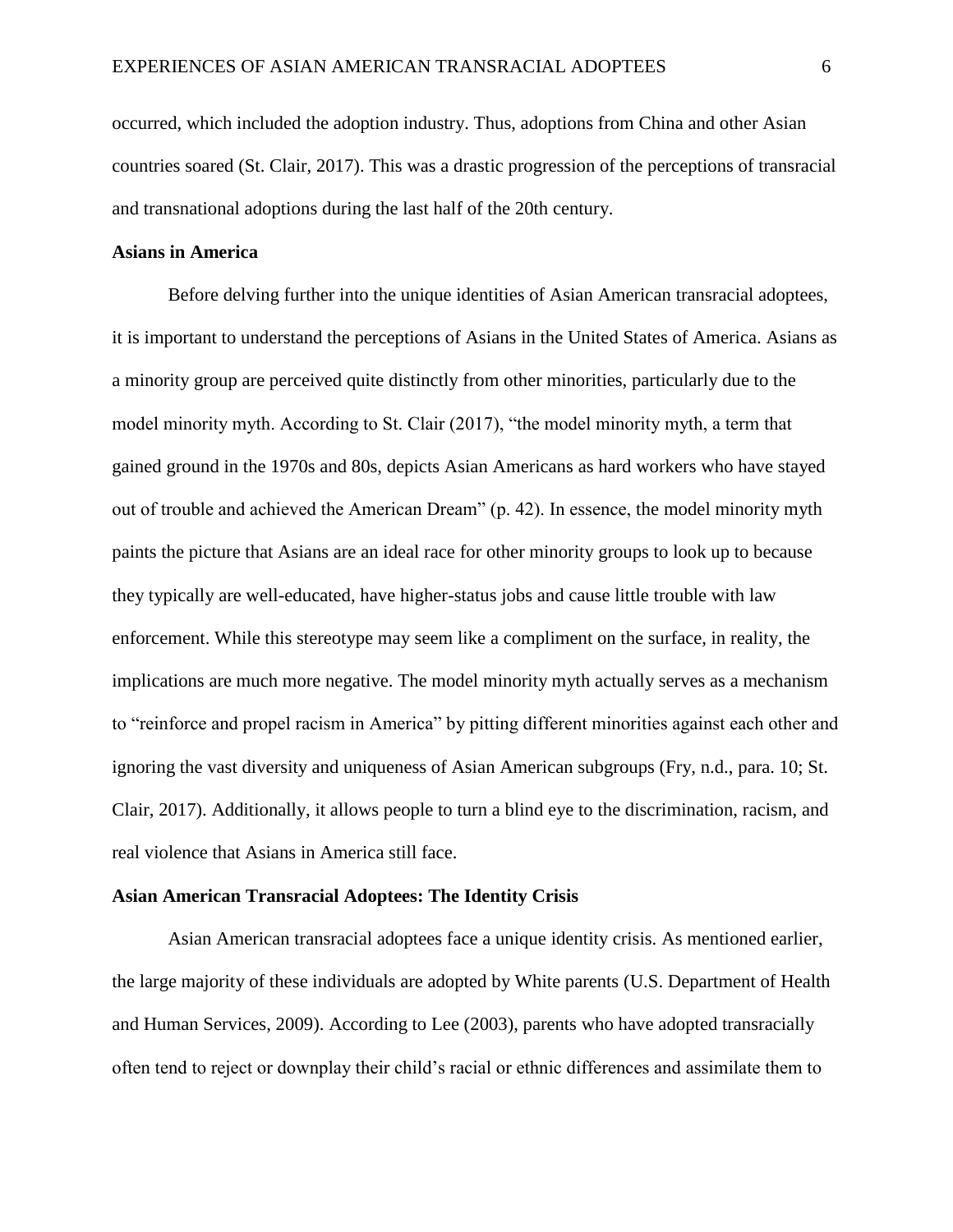occurred, which included the adoption industry. Thus, adoptions from China and other Asian countries soared (St. Clair, 2017). This was a drastic progression of the perceptions of transracial and transnational adoptions during the last half of the 20th century.

# **Asians in America**

Before delving further into the unique identities of Asian American transracial adoptees, it is important to understand the perceptions of Asians in the United States of America. Asians as a minority group are perceived quite distinctly from other minorities, particularly due to the model minority myth. According to St. Clair (2017), "the model minority myth, a term that gained ground in the 1970s and 80s, depicts Asian Americans as hard workers who have stayed out of trouble and achieved the American Dream" (p. 42). In essence, the model minority myth paints the picture that Asians are an ideal race for other minority groups to look up to because they typically are well-educated, have higher-status jobs and cause little trouble with law enforcement. While this stereotype may seem like a compliment on the surface, in reality, the implications are much more negative. The model minority myth actually serves as a mechanism to "reinforce and propel racism in America" by pitting different minorities against each other and ignoring the vast diversity and uniqueness of Asian American subgroups (Fry, n.d., para. 10; St. Clair, 2017). Additionally, it allows people to turn a blind eye to the discrimination, racism, and real violence that Asians in America still face.

# **Asian American Transracial Adoptees: The Identity Crisis**

Asian American transracial adoptees face a unique identity crisis. As mentioned earlier, the large majority of these individuals are adopted by White parents (U.S. Department of Health and Human Services, 2009). According to Lee (2003), parents who have adopted transracially often tend to reject or downplay their child's racial or ethnic differences and assimilate them to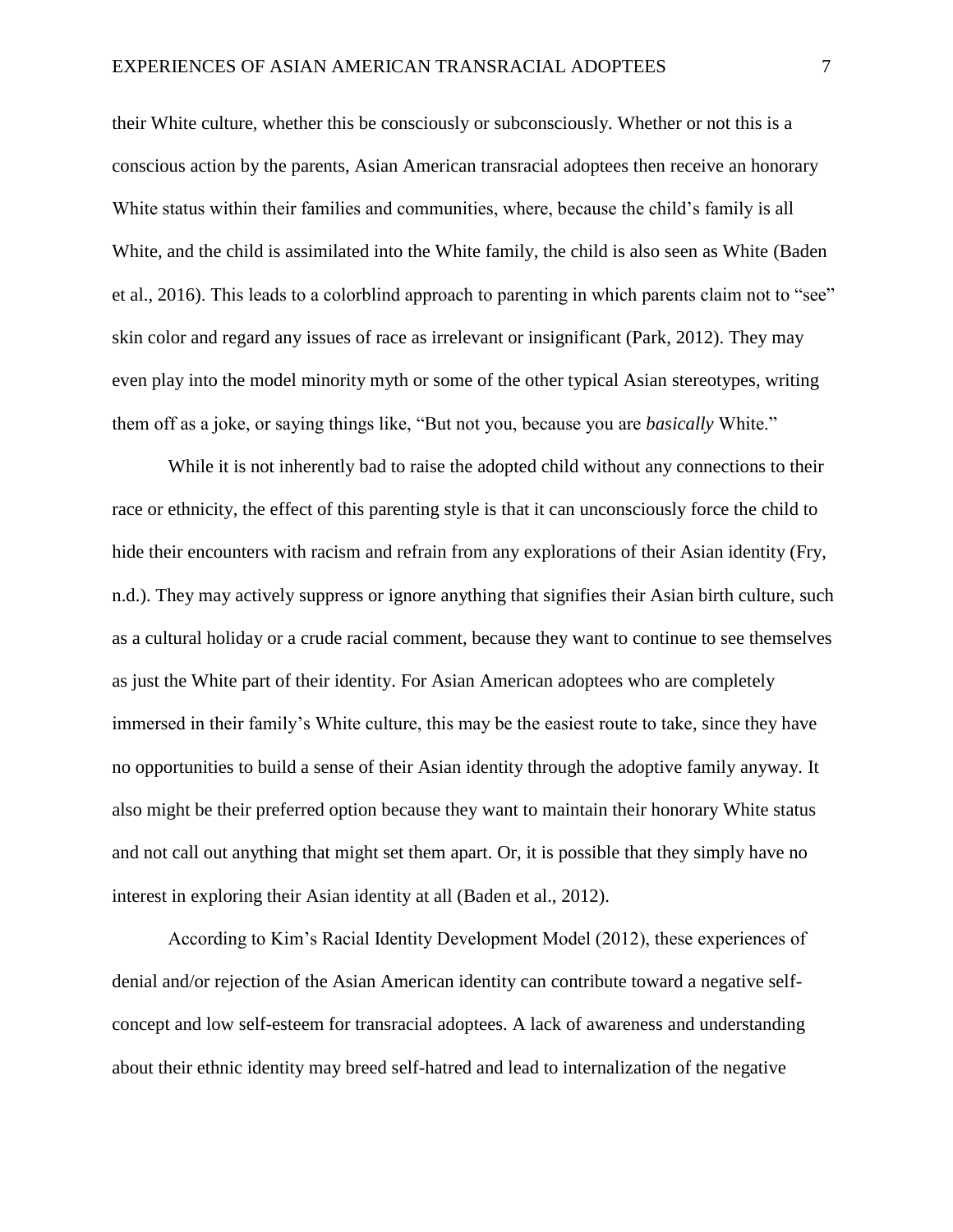their White culture, whether this be consciously or subconsciously. Whether or not this is a conscious action by the parents, Asian American transracial adoptees then receive an honorary White status within their families and communities, where, because the child's family is all White, and the child is assimilated into the White family, the child is also seen as White (Baden et al., 2016). This leads to a colorblind approach to parenting in which parents claim not to "see" skin color and regard any issues of race as irrelevant or insignificant (Park, 2012). They may even play into the model minority myth or some of the other typical Asian stereotypes, writing them off as a joke, or saying things like, "But not you, because you are *basically* White."

While it is not inherently bad to raise the adopted child without any connections to their race or ethnicity, the effect of this parenting style is that it can unconsciously force the child to hide their encounters with racism and refrain from any explorations of their Asian identity (Fry, n.d.). They may actively suppress or ignore anything that signifies their Asian birth culture, such as a cultural holiday or a crude racial comment, because they want to continue to see themselves as just the White part of their identity. For Asian American adoptees who are completely immersed in their family's White culture, this may be the easiest route to take, since they have no opportunities to build a sense of their Asian identity through the adoptive family anyway. It also might be their preferred option because they want to maintain their honorary White status and not call out anything that might set them apart. Or, it is possible that they simply have no interest in exploring their Asian identity at all (Baden et al., 2012).

According to Kim's Racial Identity Development Model (2012), these experiences of denial and/or rejection of the Asian American identity can contribute toward a negative selfconcept and low self-esteem for transracial adoptees. A lack of awareness and understanding about their ethnic identity may breed self-hatred and lead to internalization of the negative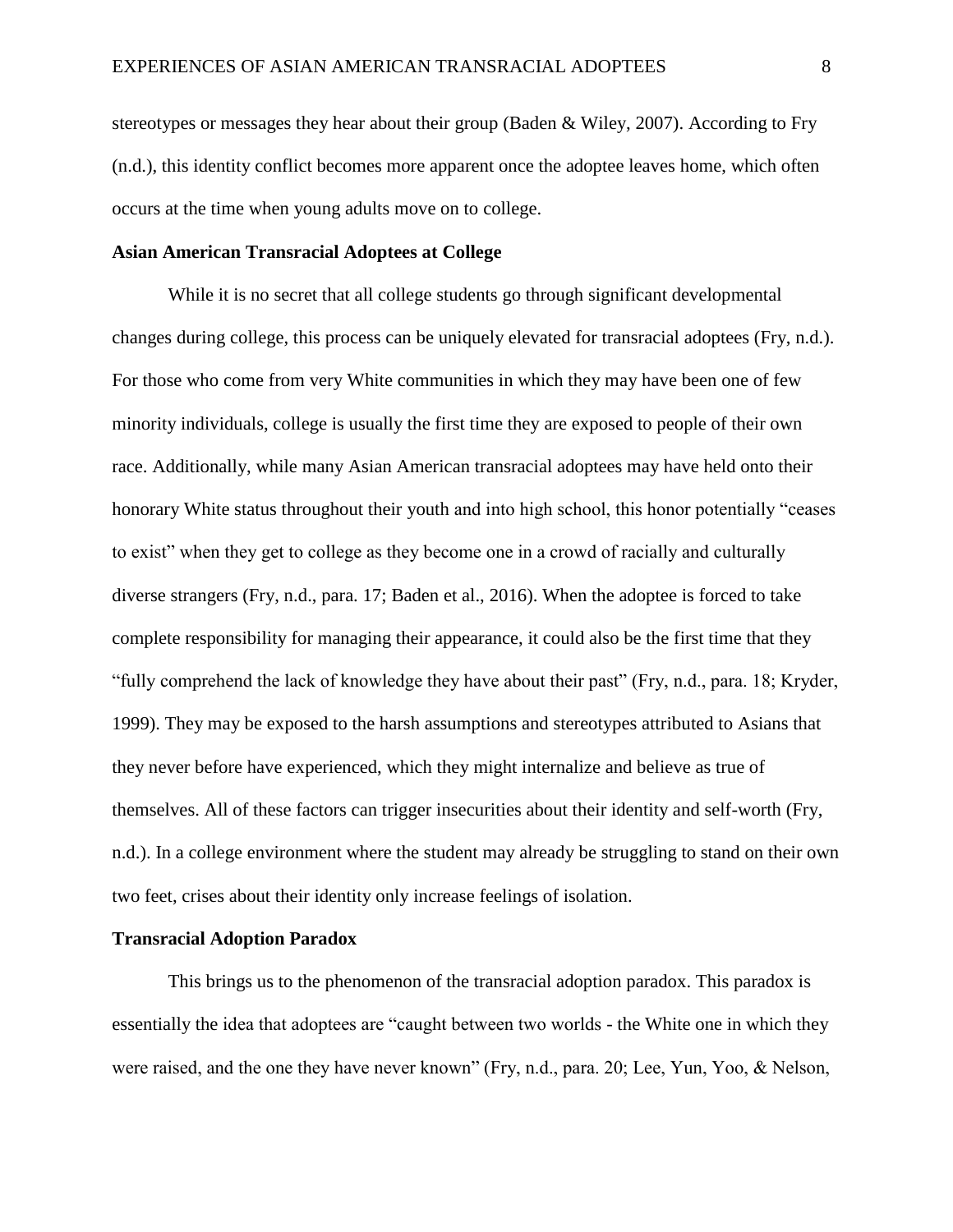stereotypes or messages they hear about their group (Baden & Wiley, 2007). According to Fry (n.d.), this identity conflict becomes more apparent once the adoptee leaves home, which often occurs at the time when young adults move on to college.

# **Asian American Transracial Adoptees at College**

While it is no secret that all college students go through significant developmental changes during college, this process can be uniquely elevated for transracial adoptees (Fry, n.d.). For those who come from very White communities in which they may have been one of few minority individuals, college is usually the first time they are exposed to people of their own race. Additionally, while many Asian American transracial adoptees may have held onto their honorary White status throughout their youth and into high school, this honor potentially "ceases to exist" when they get to college as they become one in a crowd of racially and culturally diverse strangers (Fry, n.d., para. 17; Baden et al., 2016). When the adoptee is forced to take complete responsibility for managing their appearance, it could also be the first time that they "fully comprehend the lack of knowledge they have about their past" (Fry, n.d., para. 18; Kryder, 1999). They may be exposed to the harsh assumptions and stereotypes attributed to Asians that they never before have experienced, which they might internalize and believe as true of themselves. All of these factors can trigger insecurities about their identity and self-worth (Fry, n.d.). In a college environment where the student may already be struggling to stand on their own two feet, crises about their identity only increase feelings of isolation.

## **Transracial Adoption Paradox**

This brings us to the phenomenon of the transracial adoption paradox. This paradox is essentially the idea that adoptees are "caught between two worlds - the White one in which they were raised, and the one they have never known" (Fry, n.d., para. 20; Lee, Yun, Yoo, & Nelson,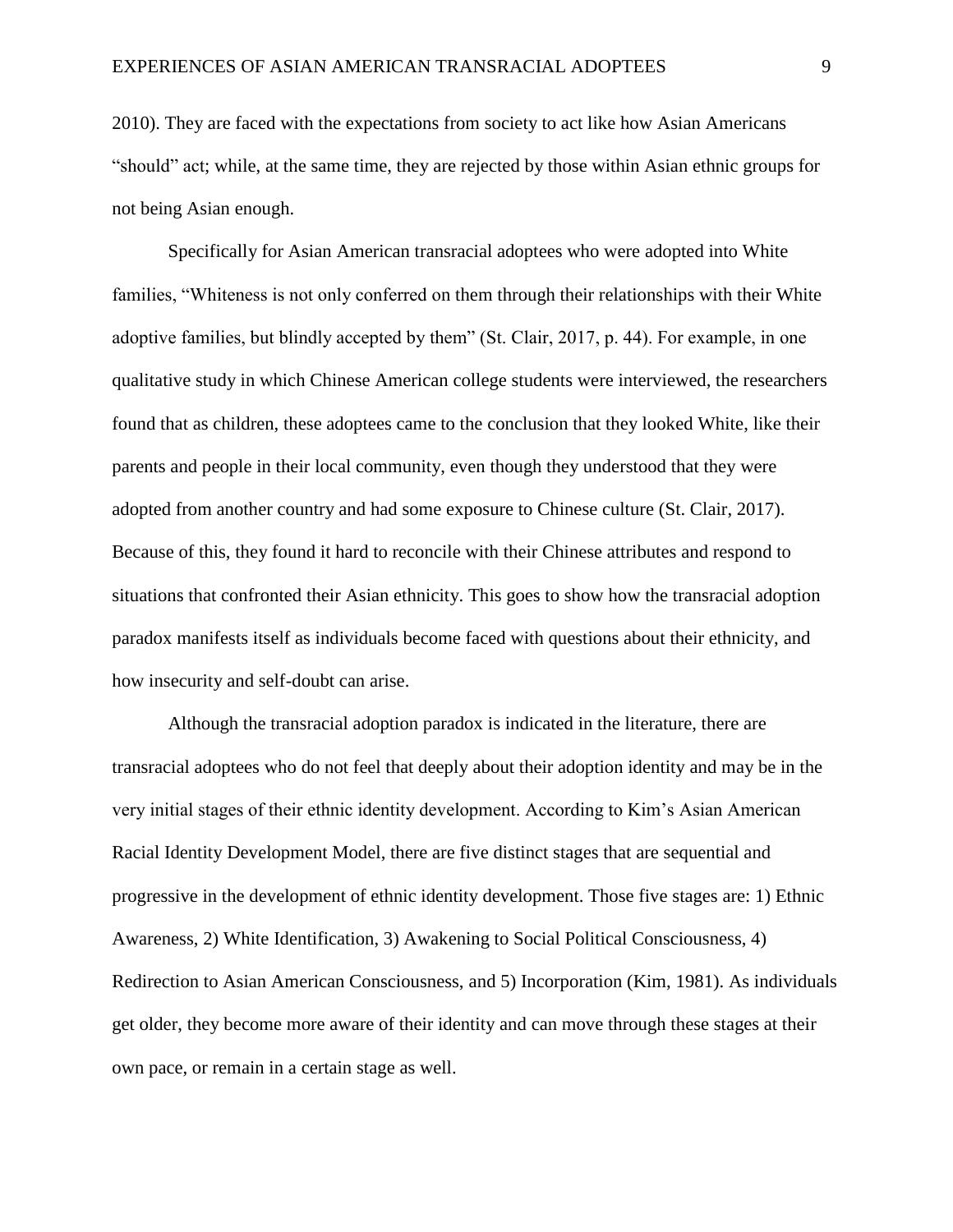2010). They are faced with the expectations from society to act like how Asian Americans "should" act; while, at the same time, they are rejected by those within Asian ethnic groups for not being Asian enough.

Specifically for Asian American transracial adoptees who were adopted into White families, "Whiteness is not only conferred on them through their relationships with their White adoptive families, but blindly accepted by them" (St. Clair, 2017, p. 44). For example, in one qualitative study in which Chinese American college students were interviewed, the researchers found that as children, these adoptees came to the conclusion that they looked White, like their parents and people in their local community, even though they understood that they were adopted from another country and had some exposure to Chinese culture (St. Clair, 2017). Because of this, they found it hard to reconcile with their Chinese attributes and respond to situations that confronted their Asian ethnicity. This goes to show how the transracial adoption paradox manifests itself as individuals become faced with questions about their ethnicity, and how insecurity and self-doubt can arise.

Although the transracial adoption paradox is indicated in the literature, there are transracial adoptees who do not feel that deeply about their adoption identity and may be in the very initial stages of their ethnic identity development. According to Kim's Asian American Racial Identity Development Model, there are five distinct stages that are sequential and progressive in the development of ethnic identity development. Those five stages are: 1) Ethnic Awareness, 2) White Identification, 3) Awakening to Social Political Consciousness, 4) Redirection to Asian American Consciousness, and 5) Incorporation (Kim, 1981). As individuals get older, they become more aware of their identity and can move through these stages at their own pace, or remain in a certain stage as well.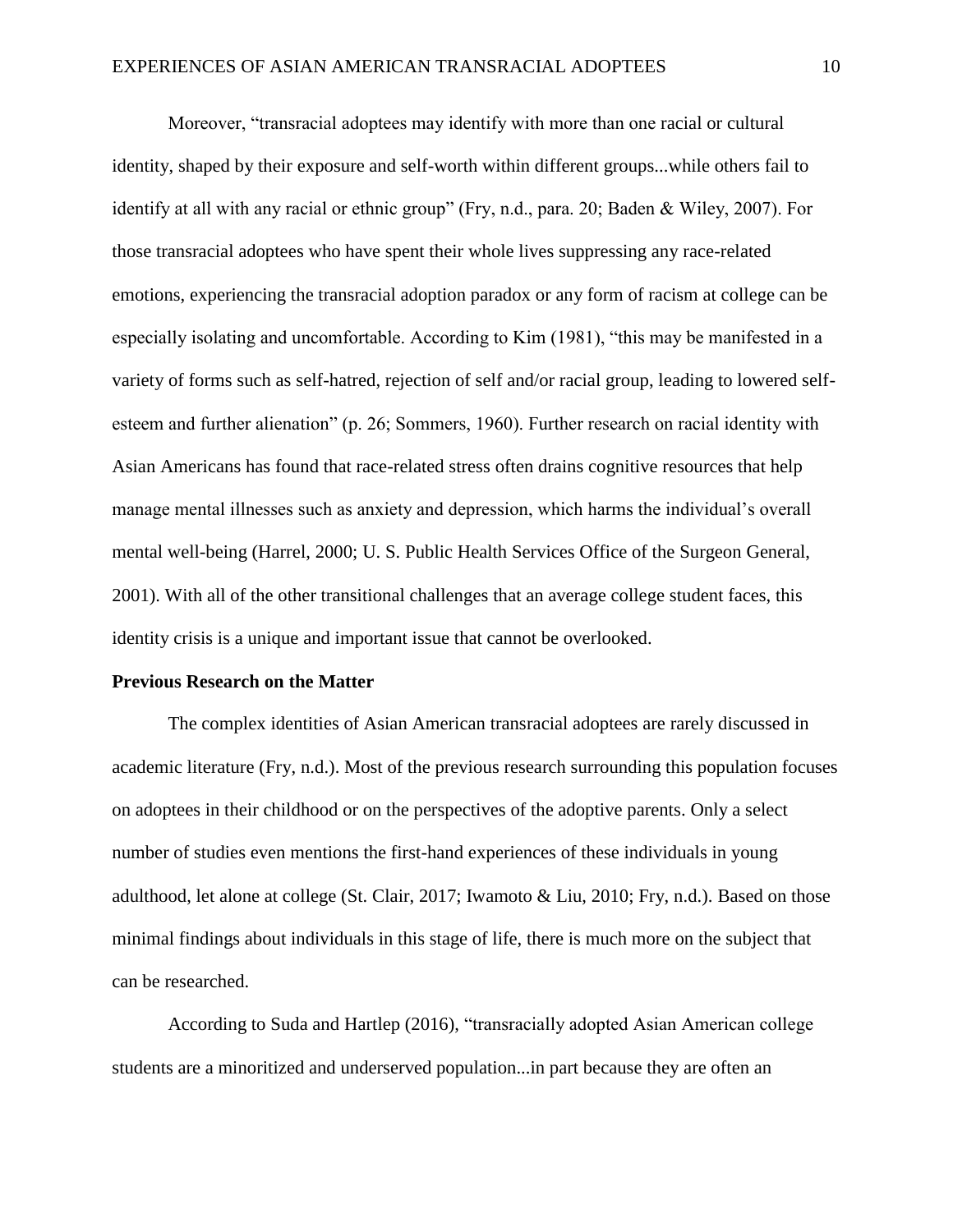Moreover, "transracial adoptees may identify with more than one racial or cultural identity, shaped by their exposure and self-worth within different groups...while others fail to identify at all with any racial or ethnic group" (Fry, n.d., para. 20; Baden & Wiley, 2007). For those transracial adoptees who have spent their whole lives suppressing any race-related emotions, experiencing the transracial adoption paradox or any form of racism at college can be especially isolating and uncomfortable. According to Kim (1981), "this may be manifested in a variety of forms such as self-hatred, rejection of self and/or racial group, leading to lowered selfesteem and further alienation" (p. 26; Sommers, 1960). Further research on racial identity with Asian Americans has found that race-related stress often drains cognitive resources that help manage mental illnesses such as anxiety and depression, which harms the individual's overall mental well-being (Harrel, 2000; U. S. Public Health Services Office of the Surgeon General, 2001). With all of the other transitional challenges that an average college student faces, this identity crisis is a unique and important issue that cannot be overlooked.

#### **Previous Research on the Matter**

The complex identities of Asian American transracial adoptees are rarely discussed in academic literature (Fry, n.d.). Most of the previous research surrounding this population focuses on adoptees in their childhood or on the perspectives of the adoptive parents. Only a select number of studies even mentions the first-hand experiences of these individuals in young adulthood, let alone at college (St. Clair, 2017; Iwamoto & Liu, 2010; Fry, n.d.). Based on those minimal findings about individuals in this stage of life, there is much more on the subject that can be researched.

According to Suda and Hartlep (2016), "transracially adopted Asian American college students are a minoritized and underserved population...in part because they are often an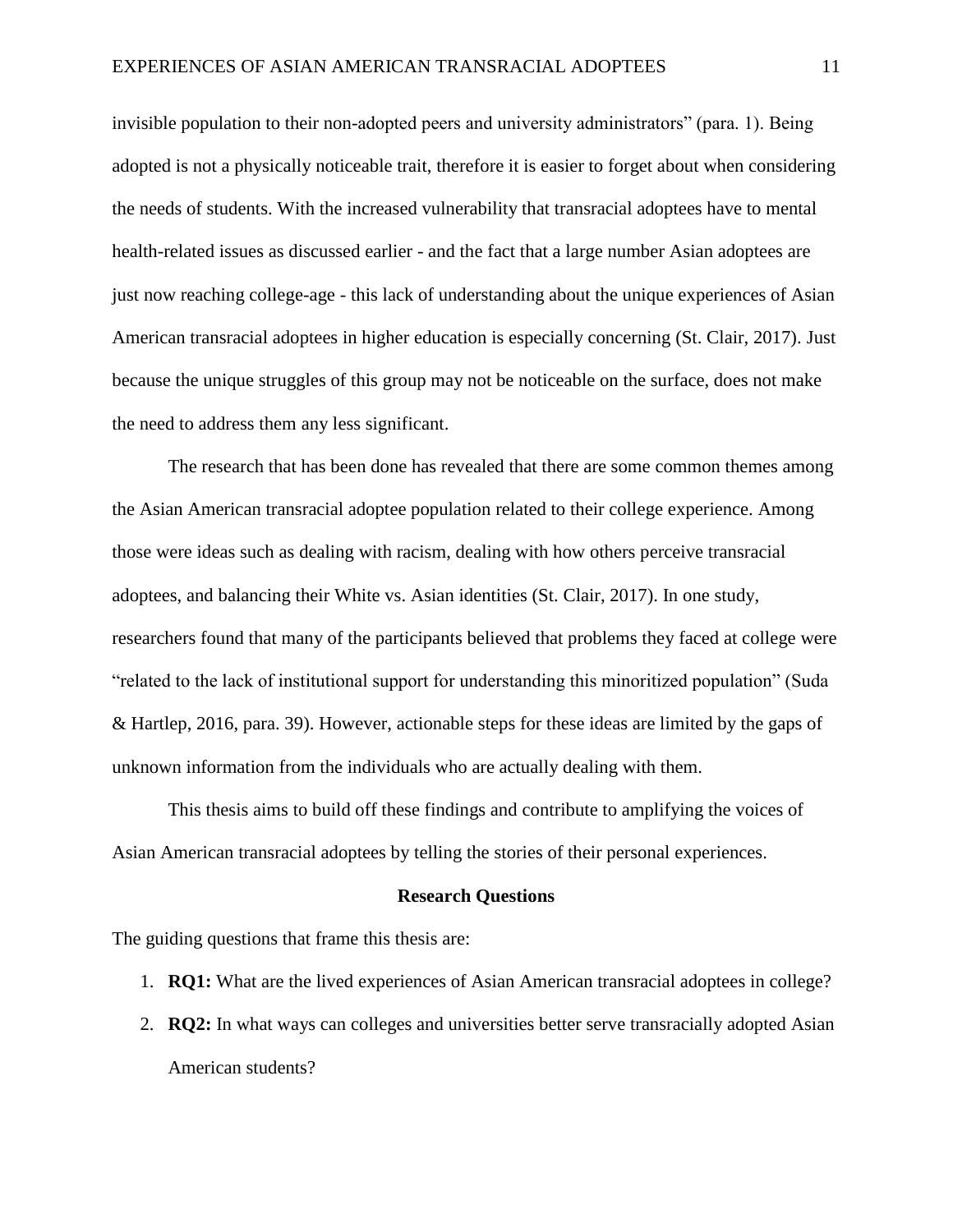invisible population to their non-adopted peers and university administrators" (para. 1). Being adopted is not a physically noticeable trait, therefore it is easier to forget about when considering the needs of students. With the increased vulnerability that transracial adoptees have to mental health-related issues as discussed earlier - and the fact that a large number Asian adoptees are just now reaching college-age - this lack of understanding about the unique experiences of Asian American transracial adoptees in higher education is especially concerning (St. Clair, 2017). Just because the unique struggles of this group may not be noticeable on the surface, does not make the need to address them any less significant.

The research that has been done has revealed that there are some common themes among the Asian American transracial adoptee population related to their college experience. Among those were ideas such as dealing with racism, dealing with how others perceive transracial adoptees, and balancing their White vs. Asian identities (St. Clair, 2017). In one study, researchers found that many of the participants believed that problems they faced at college were "related to the lack of institutional support for understanding this minoritized population" (Suda & Hartlep, 2016, para. 39). However, actionable steps for these ideas are limited by the gaps of unknown information from the individuals who are actually dealing with them.

This thesis aims to build off these findings and contribute to amplifying the voices of Asian American transracial adoptees by telling the stories of their personal experiences.

#### **Research Questions**

The guiding questions that frame this thesis are:

- 1. **RQ1:** What are the lived experiences of Asian American transracial adoptees in college?
- 2. **RQ2:** In what ways can colleges and universities better serve transracially adopted Asian American students?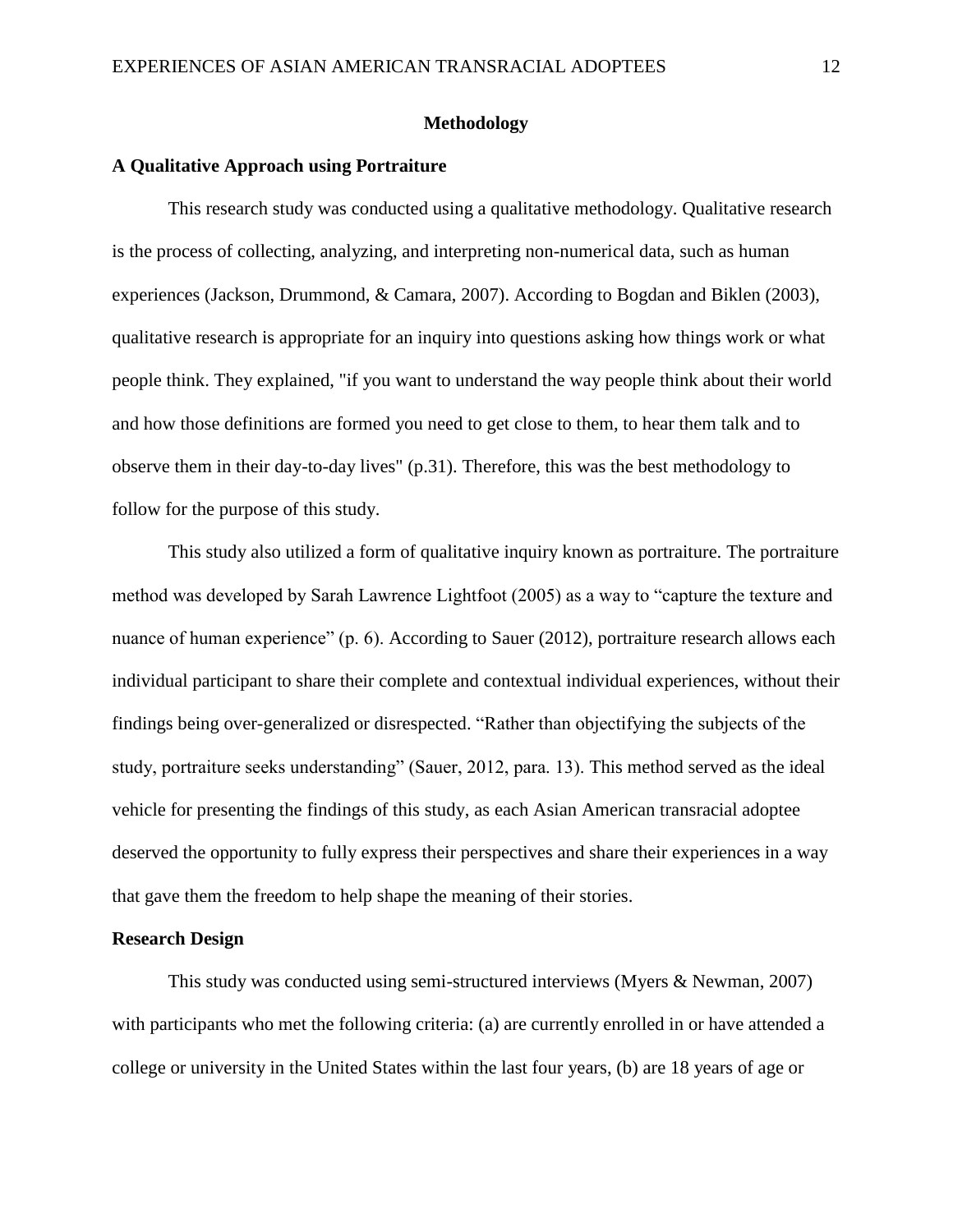# **Methodology**

## **A Qualitative Approach using Portraiture**

This research study was conducted using a qualitative methodology. Qualitative research is the process of collecting, analyzing, and interpreting non-numerical data, such as human experiences (Jackson, Drummond, & Camara, 2007). According to Bogdan and Biklen (2003), qualitative research is appropriate for an inquiry into questions asking how things work or what people think. They explained, "if you want to understand the way people think about their world and how those definitions are formed you need to get close to them, to hear them talk and to observe them in their day-to-day lives" (p.31). Therefore, this was the best methodology to follow for the purpose of this study.

This study also utilized a form of qualitative inquiry known as portraiture. The portraiture method was developed by Sarah Lawrence Lightfoot (2005) as a way to "capture the texture and nuance of human experience" (p. 6). According to Sauer (2012), portraiture research allows each individual participant to share their complete and contextual individual experiences, without their findings being over-generalized or disrespected. "Rather than objectifying the subjects of the study, portraiture seeks understanding" (Sauer, 2012, para. 13). This method served as the ideal vehicle for presenting the findings of this study, as each Asian American transracial adoptee deserved the opportunity to fully express their perspectives and share their experiences in a way that gave them the freedom to help shape the meaning of their stories.

#### **Research Design**

This study was conducted using semi-structured interviews (Myers & Newman, 2007) with participants who met the following criteria: (a) are currently enrolled in or have attended a college or university in the United States within the last four years, (b) are 18 years of age or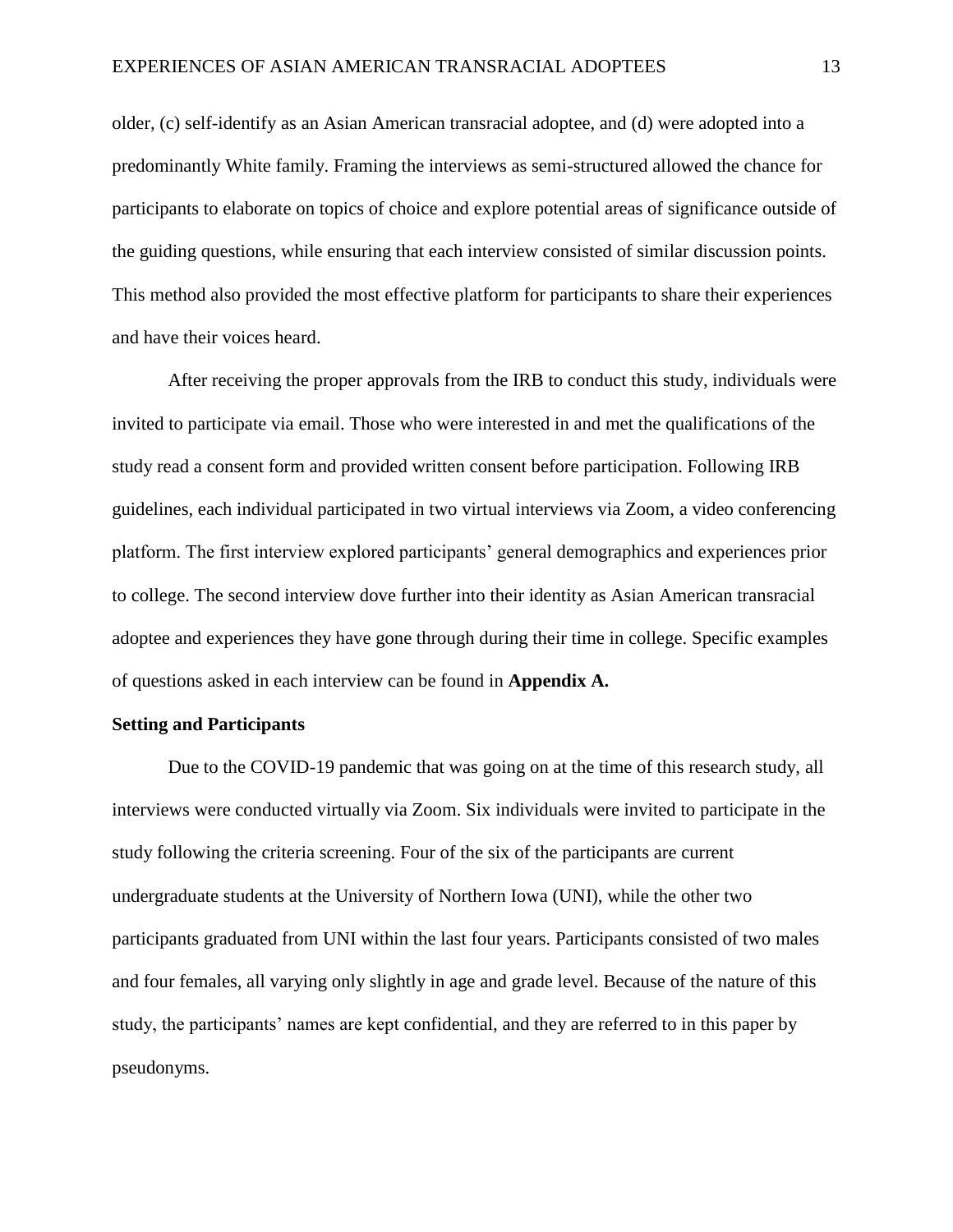older, (c) self-identify as an Asian American transracial adoptee, and (d) were adopted into a predominantly White family. Framing the interviews as semi-structured allowed the chance for participants to elaborate on topics of choice and explore potential areas of significance outside of the guiding questions, while ensuring that each interview consisted of similar discussion points. This method also provided the most effective platform for participants to share their experiences and have their voices heard.

After receiving the proper approvals from the IRB to conduct this study, individuals were invited to participate via email. Those who were interested in and met the qualifications of the study read a consent form and provided written consent before participation. Following IRB guidelines, each individual participated in two virtual interviews via Zoom, a video conferencing platform. The first interview explored participants' general demographics and experiences prior to college. The second interview dove further into their identity as Asian American transracial adoptee and experiences they have gone through during their time in college. Specific examples of questions asked in each interview can be found in **Appendix A.**

#### **Setting and Participants**

Due to the COVID-19 pandemic that was going on at the time of this research study, all interviews were conducted virtually via Zoom. Six individuals were invited to participate in the study following the criteria screening. Four of the six of the participants are current undergraduate students at the University of Northern Iowa (UNI), while the other two participants graduated from UNI within the last four years. Participants consisted of two males and four females, all varying only slightly in age and grade level. Because of the nature of this study, the participants' names are kept confidential, and they are referred to in this paper by pseudonyms.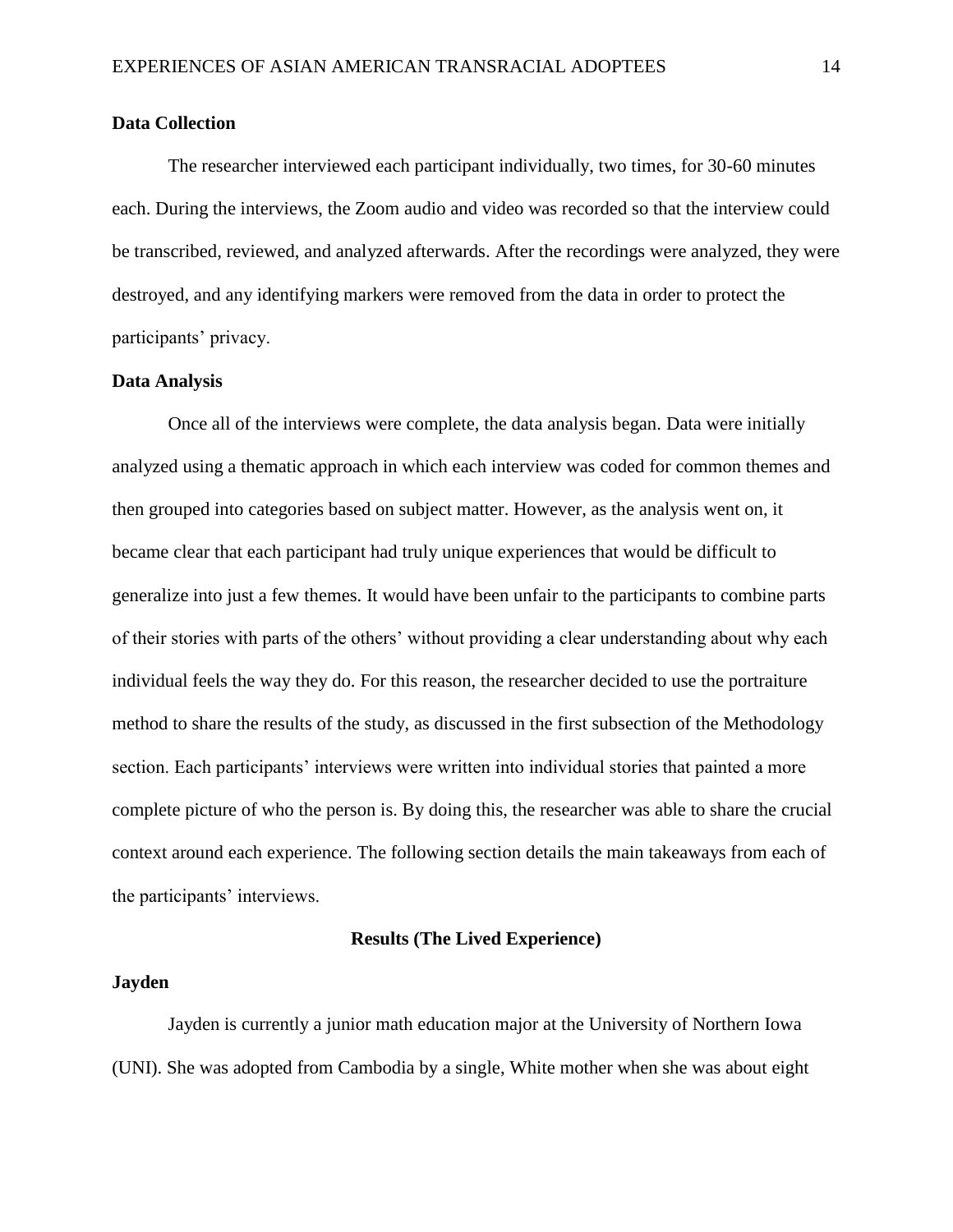# **Data Collection**

The researcher interviewed each participant individually, two times, for 30-60 minutes each. During the interviews, the Zoom audio and video was recorded so that the interview could be transcribed, reviewed, and analyzed afterwards. After the recordings were analyzed, they were destroyed, and any identifying markers were removed from the data in order to protect the participants' privacy.

## **Data Analysis**

Once all of the interviews were complete, the data analysis began. Data were initially analyzed using a thematic approach in which each interview was coded for common themes and then grouped into categories based on subject matter. However, as the analysis went on, it became clear that each participant had truly unique experiences that would be difficult to generalize into just a few themes. It would have been unfair to the participants to combine parts of their stories with parts of the others' without providing a clear understanding about why each individual feels the way they do. For this reason, the researcher decided to use the portraiture method to share the results of the study, as discussed in the first subsection of the Methodology section. Each participants' interviews were written into individual stories that painted a more complete picture of who the person is. By doing this, the researcher was able to share the crucial context around each experience. The following section details the main takeaways from each of the participants' interviews.

## **Results (The Lived Experience)**

# **Jayden**

Jayden is currently a junior math education major at the University of Northern Iowa (UNI). She was adopted from Cambodia by a single, White mother when she was about eight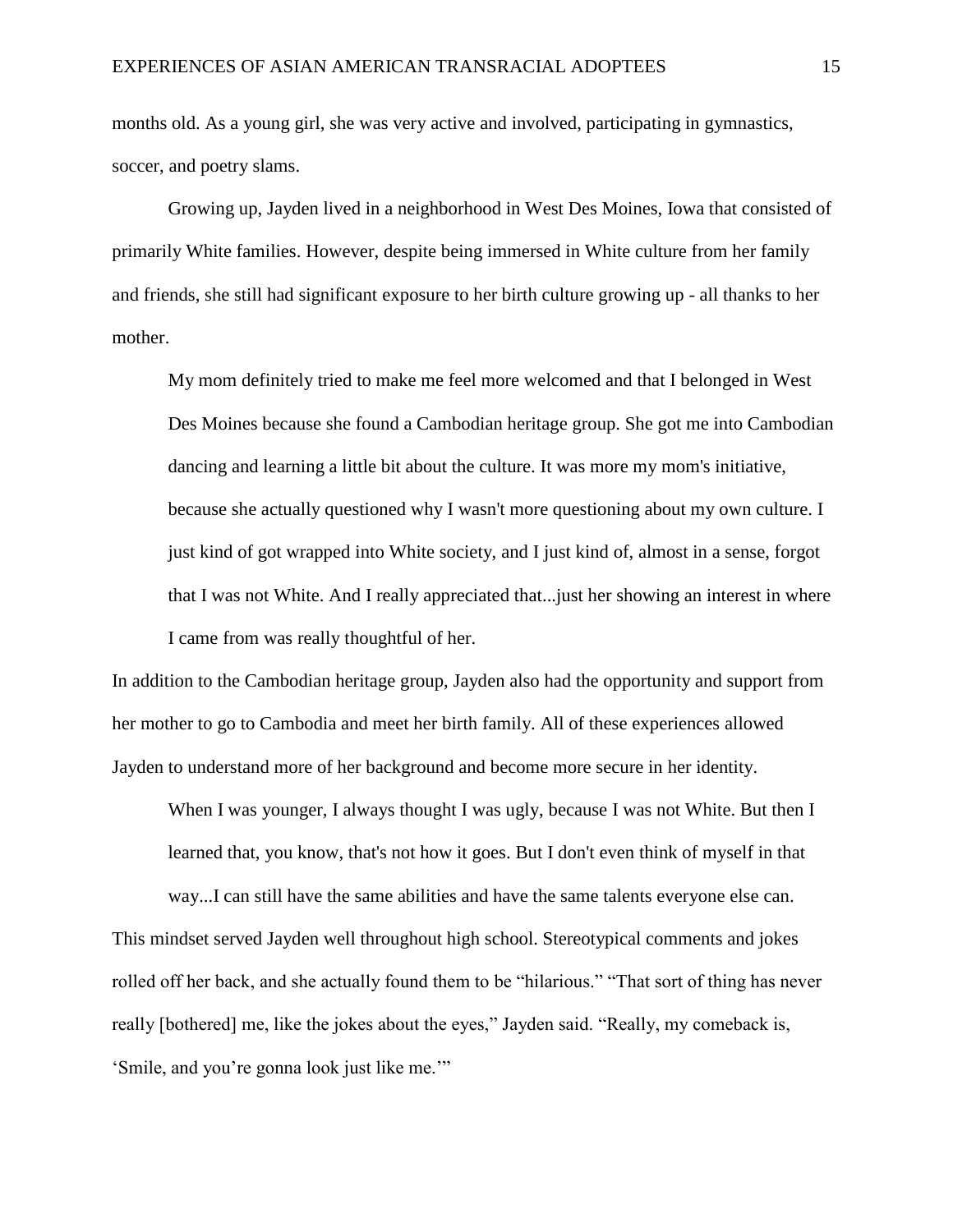months old. As a young girl, she was very active and involved, participating in gymnastics, soccer, and poetry slams.

Growing up, Jayden lived in a neighborhood in West Des Moines, Iowa that consisted of primarily White families. However, despite being immersed in White culture from her family and friends, she still had significant exposure to her birth culture growing up - all thanks to her mother.

My mom definitely tried to make me feel more welcomed and that I belonged in West Des Moines because she found a Cambodian heritage group. She got me into Cambodian dancing and learning a little bit about the culture. It was more my mom's initiative, because she actually questioned why I wasn't more questioning about my own culture. I just kind of got wrapped into White society, and I just kind of, almost in a sense, forgot that I was not White. And I really appreciated that...just her showing an interest in where I came from was really thoughtful of her.

In addition to the Cambodian heritage group, Jayden also had the opportunity and support from her mother to go to Cambodia and meet her birth family. All of these experiences allowed Jayden to understand more of her background and become more secure in her identity.

When I was younger, I always thought I was ugly, because I was not White. But then I learned that, you know, that's not how it goes. But I don't even think of myself in that

way...I can still have the same abilities and have the same talents everyone else can. This mindset served Jayden well throughout high school. Stereotypical comments and jokes rolled off her back, and she actually found them to be "hilarious." "That sort of thing has never really [bothered] me, like the jokes about the eyes," Jayden said. "Really, my comeback is, 'Smile, and you're gonna look just like me.'"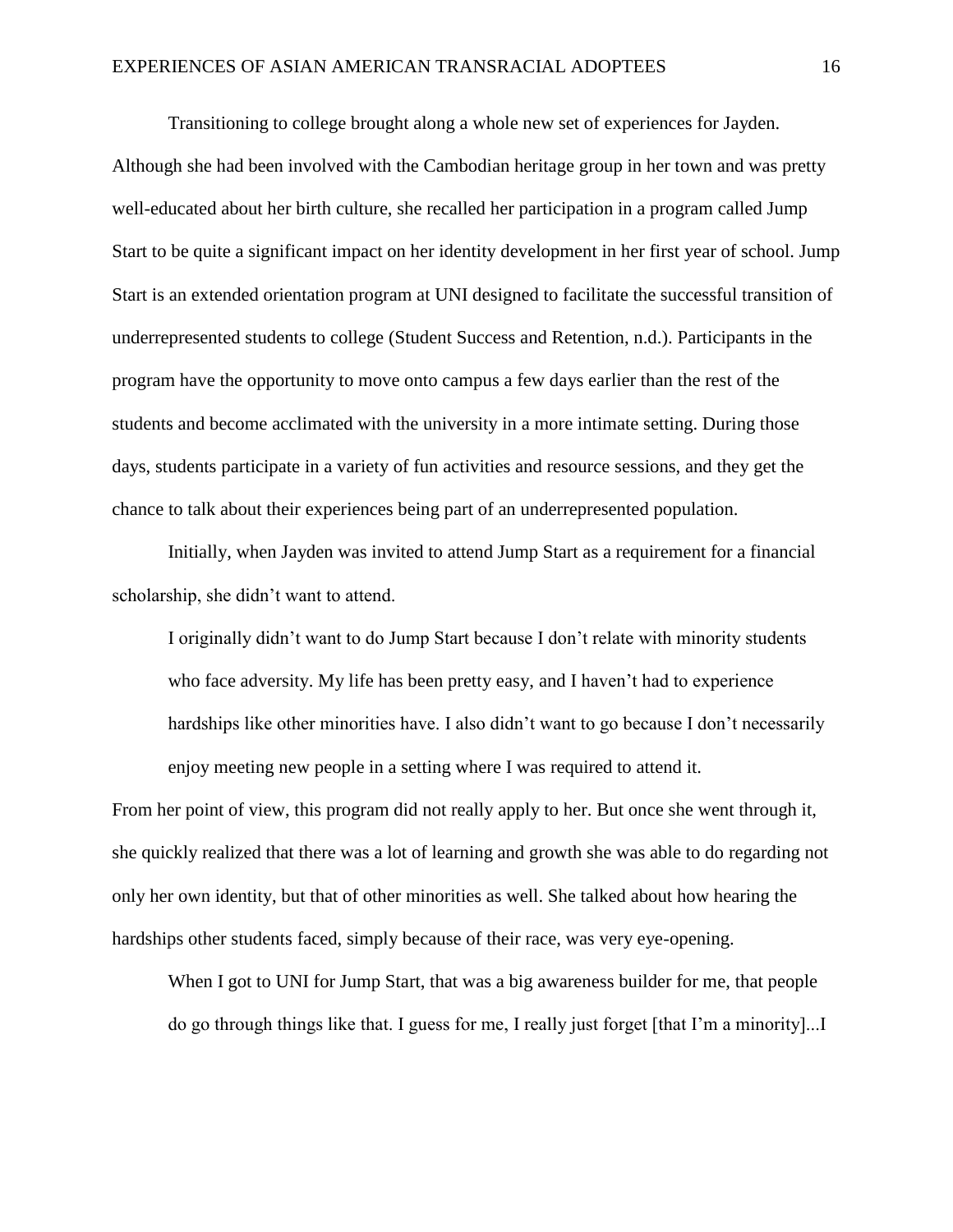Transitioning to college brought along a whole new set of experiences for Jayden. Although she had been involved with the Cambodian heritage group in her town and was pretty well-educated about her birth culture, she recalled her participation in a program called Jump Start to be quite a significant impact on her identity development in her first year of school. Jump Start is an extended orientation program at UNI designed to facilitate the successful transition of underrepresented students to college (Student Success and Retention, n.d.). Participants in the program have the opportunity to move onto campus a few days earlier than the rest of the students and become acclimated with the university in a more intimate setting. During those days, students participate in a variety of fun activities and resource sessions, and they get the chance to talk about their experiences being part of an underrepresented population.

Initially, when Jayden was invited to attend Jump Start as a requirement for a financial scholarship, she didn't want to attend.

I originally didn't want to do Jump Start because I don't relate with minority students who face adversity. My life has been pretty easy, and I haven't had to experience hardships like other minorities have. I also didn't want to go because I don't necessarily enjoy meeting new people in a setting where I was required to attend it.

From her point of view, this program did not really apply to her. But once she went through it, she quickly realized that there was a lot of learning and growth she was able to do regarding not only her own identity, but that of other minorities as well. She talked about how hearing the hardships other students faced, simply because of their race, was very eye-opening.

When I got to UNI for Jump Start, that was a big awareness builder for me, that people do go through things like that. I guess for me, I really just forget [that I'm a minority]...I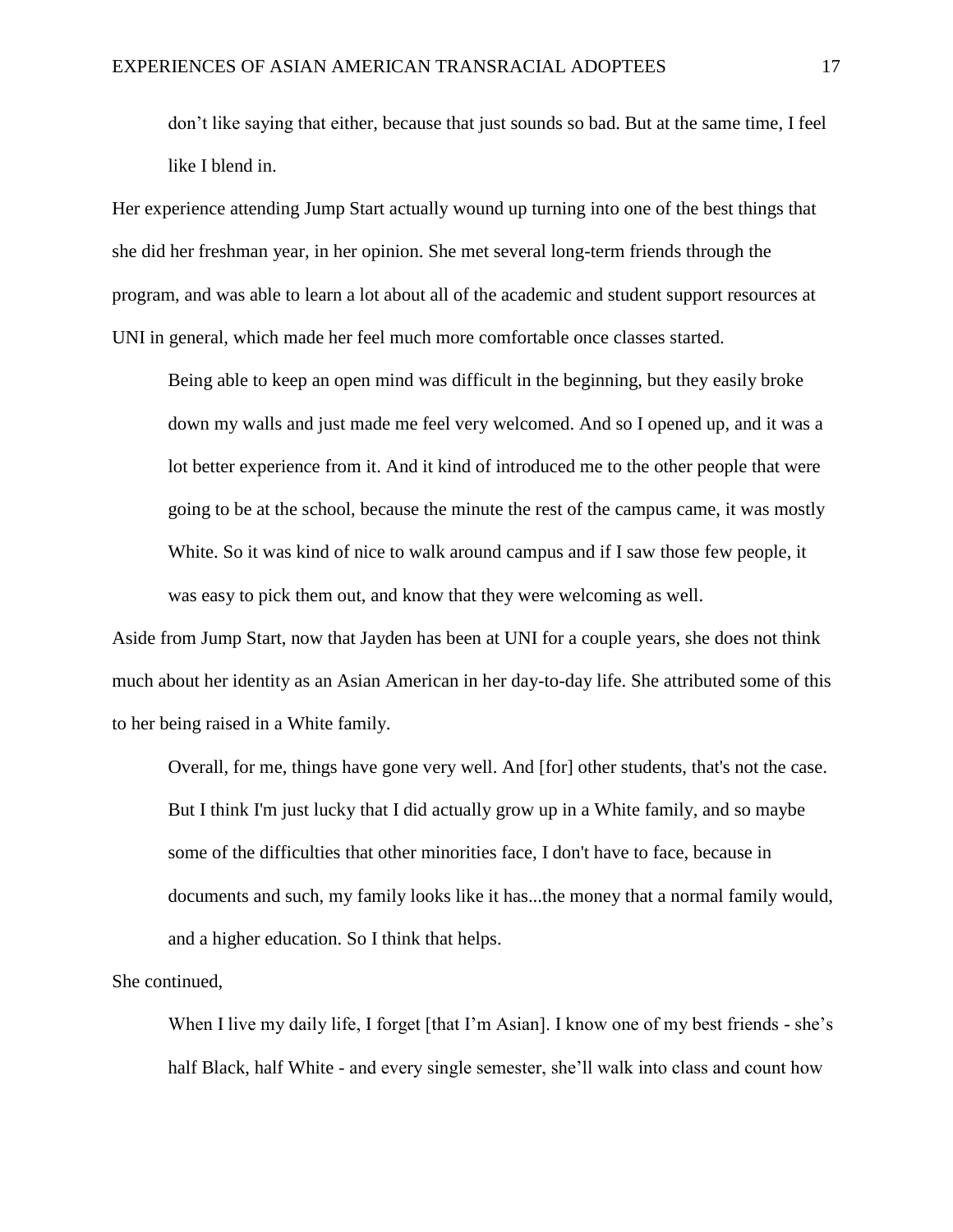don't like saying that either, because that just sounds so bad. But at the same time, I feel like I blend in.

Her experience attending Jump Start actually wound up turning into one of the best things that she did her freshman year, in her opinion. She met several long-term friends through the program, and was able to learn a lot about all of the academic and student support resources at UNI in general, which made her feel much more comfortable once classes started.

Being able to keep an open mind was difficult in the beginning, but they easily broke down my walls and just made me feel very welcomed. And so I opened up, and it was a lot better experience from it. And it kind of introduced me to the other people that were going to be at the school, because the minute the rest of the campus came, it was mostly White. So it was kind of nice to walk around campus and if I saw those few people, it was easy to pick them out, and know that they were welcoming as well.

Aside from Jump Start, now that Jayden has been at UNI for a couple years, she does not think much about her identity as an Asian American in her day-to-day life. She attributed some of this to her being raised in a White family.

Overall, for me, things have gone very well. And [for] other students, that's not the case. But I think I'm just lucky that I did actually grow up in a White family, and so maybe some of the difficulties that other minorities face, I don't have to face, because in documents and such, my family looks like it has...the money that a normal family would, and a higher education. So I think that helps.

She continued,

When I live my daily life, I forget [that I'm Asian]. I know one of my best friends - she's half Black, half White - and every single semester, she'll walk into class and count how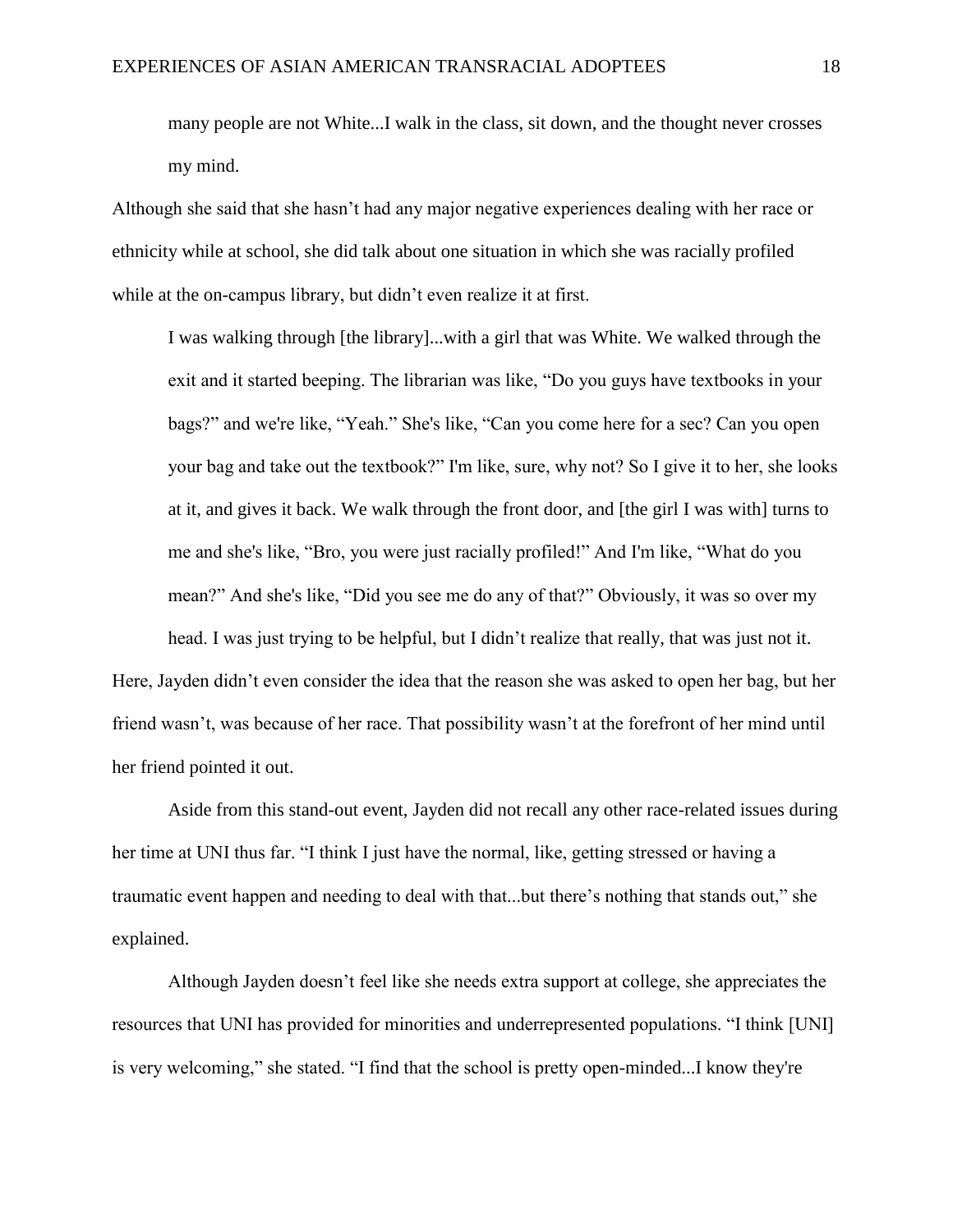many people are not White...I walk in the class, sit down, and the thought never crosses my mind.

Although she said that she hasn't had any major negative experiences dealing with her race or ethnicity while at school, she did talk about one situation in which she was racially profiled while at the on-campus library, but didn't even realize it at first.

I was walking through [the library]...with a girl that was White. We walked through the exit and it started beeping. The librarian was like, "Do you guys have textbooks in your bags?" and we're like, "Yeah." She's like, "Can you come here for a sec? Can you open your bag and take out the textbook?" I'm like, sure, why not? So I give it to her, she looks at it, and gives it back. We walk through the front door, and [the girl I was with] turns to me and she's like, "Bro, you were just racially profiled!" And I'm like, "What do you mean?" And she's like, "Did you see me do any of that?" Obviously, it was so over my head. I was just trying to be helpful, but I didn't realize that really, that was just not it.

Here, Jayden didn't even consider the idea that the reason she was asked to open her bag, but her friend wasn't, was because of her race. That possibility wasn't at the forefront of her mind until her friend pointed it out.

Aside from this stand-out event, Jayden did not recall any other race-related issues during her time at UNI thus far. "I think I just have the normal, like, getting stressed or having a traumatic event happen and needing to deal with that...but there's nothing that stands out," she explained.

Although Jayden doesn't feel like she needs extra support at college, she appreciates the resources that UNI has provided for minorities and underrepresented populations. "I think [UNI] is very welcoming," she stated. "I find that the school is pretty open-minded...I know they're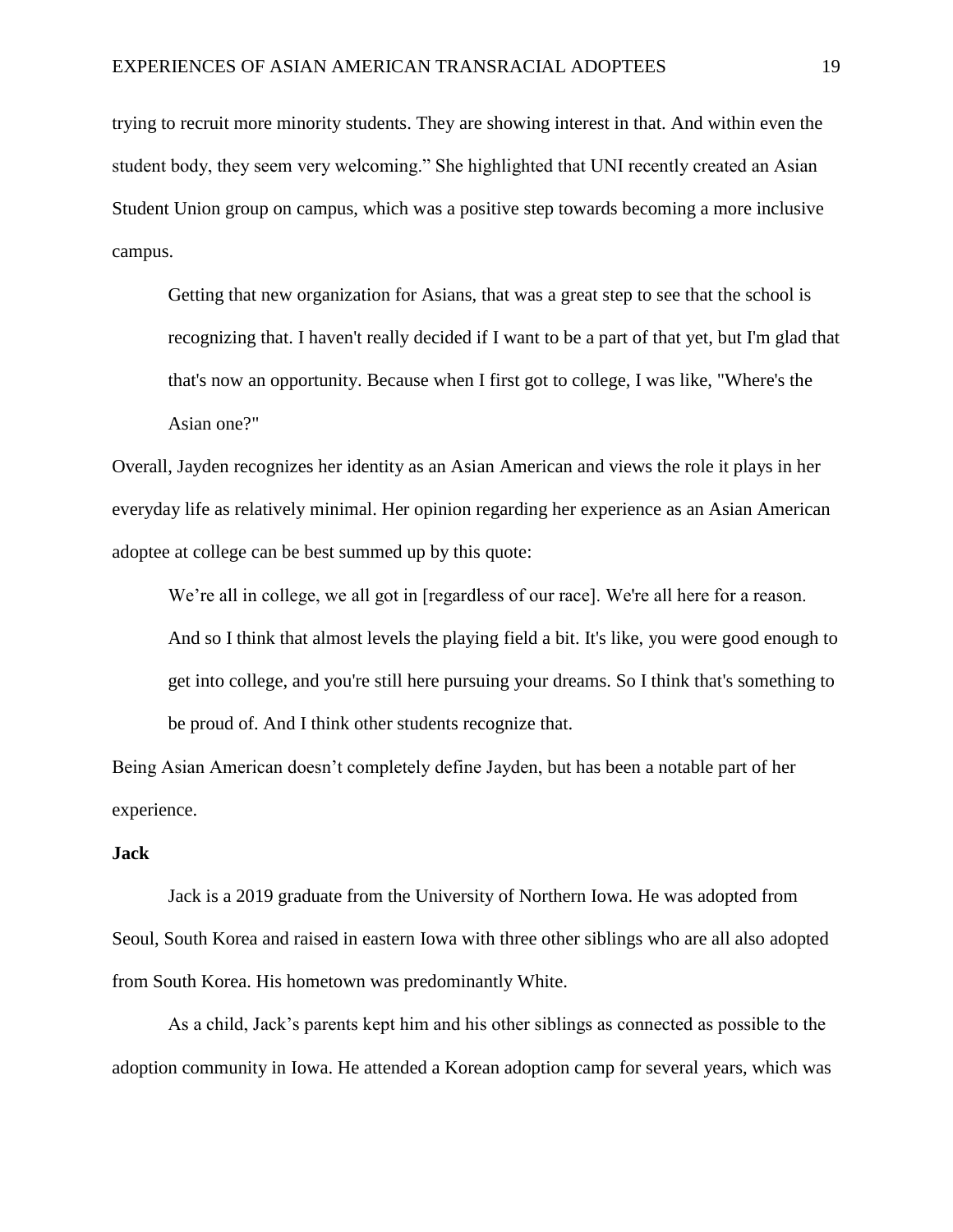trying to recruit more minority students. They are showing interest in that. And within even the student body, they seem very welcoming." She highlighted that UNI recently created an Asian Student Union group on campus, which was a positive step towards becoming a more inclusive campus.

Getting that new organization for Asians, that was a great step to see that the school is recognizing that. I haven't really decided if I want to be a part of that yet, but I'm glad that that's now an opportunity. Because when I first got to college, I was like, "Where's the Asian one?"

Overall, Jayden recognizes her identity as an Asian American and views the role it plays in her everyday life as relatively minimal. Her opinion regarding her experience as an Asian American adoptee at college can be best summed up by this quote:

We're all in college, we all got in [regardless of our race]. We're all here for a reason.

And so I think that almost levels the playing field a bit. It's like, you were good enough to get into college, and you're still here pursuing your dreams. So I think that's something to be proud of. And I think other students recognize that.

Being Asian American doesn't completely define Jayden, but has been a notable part of her experience.

# **Jack**

Jack is a 2019 graduate from the University of Northern Iowa. He was adopted from Seoul, South Korea and raised in eastern Iowa with three other siblings who are all also adopted from South Korea. His hometown was predominantly White.

As a child, Jack's parents kept him and his other siblings as connected as possible to the adoption community in Iowa. He attended a Korean adoption camp for several years, which was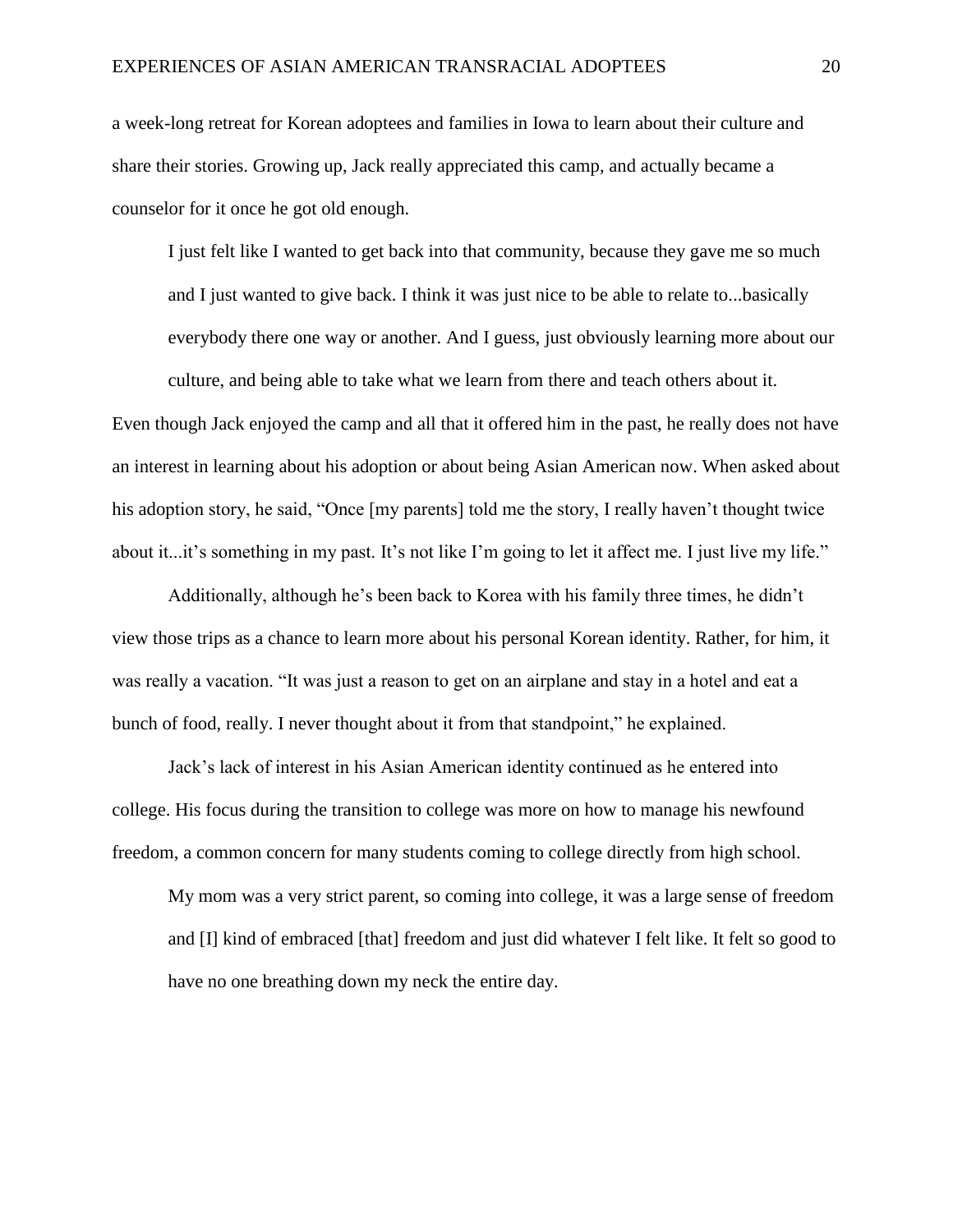a week-long retreat for Korean adoptees and families in Iowa to learn about their culture and share their stories. Growing up, Jack really appreciated this camp, and actually became a counselor for it once he got old enough.

I just felt like I wanted to get back into that community, because they gave me so much and I just wanted to give back. I think it was just nice to be able to relate to...basically everybody there one way or another. And I guess, just obviously learning more about our culture, and being able to take what we learn from there and teach others about it. Even though Jack enjoyed the camp and all that it offered him in the past, he really does not have an interest in learning about his adoption or about being Asian American now. When asked about his adoption story, he said, "Once [my parents] told me the story, I really haven't thought twice about it...it's something in my past. It's not like I'm going to let it affect me. I just live my life."

Additionally, although he's been back to Korea with his family three times, he didn't view those trips as a chance to learn more about his personal Korean identity. Rather, for him, it was really a vacation. "It was just a reason to get on an airplane and stay in a hotel and eat a bunch of food, really. I never thought about it from that standpoint," he explained.

Jack's lack of interest in his Asian American identity continued as he entered into college. His focus during the transition to college was more on how to manage his newfound freedom, a common concern for many students coming to college directly from high school.

My mom was a very strict parent, so coming into college, it was a large sense of freedom and [I] kind of embraced [that] freedom and just did whatever I felt like. It felt so good to have no one breathing down my neck the entire day.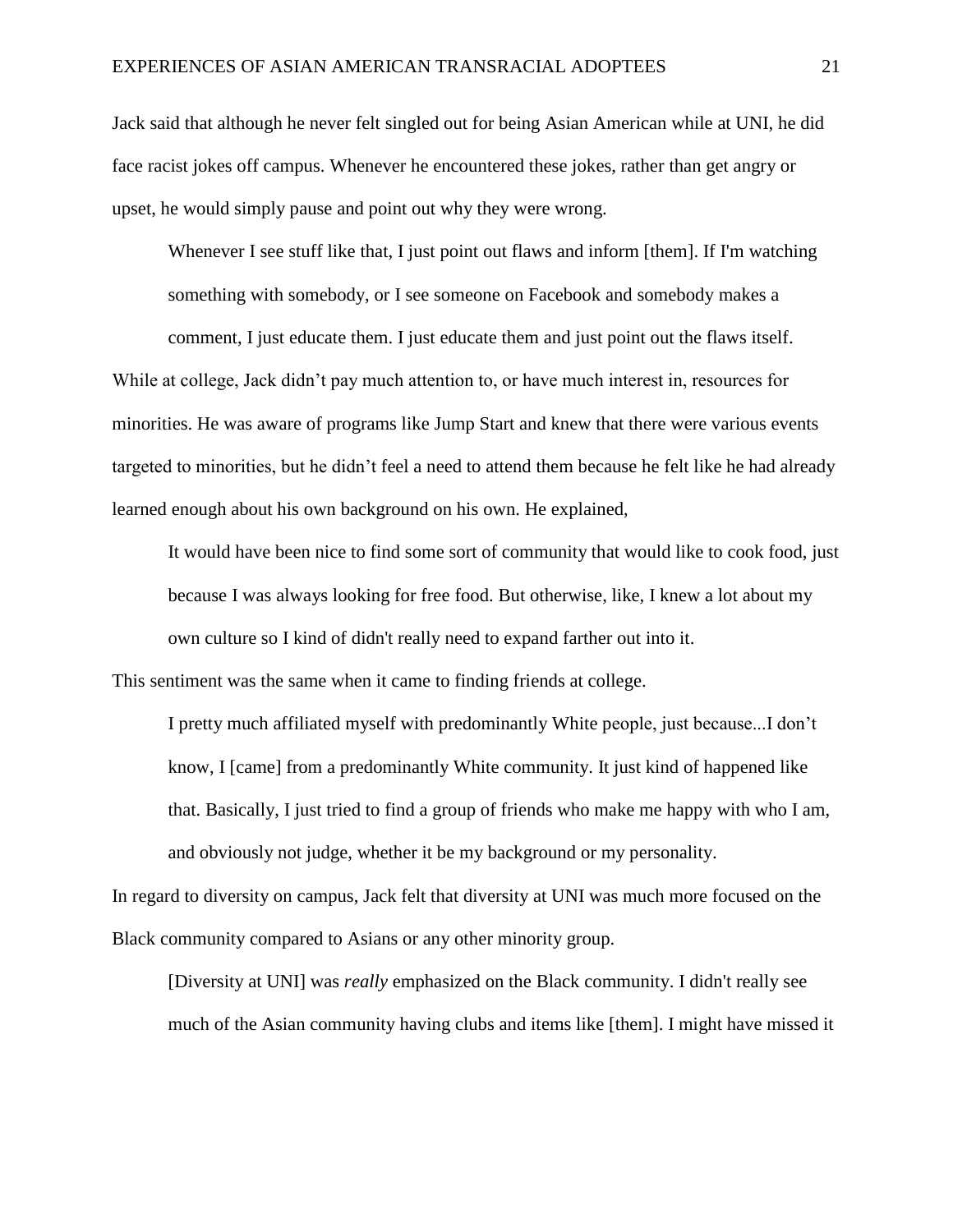Jack said that although he never felt singled out for being Asian American while at UNI, he did face racist jokes off campus. Whenever he encountered these jokes, rather than get angry or upset, he would simply pause and point out why they were wrong.

Whenever I see stuff like that, I just point out flaws and inform [them]. If I'm watching something with somebody, or I see someone on Facebook and somebody makes a

comment, I just educate them. I just educate them and just point out the flaws itself. While at college, Jack didn't pay much attention to, or have much interest in, resources for minorities. He was aware of programs like Jump Start and knew that there were various events targeted to minorities, but he didn't feel a need to attend them because he felt like he had already learned enough about his own background on his own. He explained,

It would have been nice to find some sort of community that would like to cook food, just because I was always looking for free food. But otherwise, like, I knew a lot about my own culture so I kind of didn't really need to expand farther out into it.

This sentiment was the same when it came to finding friends at college.

I pretty much affiliated myself with predominantly White people, just because...I don't know, I [came] from a predominantly White community. It just kind of happened like that. Basically, I just tried to find a group of friends who make me happy with who I am, and obviously not judge, whether it be my background or my personality.

In regard to diversity on campus, Jack felt that diversity at UNI was much more focused on the Black community compared to Asians or any other minority group.

[Diversity at UNI] was *really* emphasized on the Black community. I didn't really see much of the Asian community having clubs and items like [them]. I might have missed it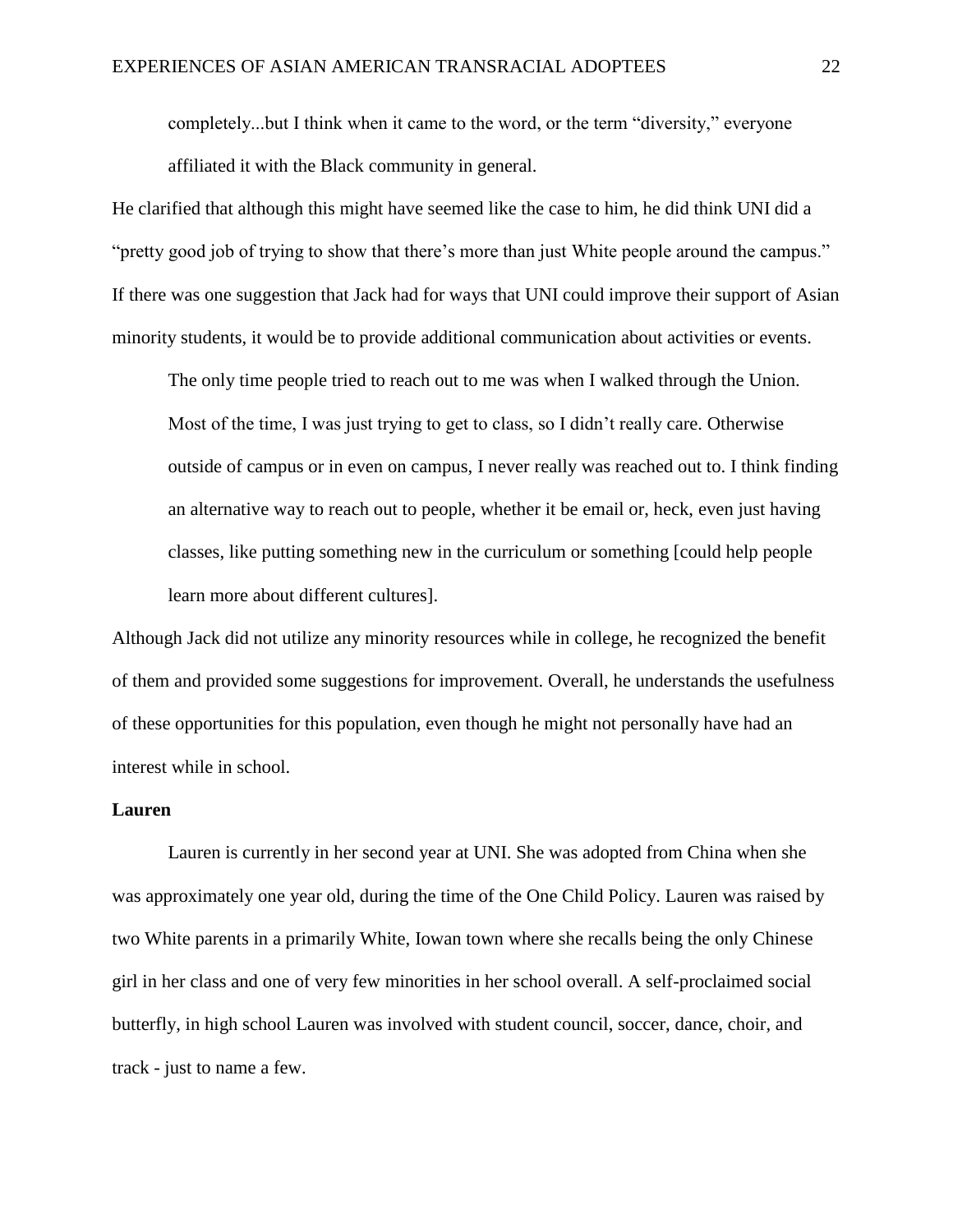completely...but I think when it came to the word, or the term "diversity," everyone affiliated it with the Black community in general.

He clarified that although this might have seemed like the case to him, he did think UNI did a "pretty good job of trying to show that there's more than just White people around the campus." If there was one suggestion that Jack had for ways that UNI could improve their support of Asian minority students, it would be to provide additional communication about activities or events.

The only time people tried to reach out to me was when I walked through the Union. Most of the time, I was just trying to get to class, so I didn't really care. Otherwise outside of campus or in even on campus, I never really was reached out to. I think finding an alternative way to reach out to people, whether it be email or, heck, even just having classes, like putting something new in the curriculum or something [could help people learn more about different cultures].

Although Jack did not utilize any minority resources while in college, he recognized the benefit of them and provided some suggestions for improvement. Overall, he understands the usefulness of these opportunities for this population, even though he might not personally have had an interest while in school.

#### **Lauren**

Lauren is currently in her second year at UNI. She was adopted from China when she was approximately one year old, during the time of the One Child Policy. Lauren was raised by two White parents in a primarily White, Iowan town where she recalls being the only Chinese girl in her class and one of very few minorities in her school overall. A self-proclaimed social butterfly, in high school Lauren was involved with student council, soccer, dance, choir, and track - just to name a few.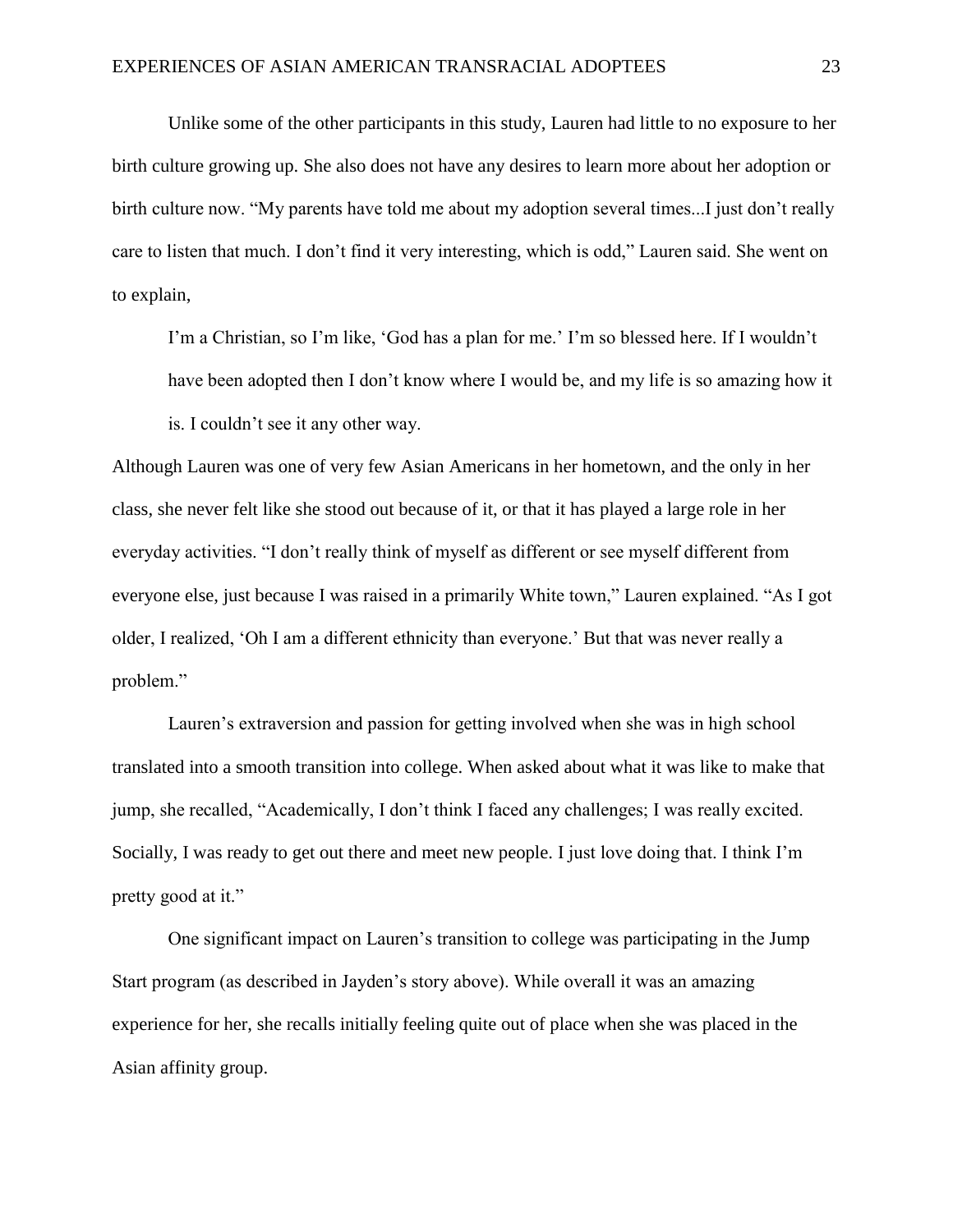Unlike some of the other participants in this study, Lauren had little to no exposure to her birth culture growing up. She also does not have any desires to learn more about her adoption or birth culture now. "My parents have told me about my adoption several times...I just don't really care to listen that much. I don't find it very interesting, which is odd," Lauren said. She went on to explain,

I'm a Christian, so I'm like, 'God has a plan for me.' I'm so blessed here. If I wouldn't have been adopted then I don't know where I would be, and my life is so amazing how it is. I couldn't see it any other way.

Although Lauren was one of very few Asian Americans in her hometown, and the only in her class, she never felt like she stood out because of it, or that it has played a large role in her everyday activities. "I don't really think of myself as different or see myself different from everyone else, just because I was raised in a primarily White town," Lauren explained. "As I got older, I realized, 'Oh I am a different ethnicity than everyone.' But that was never really a problem."

Lauren's extraversion and passion for getting involved when she was in high school translated into a smooth transition into college. When asked about what it was like to make that jump, she recalled, "Academically, I don't think I faced any challenges; I was really excited. Socially, I was ready to get out there and meet new people. I just love doing that. I think I'm pretty good at it."

One significant impact on Lauren's transition to college was participating in the Jump Start program (as described in Jayden's story above). While overall it was an amazing experience for her, she recalls initially feeling quite out of place when she was placed in the Asian affinity group.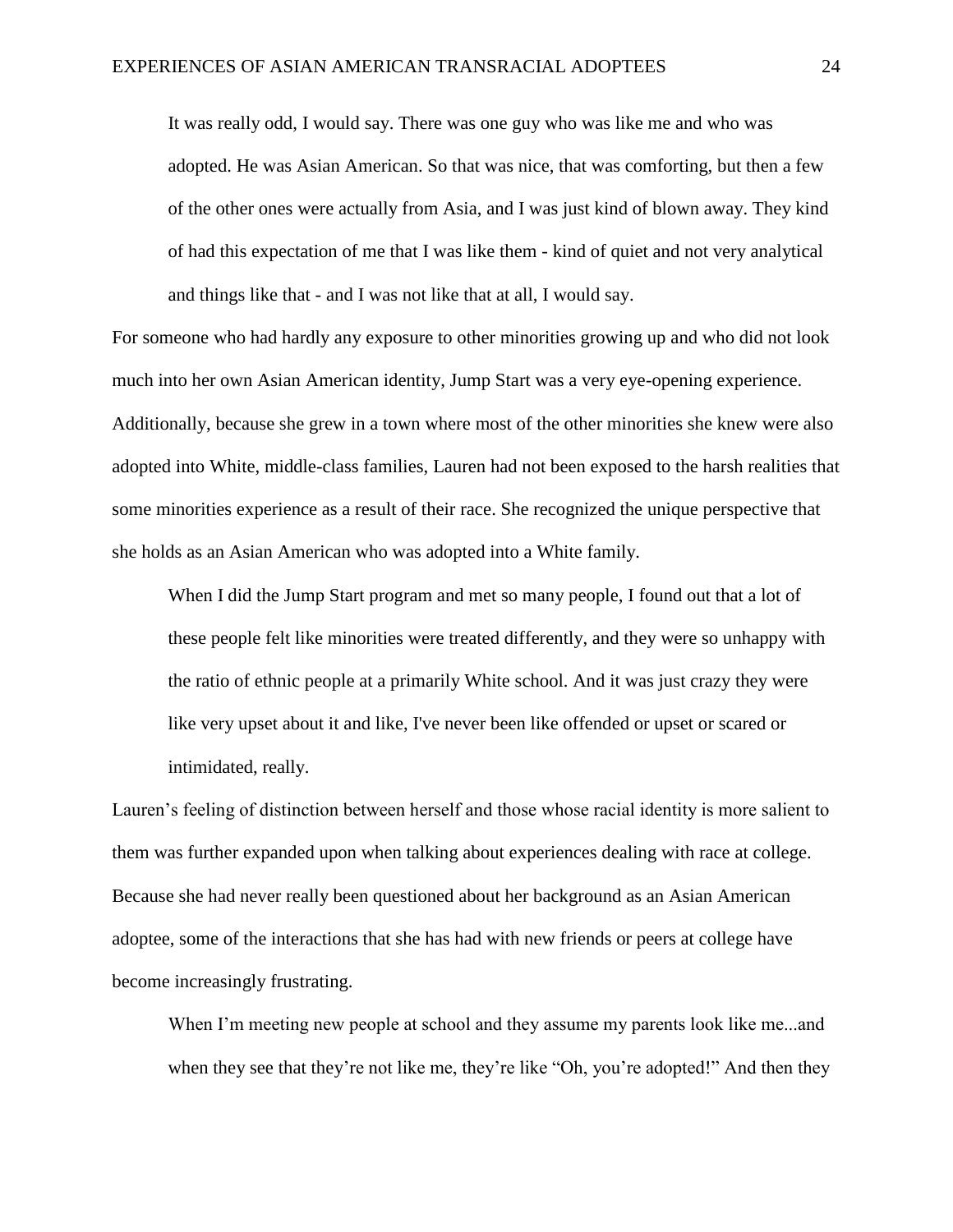It was really odd, I would say. There was one guy who was like me and who was adopted. He was Asian American. So that was nice, that was comforting, but then a few of the other ones were actually from Asia, and I was just kind of blown away. They kind of had this expectation of me that I was like them - kind of quiet and not very analytical and things like that - and I was not like that at all, I would say.

For someone who had hardly any exposure to other minorities growing up and who did not look much into her own Asian American identity, Jump Start was a very eye-opening experience. Additionally, because she grew in a town where most of the other minorities she knew were also adopted into White, middle-class families, Lauren had not been exposed to the harsh realities that some minorities experience as a result of their race. She recognized the unique perspective that she holds as an Asian American who was adopted into a White family.

When I did the Jump Start program and met so many people, I found out that a lot of these people felt like minorities were treated differently, and they were so unhappy with the ratio of ethnic people at a primarily White school. And it was just crazy they were like very upset about it and like, I've never been like offended or upset or scared or intimidated, really.

Lauren's feeling of distinction between herself and those whose racial identity is more salient to them was further expanded upon when talking about experiences dealing with race at college. Because she had never really been questioned about her background as an Asian American adoptee, some of the interactions that she has had with new friends or peers at college have become increasingly frustrating.

When I'm meeting new people at school and they assume my parents look like me...and when they see that they're not like me, they're like "Oh, you're adopted!" And then they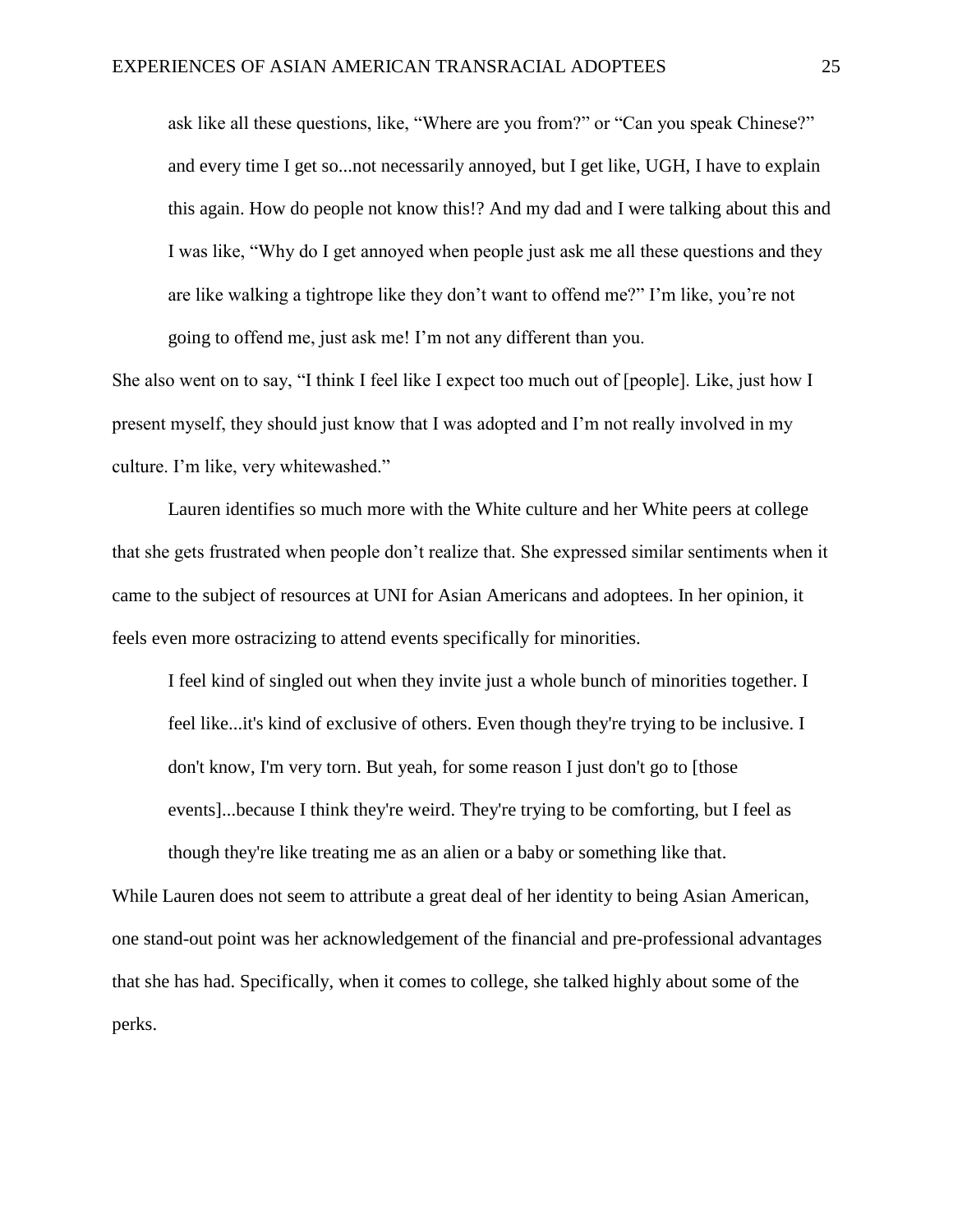ask like all these questions, like, "Where are you from?" or "Can you speak Chinese?" and every time I get so...not necessarily annoyed, but I get like, UGH, I have to explain this again. How do people not know this!? And my dad and I were talking about this and I was like, "Why do I get annoyed when people just ask me all these questions and they are like walking a tightrope like they don't want to offend me?" I'm like, you're not going to offend me, just ask me! I'm not any different than you.

She also went on to say, "I think I feel like I expect too much out of [people]. Like, just how I present myself, they should just know that I was adopted and I'm not really involved in my culture. I'm like, very whitewashed."

Lauren identifies so much more with the White culture and her White peers at college that she gets frustrated when people don't realize that. She expressed similar sentiments when it came to the subject of resources at UNI for Asian Americans and adoptees. In her opinion, it feels even more ostracizing to attend events specifically for minorities.

I feel kind of singled out when they invite just a whole bunch of minorities together. I feel like...it's kind of exclusive of others. Even though they're trying to be inclusive. I don't know, I'm very torn. But yeah, for some reason I just don't go to [those events]...because I think they're weird. They're trying to be comforting, but I feel as though they're like treating me as an alien or a baby or something like that.

While Lauren does not seem to attribute a great deal of her identity to being Asian American, one stand-out point was her acknowledgement of the financial and pre-professional advantages that she has had. Specifically, when it comes to college, she talked highly about some of the perks.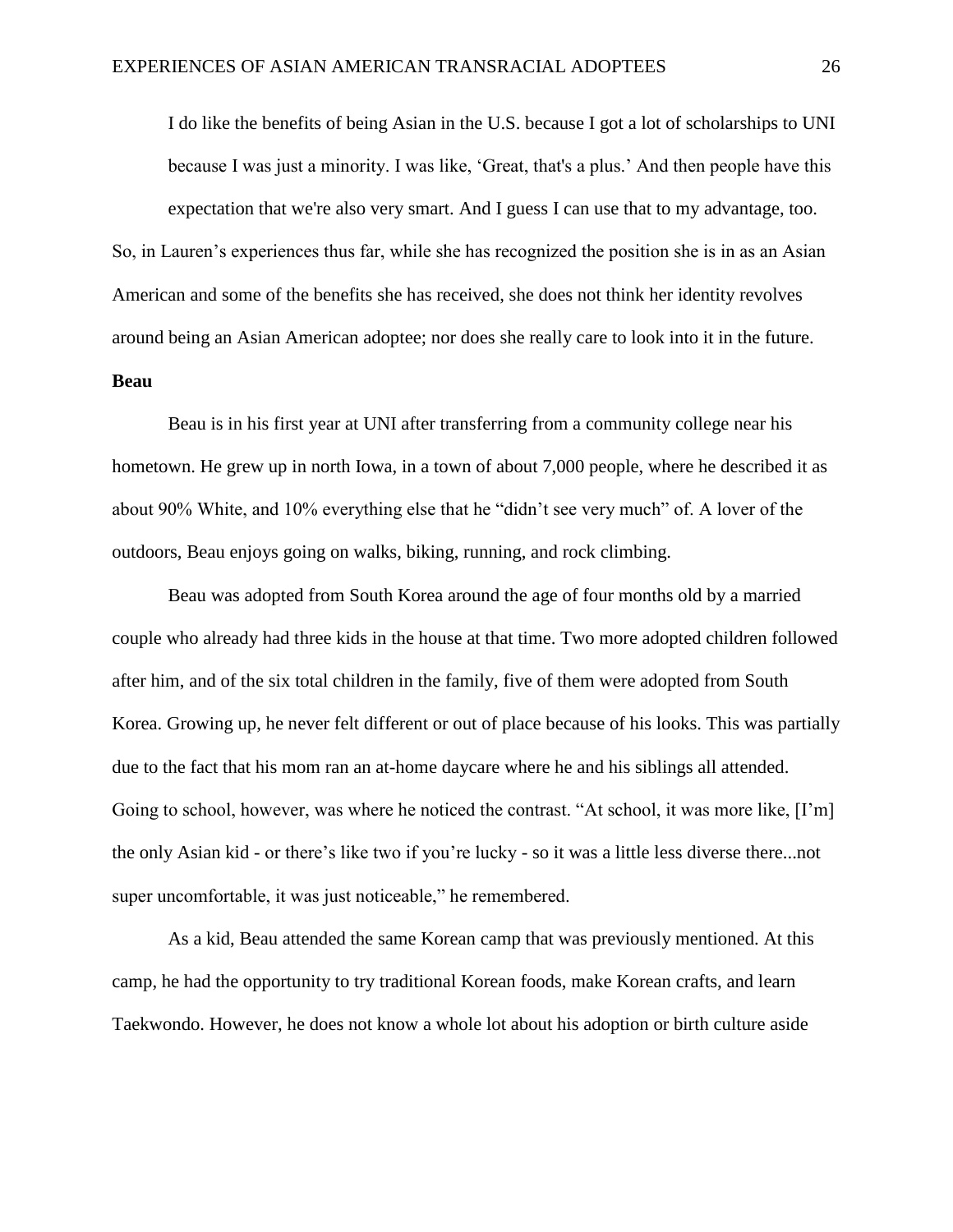I do like the benefits of being Asian in the U.S. because I got a lot of scholarships to UNI because I was just a minority. I was like, 'Great, that's a plus.' And then people have this expectation that we're also very smart. And I guess I can use that to my advantage, too. So, in Lauren's experiences thus far, while she has recognized the position she is in as an Asian American and some of the benefits she has received, she does not think her identity revolves around being an Asian American adoptee; nor does she really care to look into it in the future. **Beau**

Beau is in his first year at UNI after transferring from a community college near his hometown. He grew up in north Iowa, in a town of about 7,000 people, where he described it as about 90% White, and 10% everything else that he "didn't see very much" of. A lover of the outdoors, Beau enjoys going on walks, biking, running, and rock climbing.

Beau was adopted from South Korea around the age of four months old by a married couple who already had three kids in the house at that time. Two more adopted children followed after him, and of the six total children in the family, five of them were adopted from South Korea. Growing up, he never felt different or out of place because of his looks. This was partially due to the fact that his mom ran an at-home daycare where he and his siblings all attended. Going to school, however, was where he noticed the contrast. "At school, it was more like, [I'm] the only Asian kid - or there's like two if you're lucky - so it was a little less diverse there...not super uncomfortable, it was just noticeable," he remembered.

As a kid, Beau attended the same Korean camp that was previously mentioned. At this camp, he had the opportunity to try traditional Korean foods, make Korean crafts, and learn Taekwondo. However, he does not know a whole lot about his adoption or birth culture aside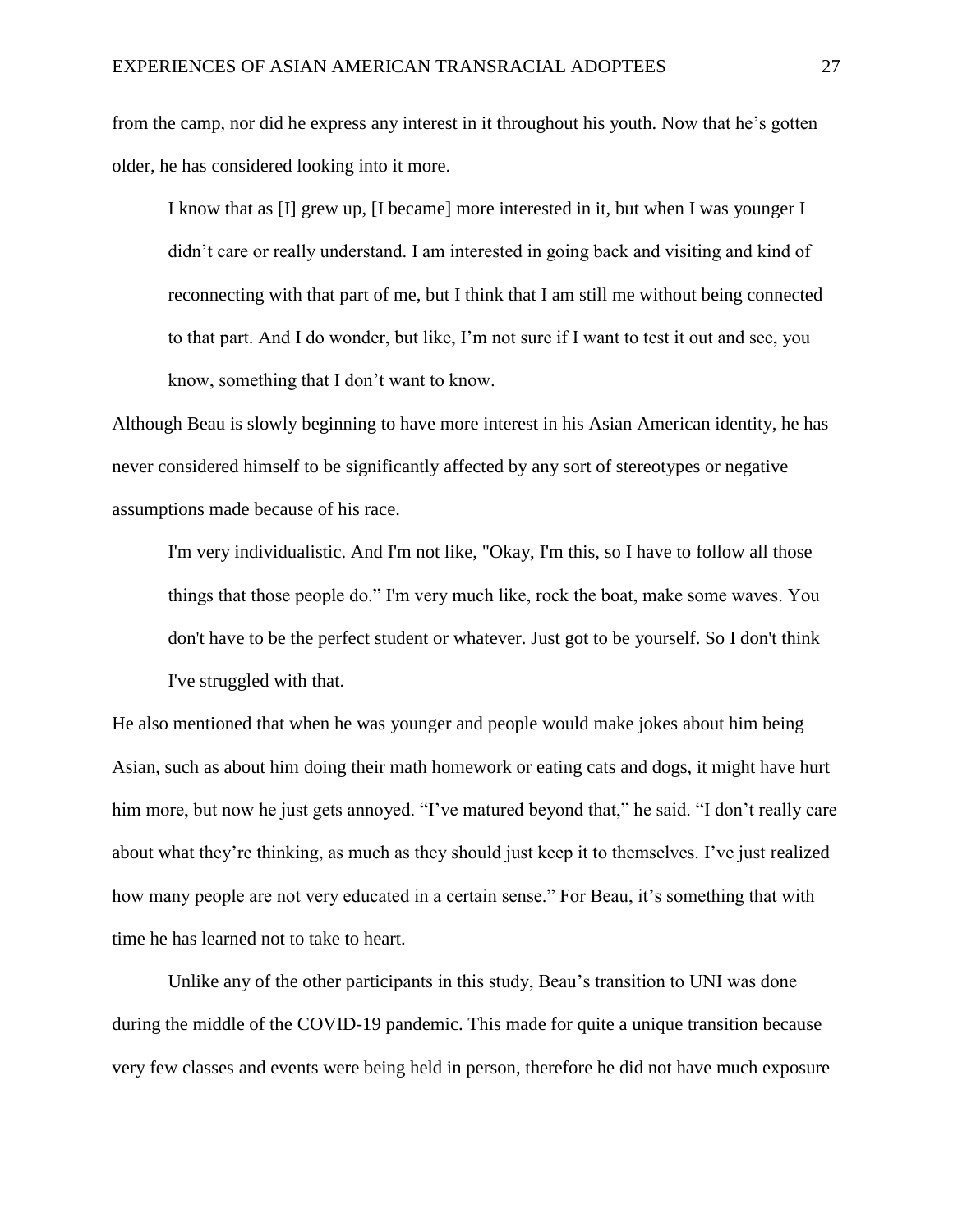from the camp, nor did he express any interest in it throughout his youth. Now that he's gotten older, he has considered looking into it more.

I know that as [I] grew up, [I became] more interested in it, but when I was younger I didn't care or really understand. I am interested in going back and visiting and kind of reconnecting with that part of me, but I think that I am still me without being connected to that part. And I do wonder, but like, I'm not sure if I want to test it out and see, you know, something that I don't want to know.

Although Beau is slowly beginning to have more interest in his Asian American identity, he has never considered himself to be significantly affected by any sort of stereotypes or negative assumptions made because of his race.

I'm very individualistic. And I'm not like, "Okay, I'm this, so I have to follow all those things that those people do." I'm very much like, rock the boat, make some waves. You don't have to be the perfect student or whatever. Just got to be yourself. So I don't think I've struggled with that.

He also mentioned that when he was younger and people would make jokes about him being Asian, such as about him doing their math homework or eating cats and dogs, it might have hurt him more, but now he just gets annoyed. "I've matured beyond that," he said. "I don't really care about what they're thinking, as much as they should just keep it to themselves. I've just realized how many people are not very educated in a certain sense." For Beau, it's something that with time he has learned not to take to heart.

Unlike any of the other participants in this study, Beau's transition to UNI was done during the middle of the COVID-19 pandemic. This made for quite a unique transition because very few classes and events were being held in person, therefore he did not have much exposure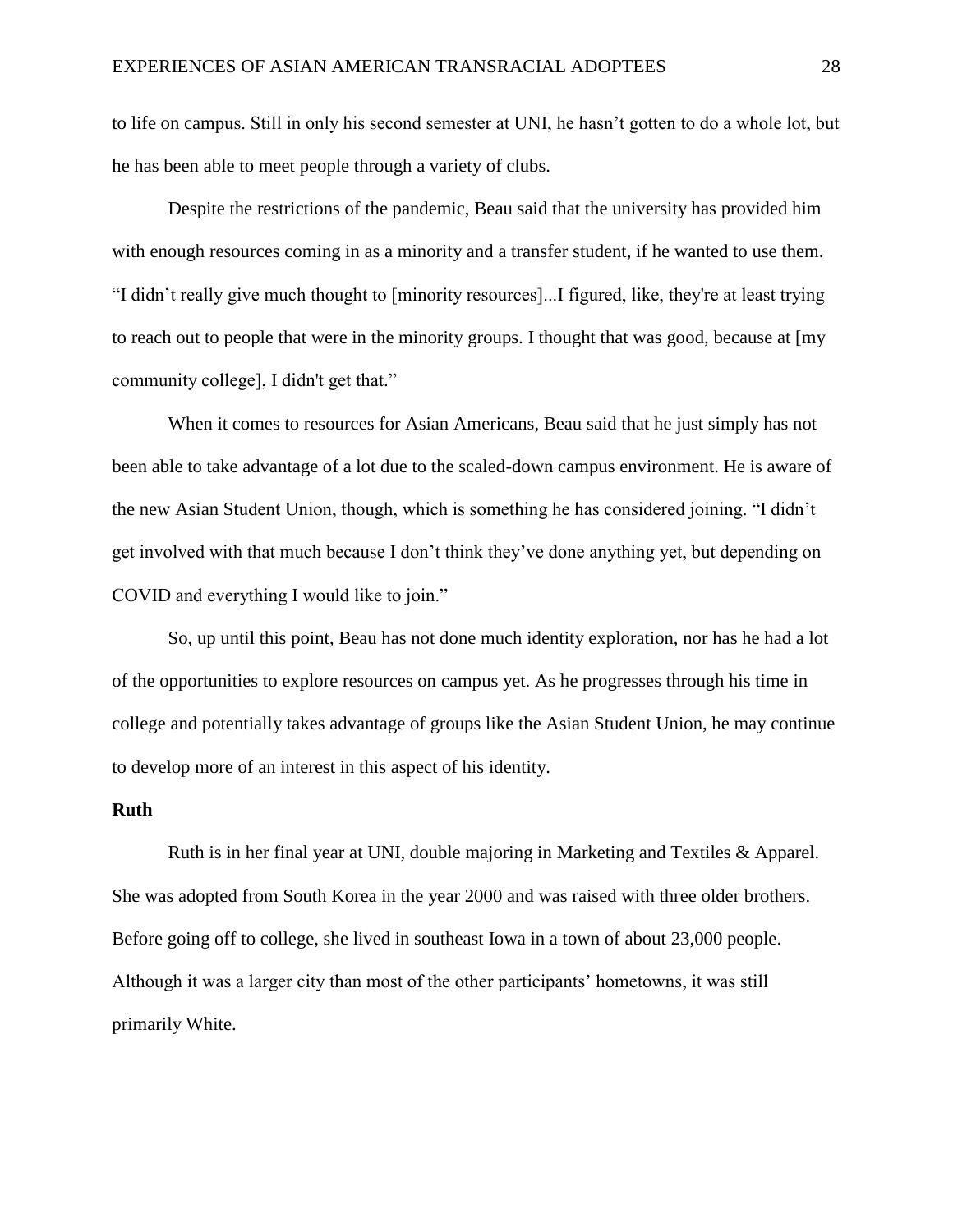to life on campus. Still in only his second semester at UNI, he hasn't gotten to do a whole lot, but he has been able to meet people through a variety of clubs.

Despite the restrictions of the pandemic, Beau said that the university has provided him with enough resources coming in as a minority and a transfer student, if he wanted to use them. "I didn't really give much thought to [minority resources]...I figured, like, they're at least trying to reach out to people that were in the minority groups. I thought that was good, because at [my community college], I didn't get that."

When it comes to resources for Asian Americans, Beau said that he just simply has not been able to take advantage of a lot due to the scaled-down campus environment. He is aware of the new Asian Student Union, though, which is something he has considered joining. "I didn't get involved with that much because I don't think they've done anything yet, but depending on COVID and everything I would like to join."

So, up until this point, Beau has not done much identity exploration, nor has he had a lot of the opportunities to explore resources on campus yet. As he progresses through his time in college and potentially takes advantage of groups like the Asian Student Union, he may continue to develop more of an interest in this aspect of his identity.

#### **Ruth**

Ruth is in her final year at UNI, double majoring in Marketing and Textiles & Apparel. She was adopted from South Korea in the year 2000 and was raised with three older brothers. Before going off to college, she lived in southeast Iowa in a town of about 23,000 people. Although it was a larger city than most of the other participants' hometowns, it was still primarily White.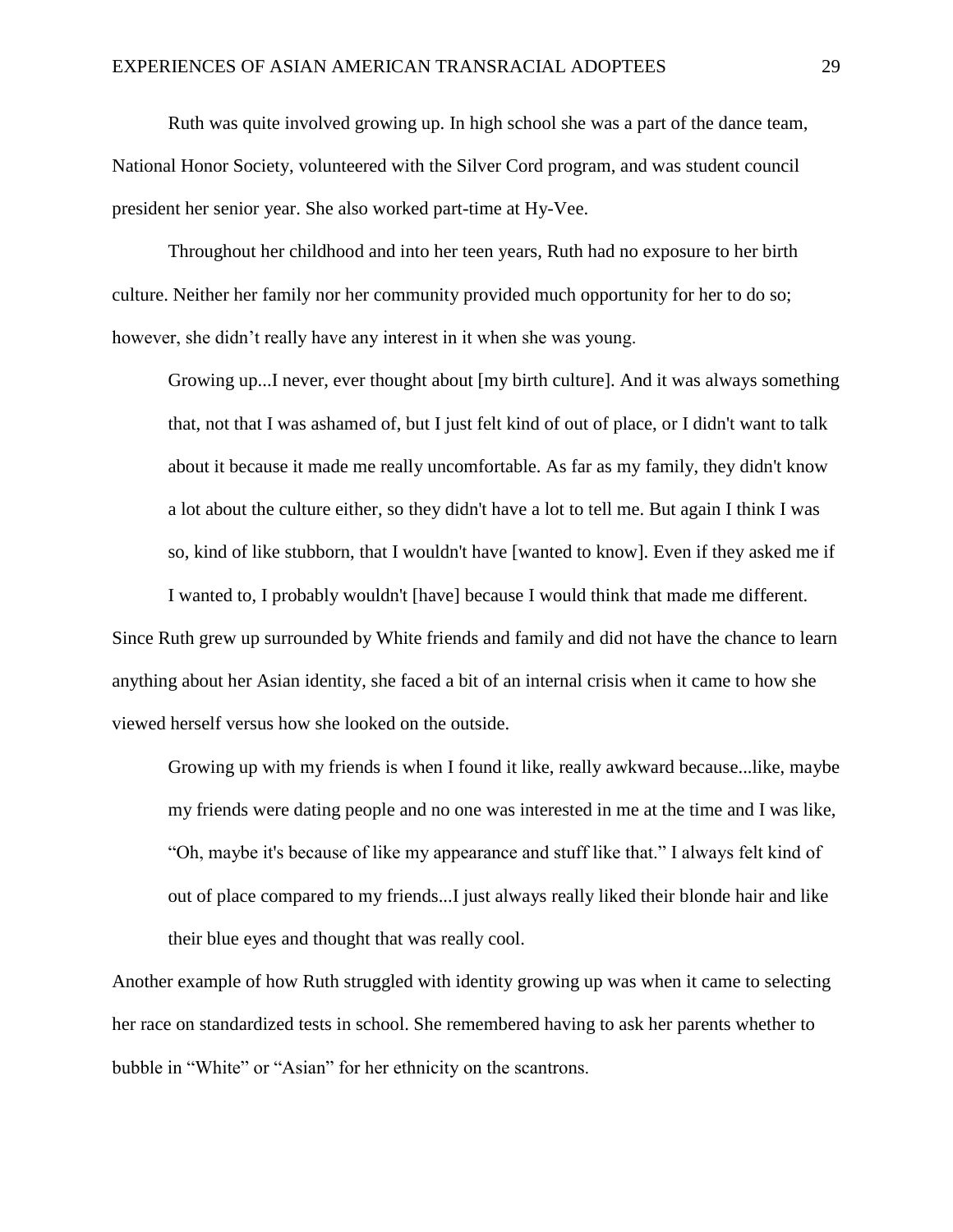Ruth was quite involved growing up. In high school she was a part of the dance team, National Honor Society, volunteered with the Silver Cord program, and was student council president her senior year. She also worked part-time at Hy-Vee.

Throughout her childhood and into her teen years, Ruth had no exposure to her birth culture. Neither her family nor her community provided much opportunity for her to do so; however, she didn't really have any interest in it when she was young.

Growing up...I never, ever thought about [my birth culture]. And it was always something that, not that I was ashamed of, but I just felt kind of out of place, or I didn't want to talk about it because it made me really uncomfortable. As far as my family, they didn't know a lot about the culture either, so they didn't have a lot to tell me. But again I think I was so, kind of like stubborn, that I wouldn't have [wanted to know]. Even if they asked me if

I wanted to, I probably wouldn't [have] because I would think that made me different. Since Ruth grew up surrounded by White friends and family and did not have the chance to learn anything about her Asian identity, she faced a bit of an internal crisis when it came to how she viewed herself versus how she looked on the outside.

Growing up with my friends is when I found it like, really awkward because...like, maybe my friends were dating people and no one was interested in me at the time and I was like, "Oh, maybe it's because of like my appearance and stuff like that." I always felt kind of out of place compared to my friends...I just always really liked their blonde hair and like their blue eyes and thought that was really cool.

Another example of how Ruth struggled with identity growing up was when it came to selecting her race on standardized tests in school. She remembered having to ask her parents whether to bubble in "White" or "Asian" for her ethnicity on the scantrons.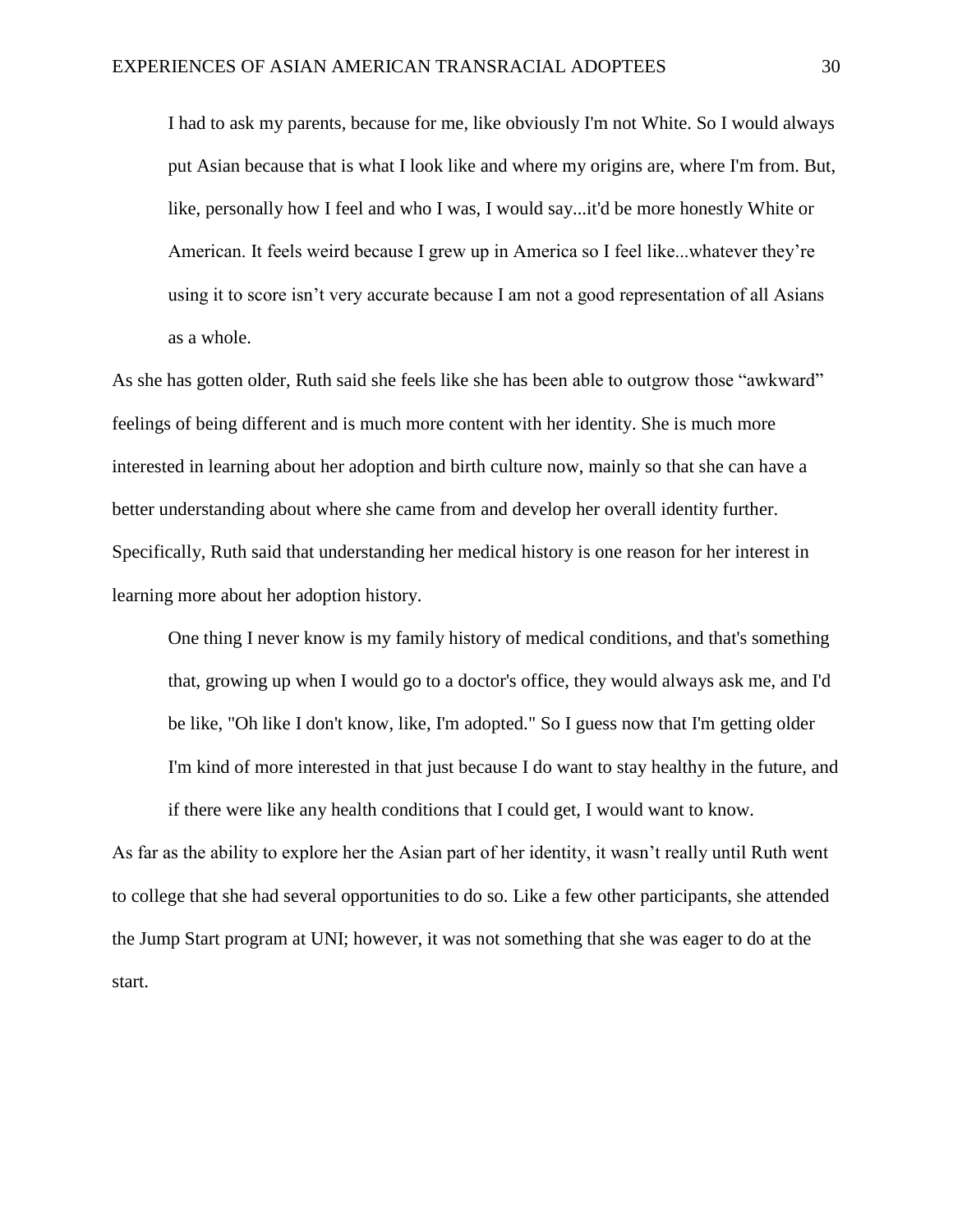I had to ask my parents, because for me, like obviously I'm not White. So I would always put Asian because that is what I look like and where my origins are, where I'm from. But, like, personally how I feel and who I was, I would say...it'd be more honestly White or American. It feels weird because I grew up in America so I feel like...whatever they're using it to score isn't very accurate because I am not a good representation of all Asians as a whole.

As she has gotten older, Ruth said she feels like she has been able to outgrow those "awkward" feelings of being different and is much more content with her identity. She is much more interested in learning about her adoption and birth culture now, mainly so that she can have a better understanding about where she came from and develop her overall identity further. Specifically, Ruth said that understanding her medical history is one reason for her interest in learning more about her adoption history.

One thing I never know is my family history of medical conditions, and that's something that, growing up when I would go to a doctor's office, they would always ask me, and I'd be like, "Oh like I don't know, like, I'm adopted." So I guess now that I'm getting older I'm kind of more interested in that just because I do want to stay healthy in the future, and if there were like any health conditions that I could get, I would want to know.

As far as the ability to explore her the Asian part of her identity, it wasn't really until Ruth went to college that she had several opportunities to do so. Like a few other participants, she attended the Jump Start program at UNI; however, it was not something that she was eager to do at the start.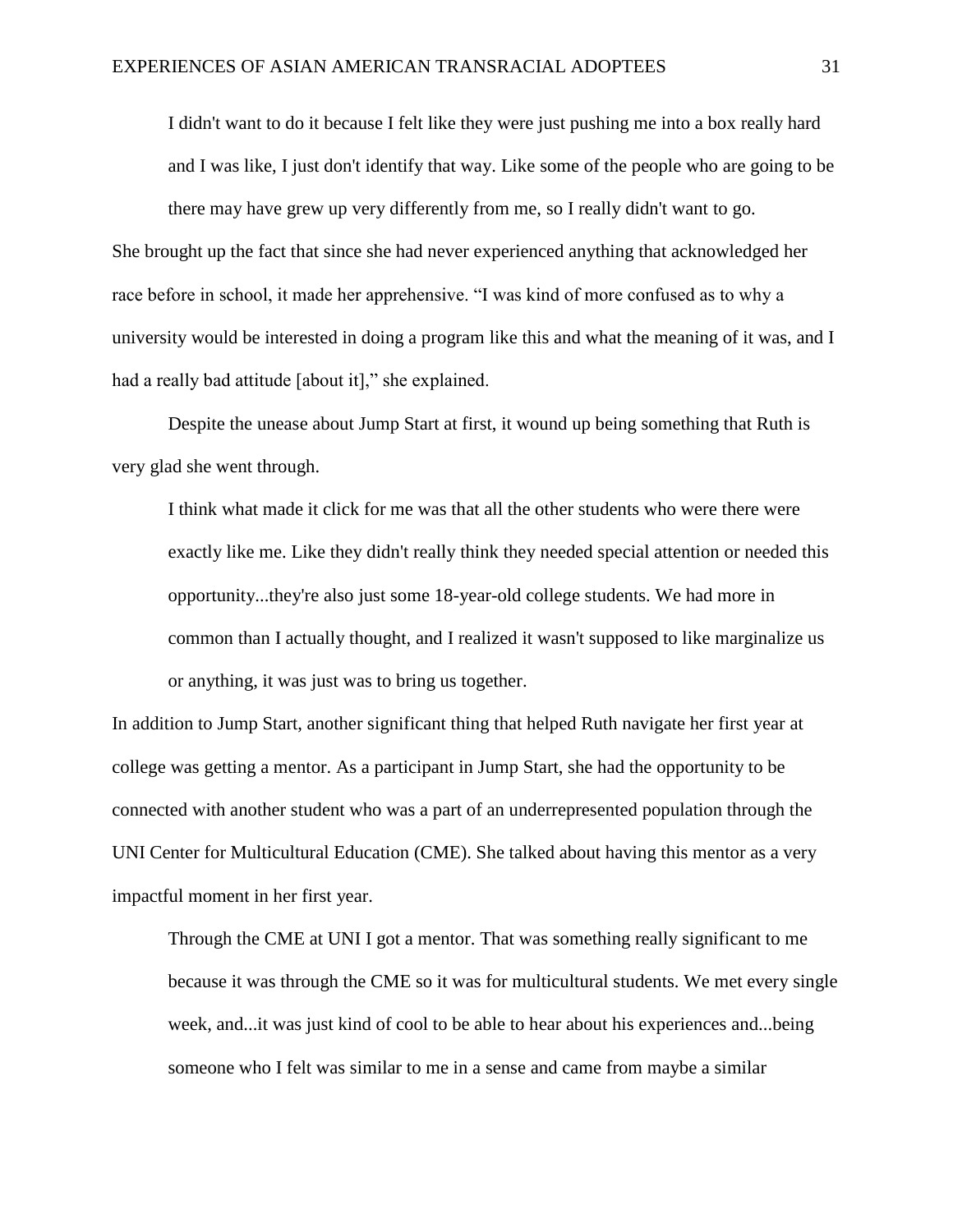I didn't want to do it because I felt like they were just pushing me into a box really hard and I was like, I just don't identify that way. Like some of the people who are going to be there may have grew up very differently from me, so I really didn't want to go.

She brought up the fact that since she had never experienced anything that acknowledged her race before in school, it made her apprehensive. "I was kind of more confused as to why a university would be interested in doing a program like this and what the meaning of it was, and I had a really bad attitude [about it]," she explained.

Despite the unease about Jump Start at first, it wound up being something that Ruth is very glad she went through.

I think what made it click for me was that all the other students who were there were exactly like me. Like they didn't really think they needed special attention or needed this opportunity...they're also just some 18-year-old college students. We had more in common than I actually thought, and I realized it wasn't supposed to like marginalize us or anything, it was just was to bring us together.

In addition to Jump Start, another significant thing that helped Ruth navigate her first year at college was getting a mentor. As a participant in Jump Start, she had the opportunity to be connected with another student who was a part of an underrepresented population through the UNI Center for Multicultural Education (CME). She talked about having this mentor as a very impactful moment in her first year.

Through the CME at UNI I got a mentor. That was something really significant to me because it was through the CME so it was for multicultural students. We met every single week, and...it was just kind of cool to be able to hear about his experiences and...being someone who I felt was similar to me in a sense and came from maybe a similar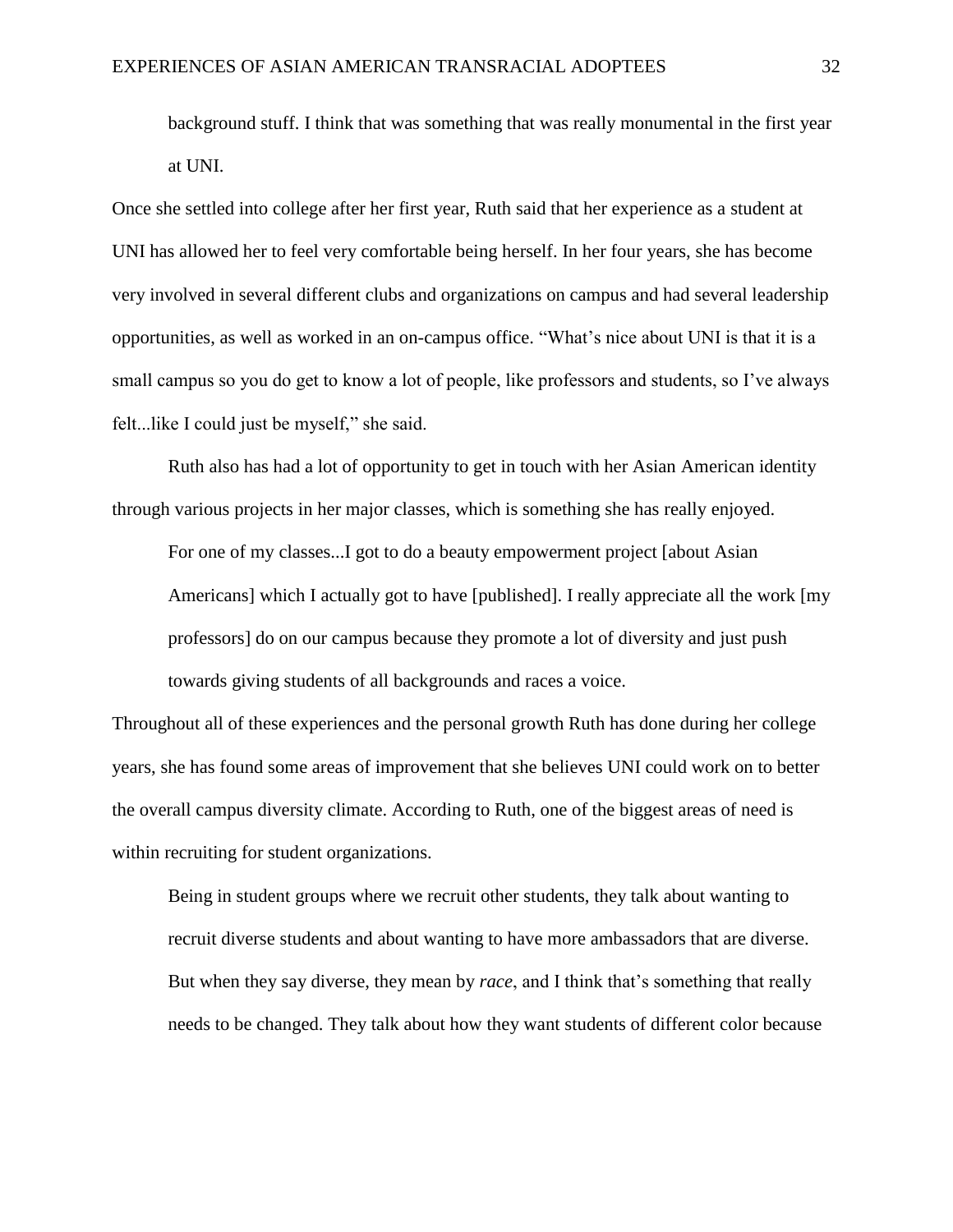background stuff. I think that was something that was really monumental in the first year at UNI.

Once she settled into college after her first year, Ruth said that her experience as a student at UNI has allowed her to feel very comfortable being herself. In her four years, she has become very involved in several different clubs and organizations on campus and had several leadership opportunities, as well as worked in an on-campus office. "What's nice about UNI is that it is a small campus so you do get to know a lot of people, like professors and students, so I've always felt...like I could just be myself," she said.

Ruth also has had a lot of opportunity to get in touch with her Asian American identity through various projects in her major classes, which is something she has really enjoyed.

For one of my classes...I got to do a beauty empowerment project [about Asian Americans] which I actually got to have [published]. I really appreciate all the work [my professors] do on our campus because they promote a lot of diversity and just push towards giving students of all backgrounds and races a voice.

Throughout all of these experiences and the personal growth Ruth has done during her college years, she has found some areas of improvement that she believes UNI could work on to better the overall campus diversity climate. According to Ruth, one of the biggest areas of need is within recruiting for student organizations.

Being in student groups where we recruit other students, they talk about wanting to recruit diverse students and about wanting to have more ambassadors that are diverse. But when they say diverse, they mean by *race*, and I think that's something that really needs to be changed. They talk about how they want students of different color because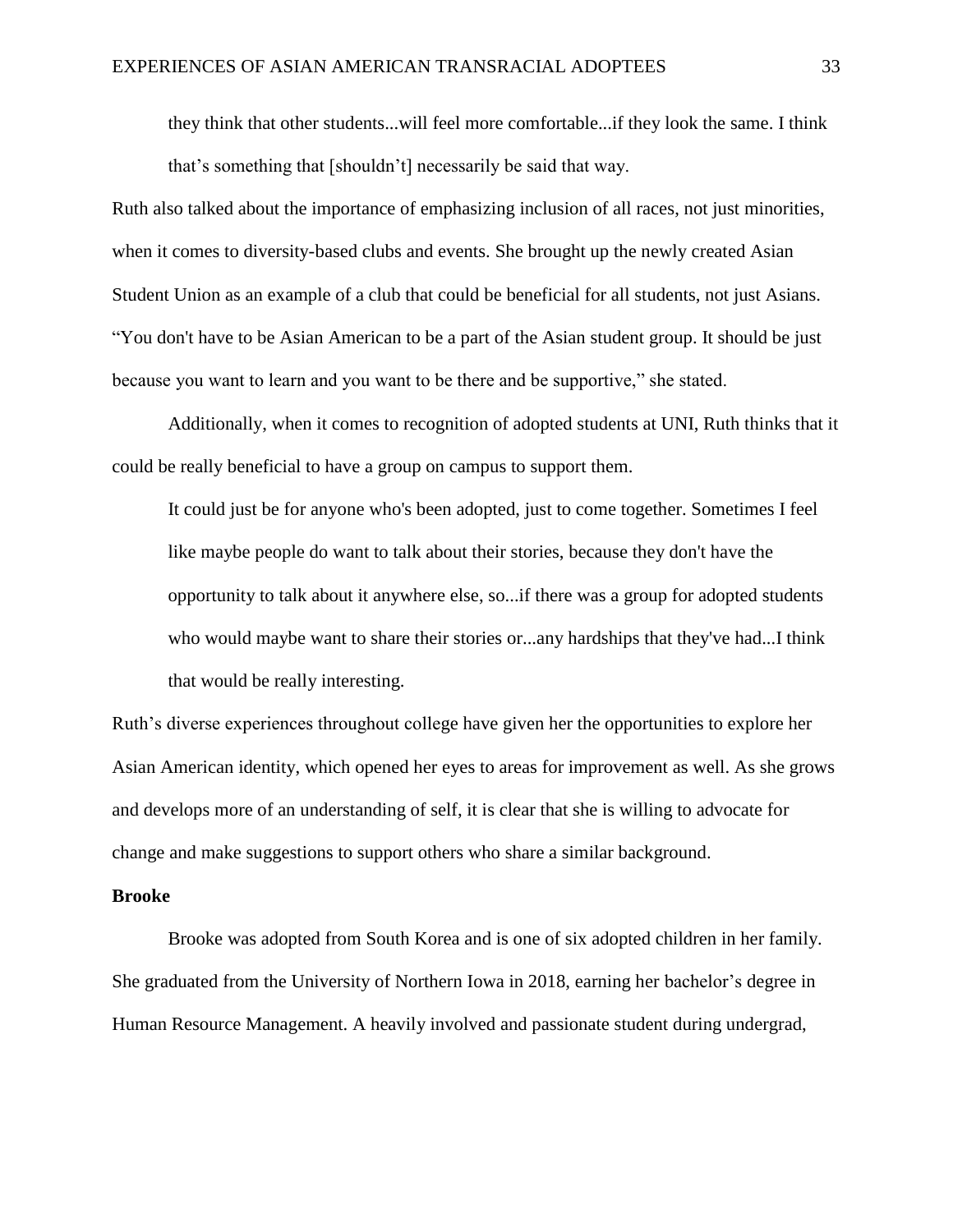they think that other students...will feel more comfortable...if they look the same. I think that's something that [shouldn't] necessarily be said that way.

Ruth also talked about the importance of emphasizing inclusion of all races, not just minorities, when it comes to diversity-based clubs and events. She brought up the newly created Asian Student Union as an example of a club that could be beneficial for all students, not just Asians. "You don't have to be Asian American to be a part of the Asian student group. It should be just because you want to learn and you want to be there and be supportive," she stated.

Additionally, when it comes to recognition of adopted students at UNI, Ruth thinks that it could be really beneficial to have a group on campus to support them.

It could just be for anyone who's been adopted, just to come together. Sometimes I feel like maybe people do want to talk about their stories, because they don't have the opportunity to talk about it anywhere else, so...if there was a group for adopted students who would maybe want to share their stories or...any hardships that they've had...I think that would be really interesting.

Ruth's diverse experiences throughout college have given her the opportunities to explore her Asian American identity, which opened her eyes to areas for improvement as well. As she grows and develops more of an understanding of self, it is clear that she is willing to advocate for change and make suggestions to support others who share a similar background.

#### **Brooke**

Brooke was adopted from South Korea and is one of six adopted children in her family. She graduated from the University of Northern Iowa in 2018, earning her bachelor's degree in Human Resource Management. A heavily involved and passionate student during undergrad,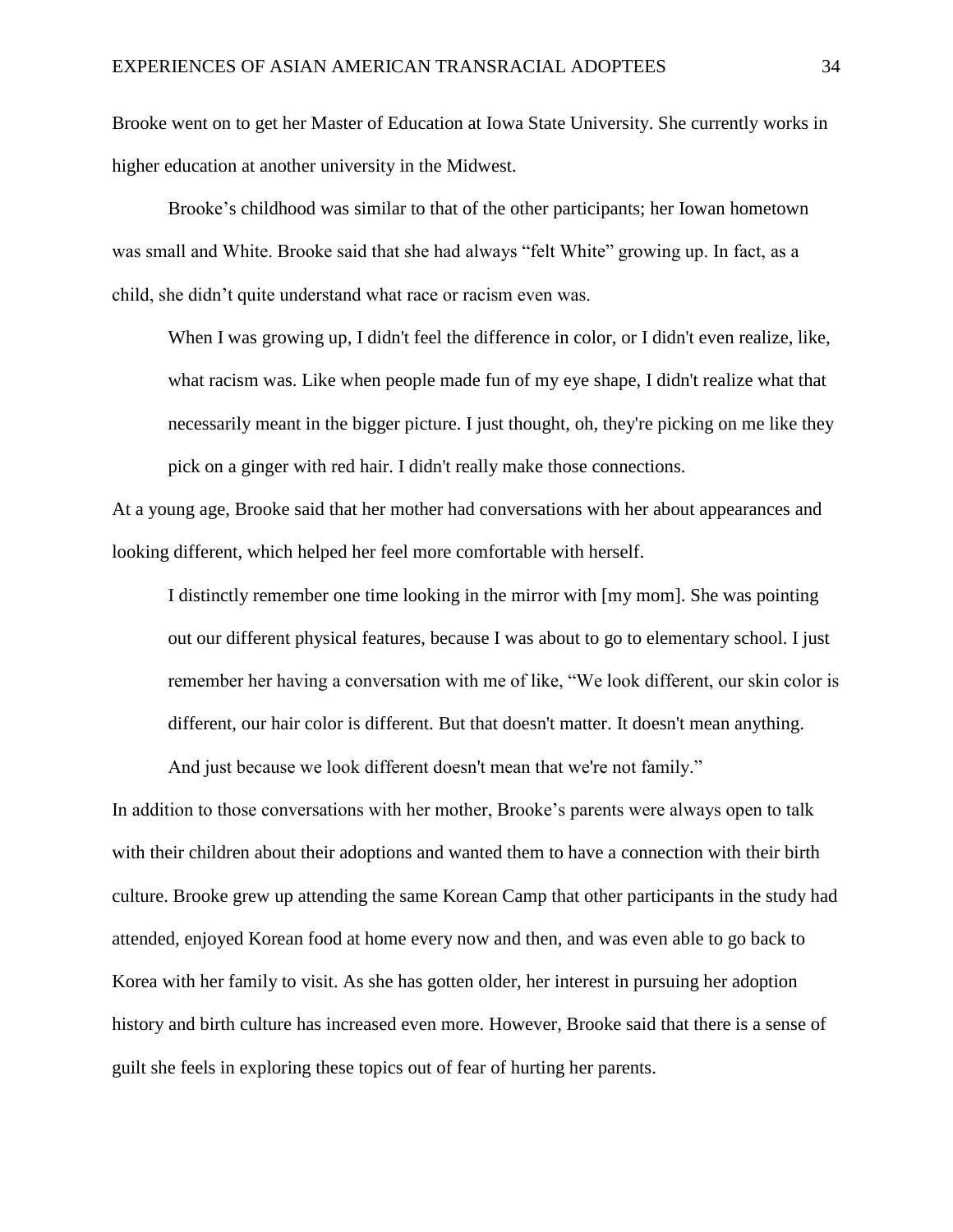Brooke went on to get her Master of Education at Iowa State University. She currently works in higher education at another university in the Midwest.

Brooke's childhood was similar to that of the other participants; her Iowan hometown was small and White. Brooke said that she had always "felt White" growing up. In fact, as a child, she didn't quite understand what race or racism even was.

When I was growing up, I didn't feel the difference in color, or I didn't even realize, like, what racism was. Like when people made fun of my eye shape, I didn't realize what that necessarily meant in the bigger picture. I just thought, oh, they're picking on me like they pick on a ginger with red hair. I didn't really make those connections.

At a young age, Brooke said that her mother had conversations with her about appearances and looking different, which helped her feel more comfortable with herself.

I distinctly remember one time looking in the mirror with [my mom]. She was pointing out our different physical features, because I was about to go to elementary school. I just remember her having a conversation with me of like, "We look different, our skin color is different, our hair color is different. But that doesn't matter. It doesn't mean anything.

And just because we look different doesn't mean that we're not family."

In addition to those conversations with her mother, Brooke's parents were always open to talk with their children about their adoptions and wanted them to have a connection with their birth culture. Brooke grew up attending the same Korean Camp that other participants in the study had attended, enjoyed Korean food at home every now and then, and was even able to go back to Korea with her family to visit. As she has gotten older, her interest in pursuing her adoption history and birth culture has increased even more. However, Brooke said that there is a sense of guilt she feels in exploring these topics out of fear of hurting her parents.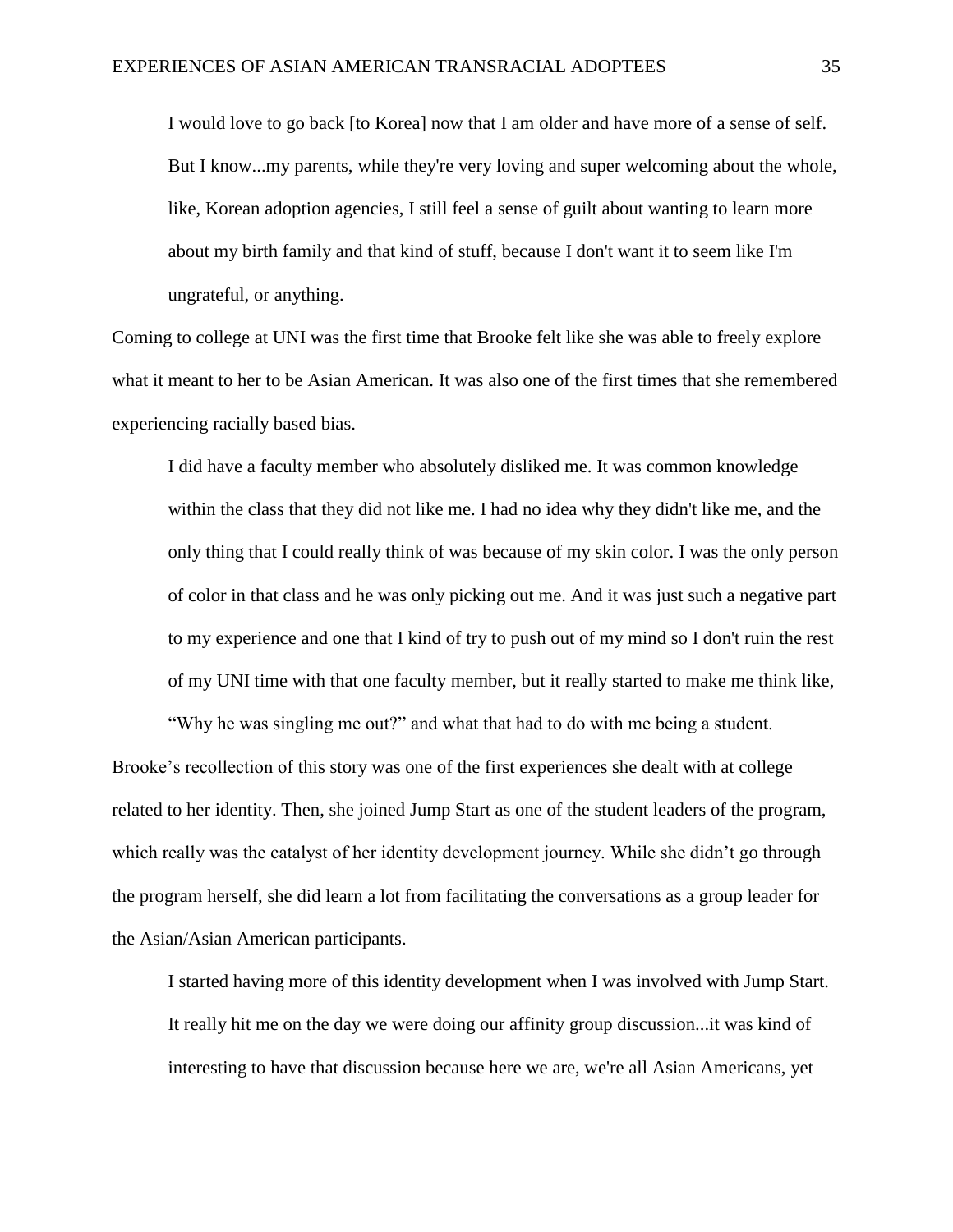I would love to go back [to Korea] now that I am older and have more of a sense of self. But I know...my parents, while they're very loving and super welcoming about the whole, like, Korean adoption agencies, I still feel a sense of guilt about wanting to learn more about my birth family and that kind of stuff, because I don't want it to seem like I'm ungrateful, or anything.

Coming to college at UNI was the first time that Brooke felt like she was able to freely explore what it meant to her to be Asian American. It was also one of the first times that she remembered experiencing racially based bias.

I did have a faculty member who absolutely disliked me. It was common knowledge within the class that they did not like me. I had no idea why they didn't like me, and the only thing that I could really think of was because of my skin color. I was the only person of color in that class and he was only picking out me. And it was just such a negative part to my experience and one that I kind of try to push out of my mind so I don't ruin the rest of my UNI time with that one faculty member, but it really started to make me think like,

"Why he was singling me out?" and what that had to do with me being a student. Brooke's recollection of this story was one of the first experiences she dealt with at college related to her identity. Then, she joined Jump Start as one of the student leaders of the program, which really was the catalyst of her identity development journey. While she didn't go through the program herself, she did learn a lot from facilitating the conversations as a group leader for the Asian/Asian American participants.

I started having more of this identity development when I was involved with Jump Start. It really hit me on the day we were doing our affinity group discussion...it was kind of interesting to have that discussion because here we are, we're all Asian Americans, yet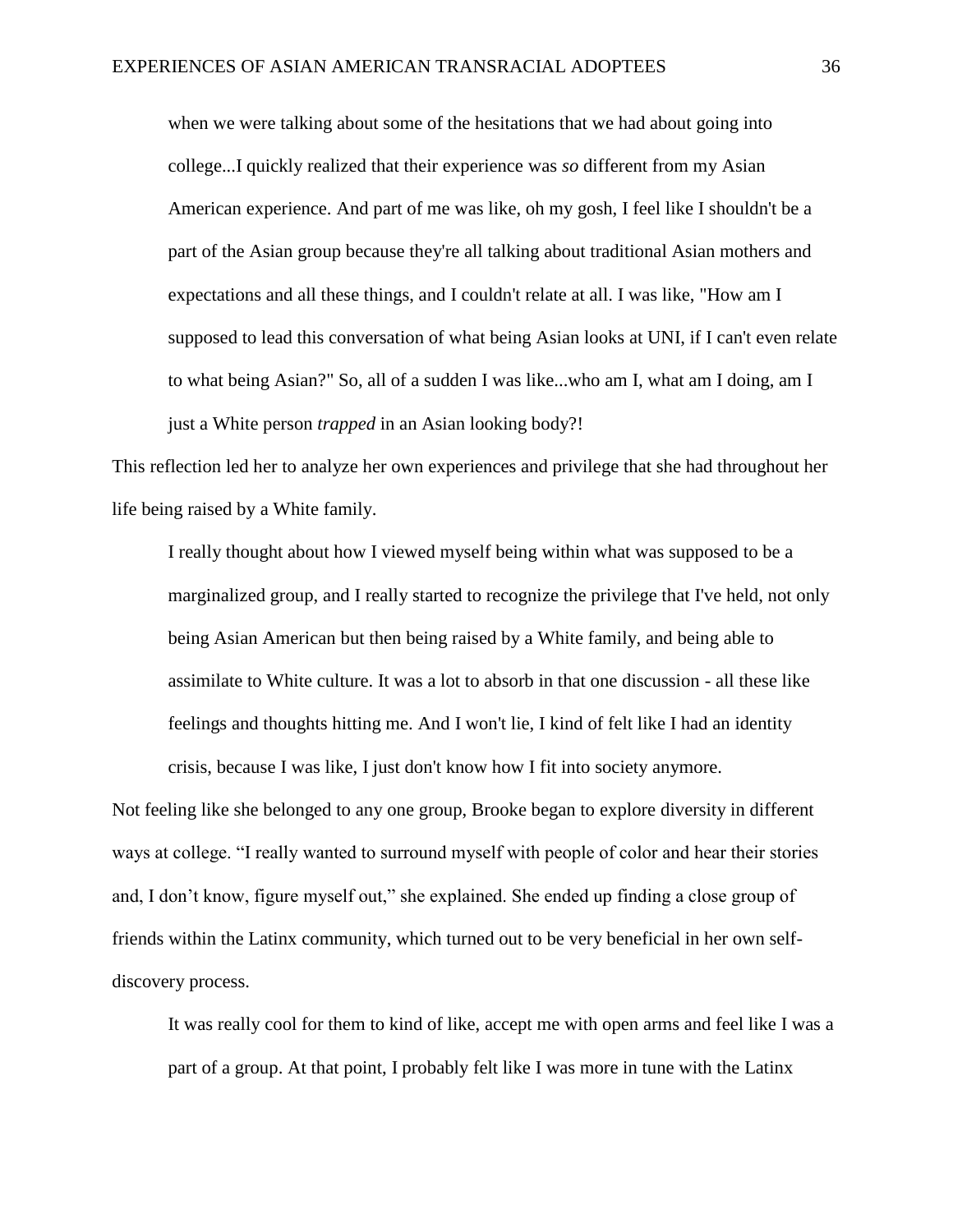when we were talking about some of the hesitations that we had about going into college...I quickly realized that their experience was *so* different from my Asian American experience. And part of me was like, oh my gosh, I feel like I shouldn't be a part of the Asian group because they're all talking about traditional Asian mothers and expectations and all these things, and I couldn't relate at all. I was like, "How am I supposed to lead this conversation of what being Asian looks at UNI, if I can't even relate to what being Asian?" So, all of a sudden I was like...who am I, what am I doing, am I just a White person *trapped* in an Asian looking body?!

This reflection led her to analyze her own experiences and privilege that she had throughout her life being raised by a White family.

I really thought about how I viewed myself being within what was supposed to be a marginalized group, and I really started to recognize the privilege that I've held, not only being Asian American but then being raised by a White family, and being able to assimilate to White culture. It was a lot to absorb in that one discussion - all these like feelings and thoughts hitting me. And I won't lie, I kind of felt like I had an identity crisis, because I was like, I just don't know how I fit into society anymore.

Not feeling like she belonged to any one group, Brooke began to explore diversity in different ways at college. "I really wanted to surround myself with people of color and hear their stories and, I don't know, figure myself out," she explained. She ended up finding a close group of friends within the Latinx community, which turned out to be very beneficial in her own selfdiscovery process.

It was really cool for them to kind of like, accept me with open arms and feel like I was a part of a group. At that point, I probably felt like I was more in tune with the Latinx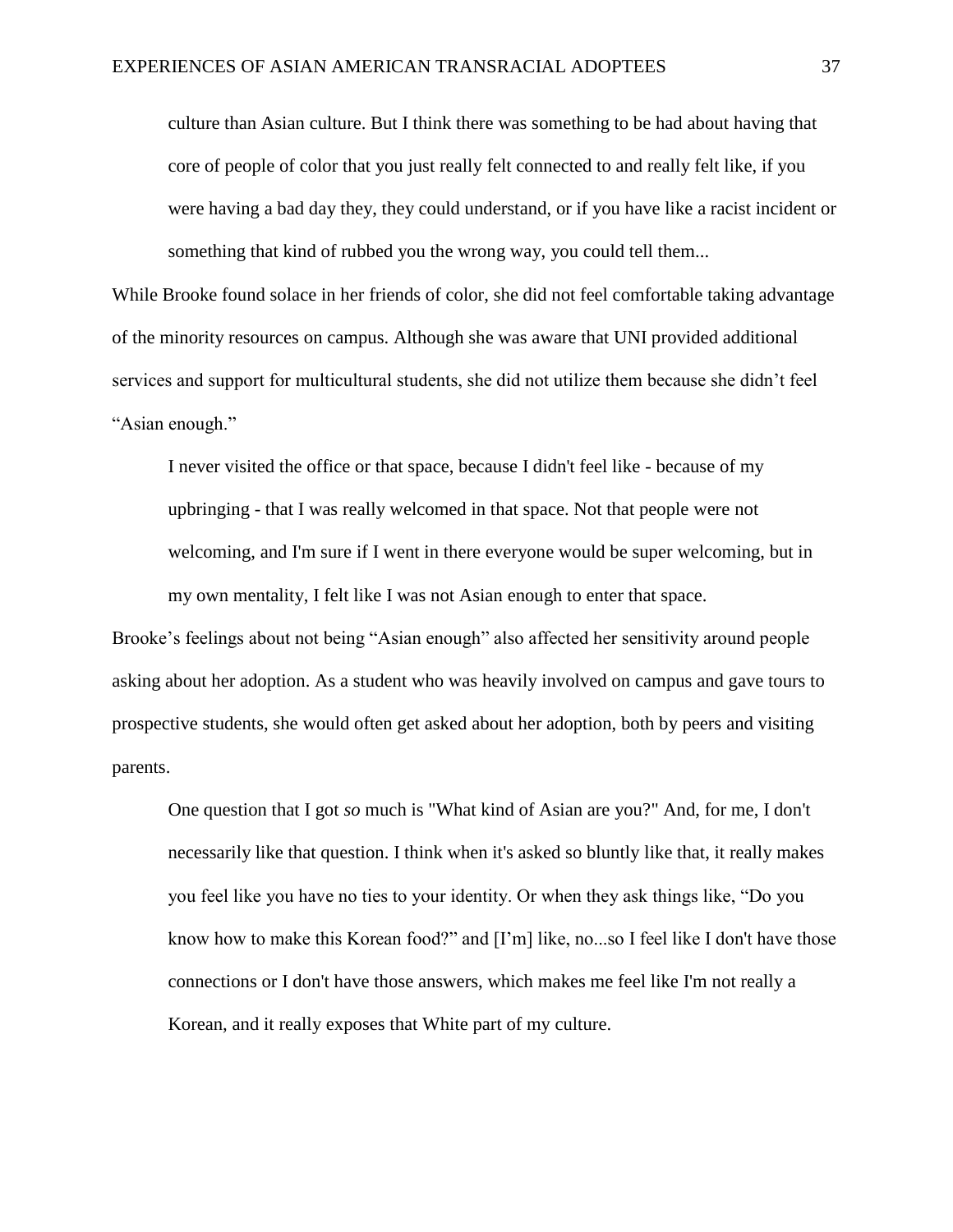culture than Asian culture. But I think there was something to be had about having that core of people of color that you just really felt connected to and really felt like, if you were having a bad day they, they could understand, or if you have like a racist incident or something that kind of rubbed you the wrong way, you could tell them...

While Brooke found solace in her friends of color, she did not feel comfortable taking advantage of the minority resources on campus. Although she was aware that UNI provided additional services and support for multicultural students, she did not utilize them because she didn't feel "Asian enough."

I never visited the office or that space, because I didn't feel like - because of my upbringing - that I was really welcomed in that space. Not that people were not welcoming, and I'm sure if I went in there everyone would be super welcoming, but in my own mentality, I felt like I was not Asian enough to enter that space.

Brooke's feelings about not being "Asian enough" also affected her sensitivity around people asking about her adoption. As a student who was heavily involved on campus and gave tours to prospective students, she would often get asked about her adoption, both by peers and visiting parents.

One question that I got *so* much is "What kind of Asian are you?" And, for me, I don't necessarily like that question. I think when it's asked so bluntly like that, it really makes you feel like you have no ties to your identity. Or when they ask things like, "Do you know how to make this Korean food?" and [I'm] like, no...so I feel like I don't have those connections or I don't have those answers, which makes me feel like I'm not really a Korean, and it really exposes that White part of my culture.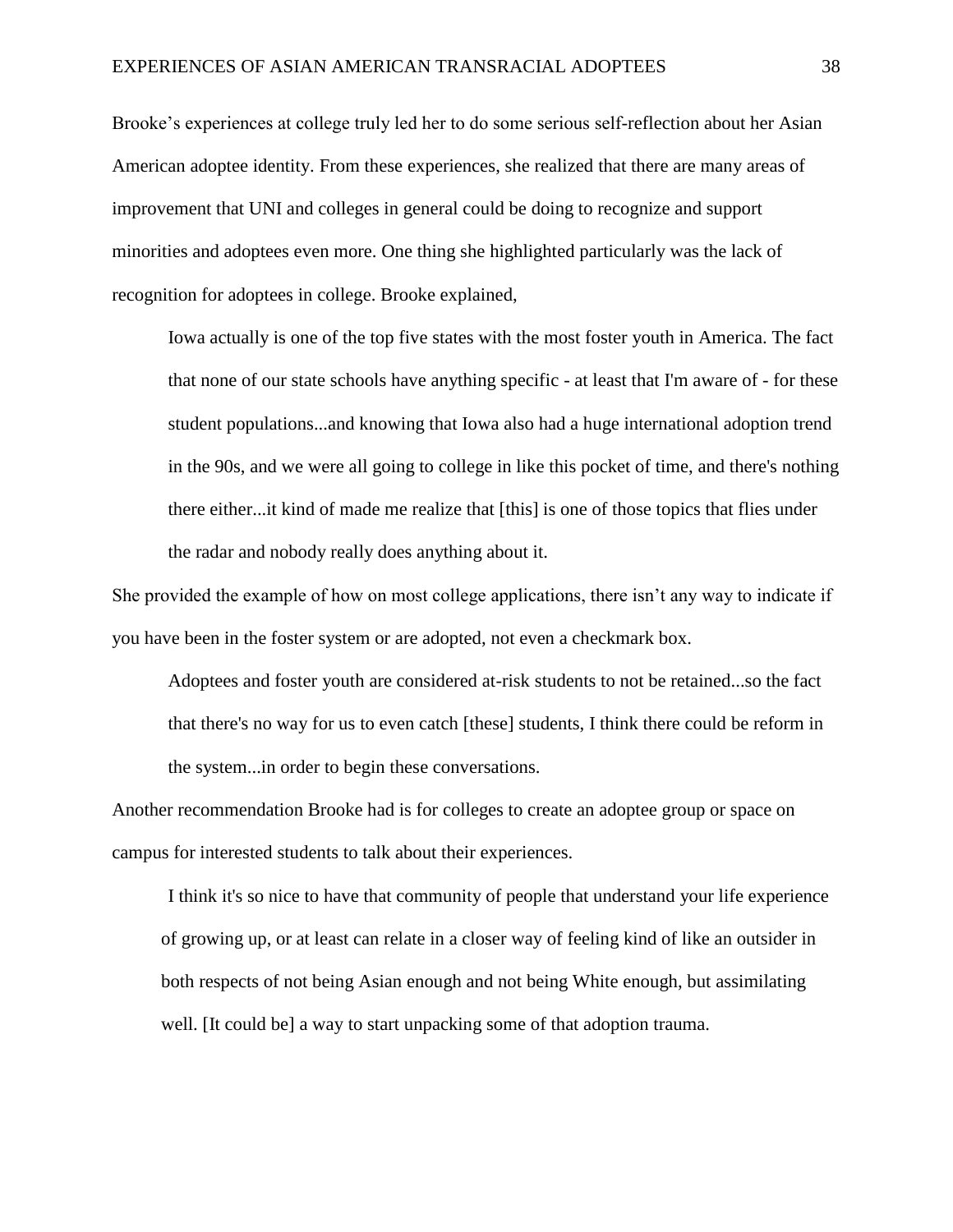Brooke's experiences at college truly led her to do some serious self-reflection about her Asian American adoptee identity. From these experiences, she realized that there are many areas of improvement that UNI and colleges in general could be doing to recognize and support minorities and adoptees even more. One thing she highlighted particularly was the lack of recognition for adoptees in college. Brooke explained,

Iowa actually is one of the top five states with the most foster youth in America. The fact that none of our state schools have anything specific - at least that I'm aware of - for these student populations...and knowing that Iowa also had a huge international adoption trend in the 90s, and we were all going to college in like this pocket of time, and there's nothing there either...it kind of made me realize that [this] is one of those topics that flies under the radar and nobody really does anything about it.

She provided the example of how on most college applications, there isn't any way to indicate if you have been in the foster system or are adopted, not even a checkmark box.

Adoptees and foster youth are considered at-risk students to not be retained...so the fact that there's no way for us to even catch [these] students, I think there could be reform in the system...in order to begin these conversations.

Another recommendation Brooke had is for colleges to create an adoptee group or space on campus for interested students to talk about their experiences.

I think it's so nice to have that community of people that understand your life experience of growing up, or at least can relate in a closer way of feeling kind of like an outsider in both respects of not being Asian enough and not being White enough, but assimilating well. [It could be] a way to start unpacking some of that adoption trauma.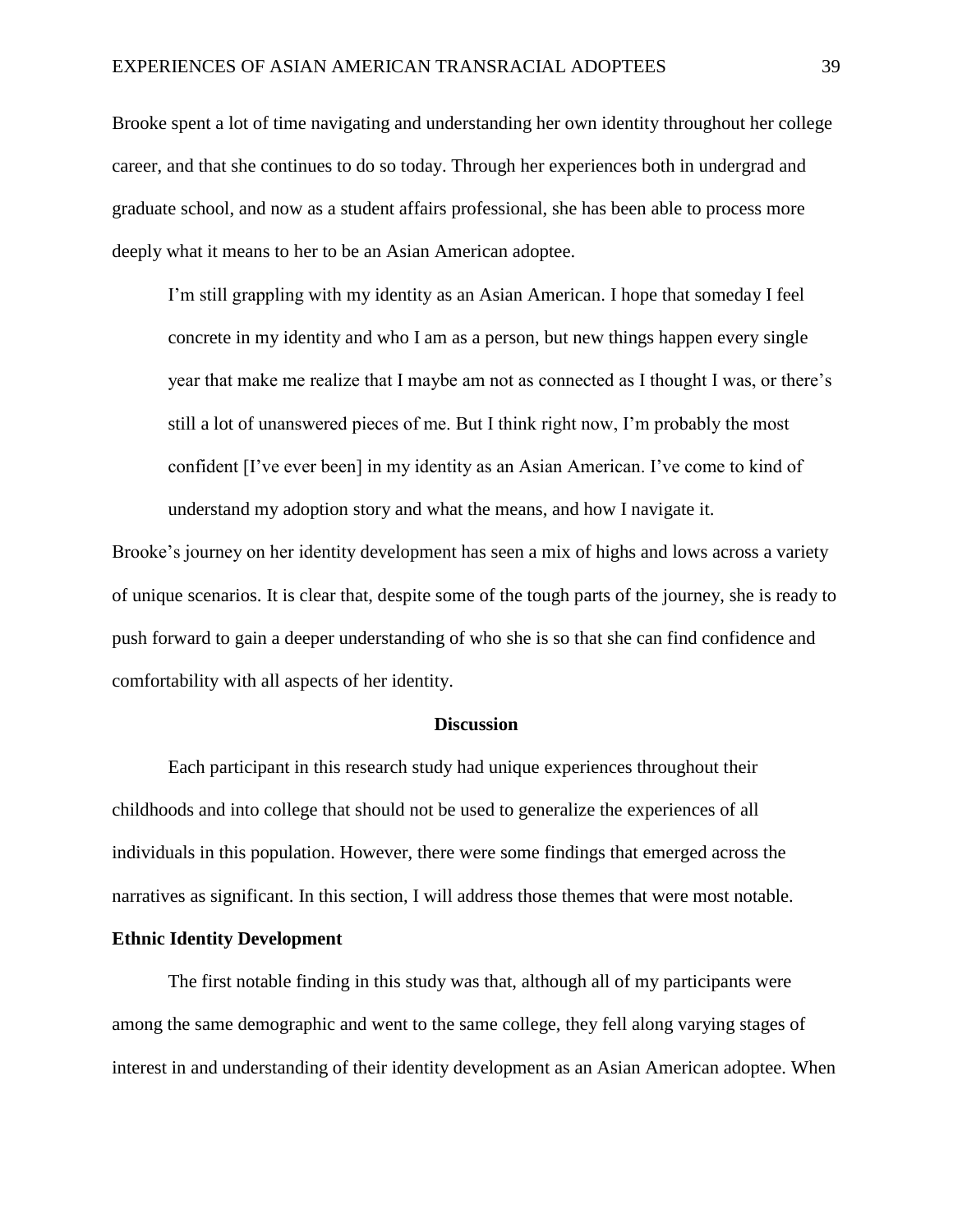Brooke spent a lot of time navigating and understanding her own identity throughout her college career, and that she continues to do so today. Through her experiences both in undergrad and graduate school, and now as a student affairs professional, she has been able to process more deeply what it means to her to be an Asian American adoptee.

I'm still grappling with my identity as an Asian American. I hope that someday I feel concrete in my identity and who I am as a person, but new things happen every single year that make me realize that I maybe am not as connected as I thought I was, or there's still a lot of unanswered pieces of me. But I think right now, I'm probably the most confident [I've ever been] in my identity as an Asian American. I've come to kind of understand my adoption story and what the means, and how I navigate it.

Brooke's journey on her identity development has seen a mix of highs and lows across a variety of unique scenarios. It is clear that, despite some of the tough parts of the journey, she is ready to push forward to gain a deeper understanding of who she is so that she can find confidence and comfortability with all aspects of her identity.

#### **Discussion**

Each participant in this research study had unique experiences throughout their childhoods and into college that should not be used to generalize the experiences of all individuals in this population. However, there were some findings that emerged across the narratives as significant. In this section, I will address those themes that were most notable.

# **Ethnic Identity Development**

The first notable finding in this study was that, although all of my participants were among the same demographic and went to the same college, they fell along varying stages of interest in and understanding of their identity development as an Asian American adoptee. When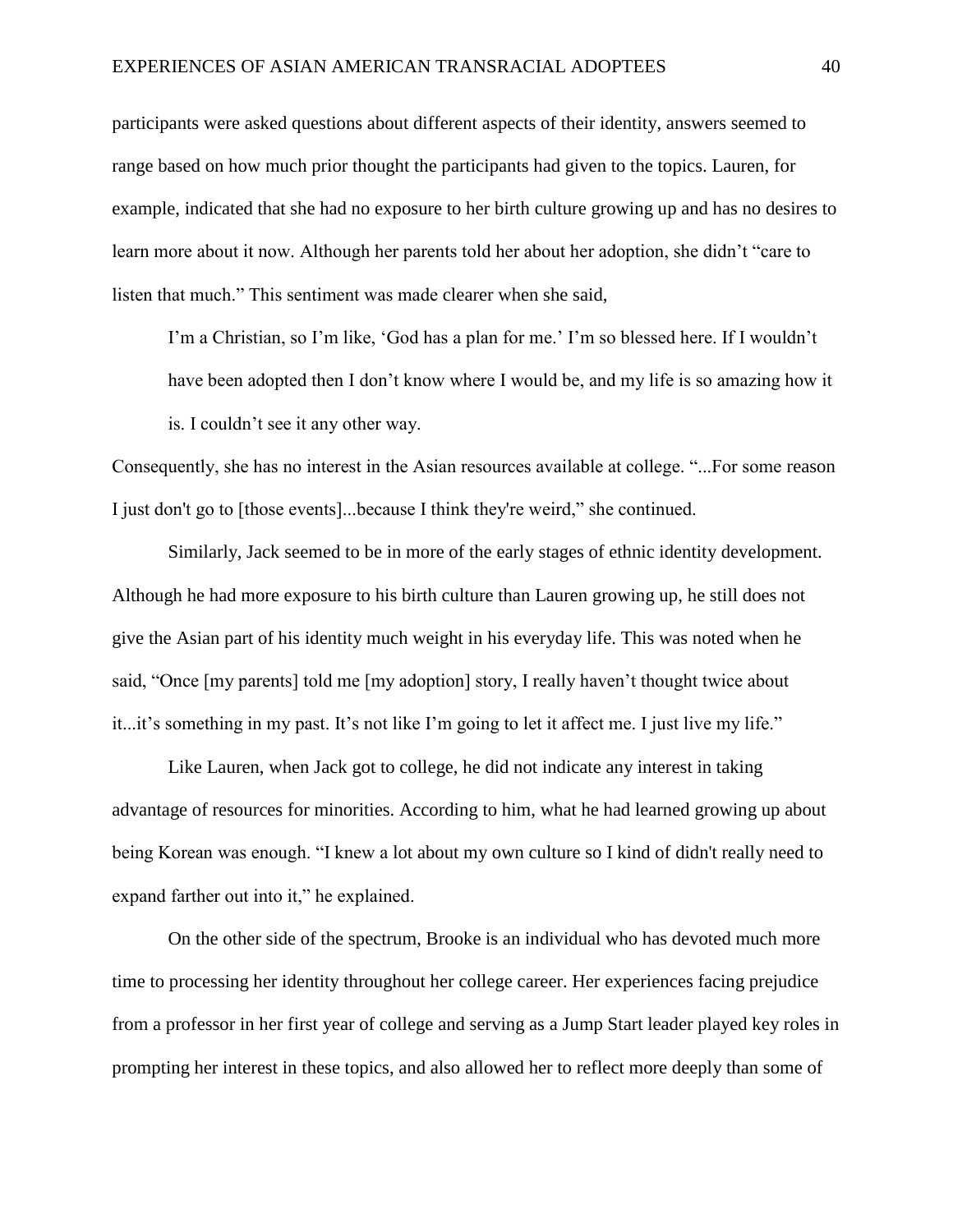participants were asked questions about different aspects of their identity, answers seemed to range based on how much prior thought the participants had given to the topics. Lauren, for example, indicated that she had no exposure to her birth culture growing up and has no desires to learn more about it now. Although her parents told her about her adoption, she didn't "care to listen that much." This sentiment was made clearer when she said,

I'm a Christian, so I'm like, 'God has a plan for me.' I'm so blessed here. If I wouldn't have been adopted then I don't know where I would be, and my life is so amazing how it is. I couldn't see it any other way.

Consequently, she has no interest in the Asian resources available at college. "...For some reason I just don't go to [those events]...because I think they're weird," she continued.

Similarly, Jack seemed to be in more of the early stages of ethnic identity development. Although he had more exposure to his birth culture than Lauren growing up, he still does not give the Asian part of his identity much weight in his everyday life. This was noted when he said, "Once [my parents] told me [my adoption] story, I really haven't thought twice about it...it's something in my past. It's not like I'm going to let it affect me. I just live my life."

Like Lauren, when Jack got to college, he did not indicate any interest in taking advantage of resources for minorities. According to him, what he had learned growing up about being Korean was enough. "I knew a lot about my own culture so I kind of didn't really need to expand farther out into it," he explained.

On the other side of the spectrum, Brooke is an individual who has devoted much more time to processing her identity throughout her college career. Her experiences facing prejudice from a professor in her first year of college and serving as a Jump Start leader played key roles in prompting her interest in these topics, and also allowed her to reflect more deeply than some of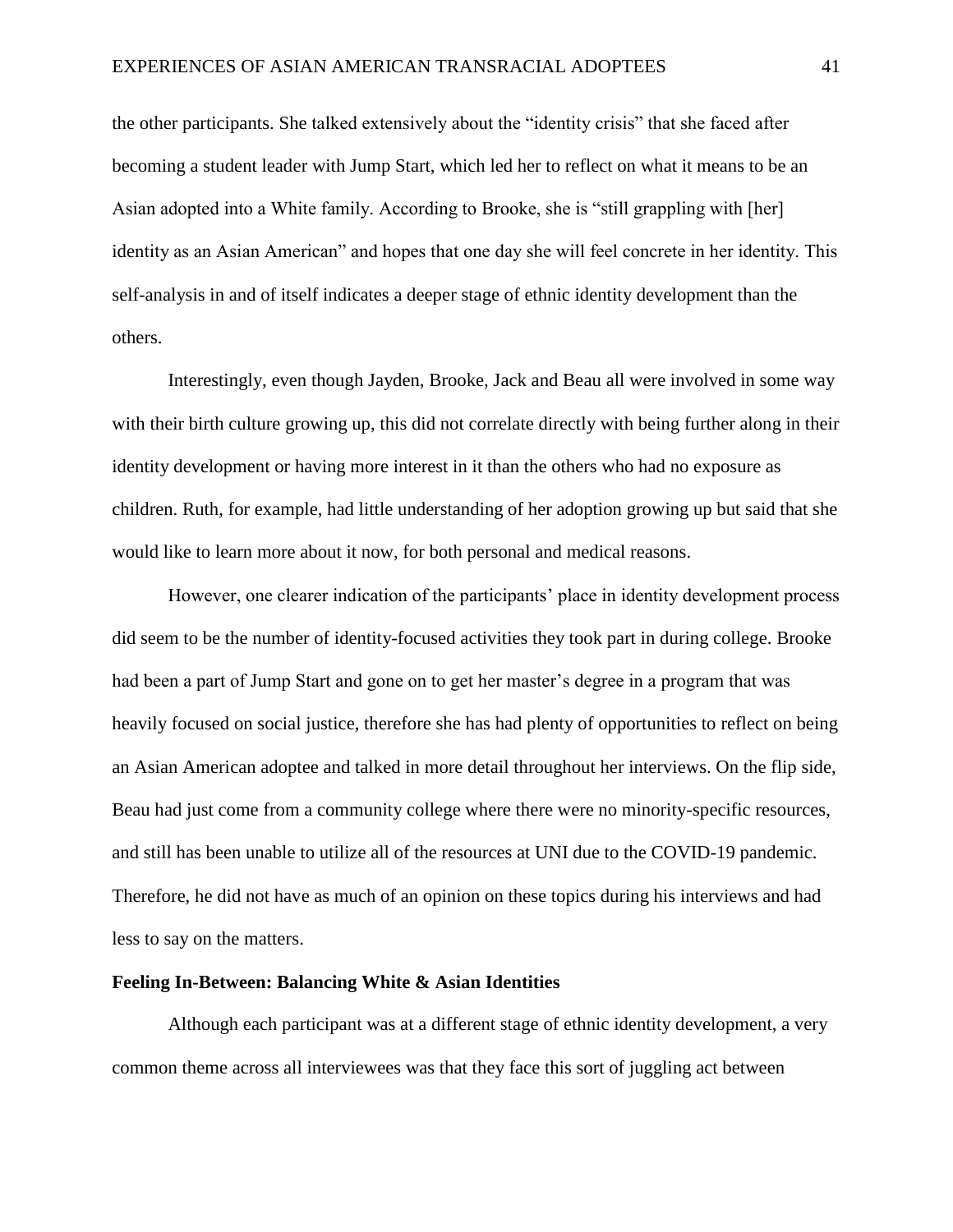the other participants. She talked extensively about the "identity crisis" that she faced after becoming a student leader with Jump Start, which led her to reflect on what it means to be an Asian adopted into a White family. According to Brooke, she is "still grappling with [her] identity as an Asian American" and hopes that one day she will feel concrete in her identity. This self-analysis in and of itself indicates a deeper stage of ethnic identity development than the others.

Interestingly, even though Jayden, Brooke, Jack and Beau all were involved in some way with their birth culture growing up, this did not correlate directly with being further along in their identity development or having more interest in it than the others who had no exposure as children. Ruth, for example, had little understanding of her adoption growing up but said that she would like to learn more about it now, for both personal and medical reasons.

However, one clearer indication of the participants' place in identity development process did seem to be the number of identity-focused activities they took part in during college. Brooke had been a part of Jump Start and gone on to get her master's degree in a program that was heavily focused on social justice, therefore she has had plenty of opportunities to reflect on being an Asian American adoptee and talked in more detail throughout her interviews. On the flip side, Beau had just come from a community college where there were no minority-specific resources, and still has been unable to utilize all of the resources at UNI due to the COVID-19 pandemic. Therefore, he did not have as much of an opinion on these topics during his interviews and had less to say on the matters.

# **Feeling In-Between: Balancing White & Asian Identities**

Although each participant was at a different stage of ethnic identity development, a very common theme across all interviewees was that they face this sort of juggling act between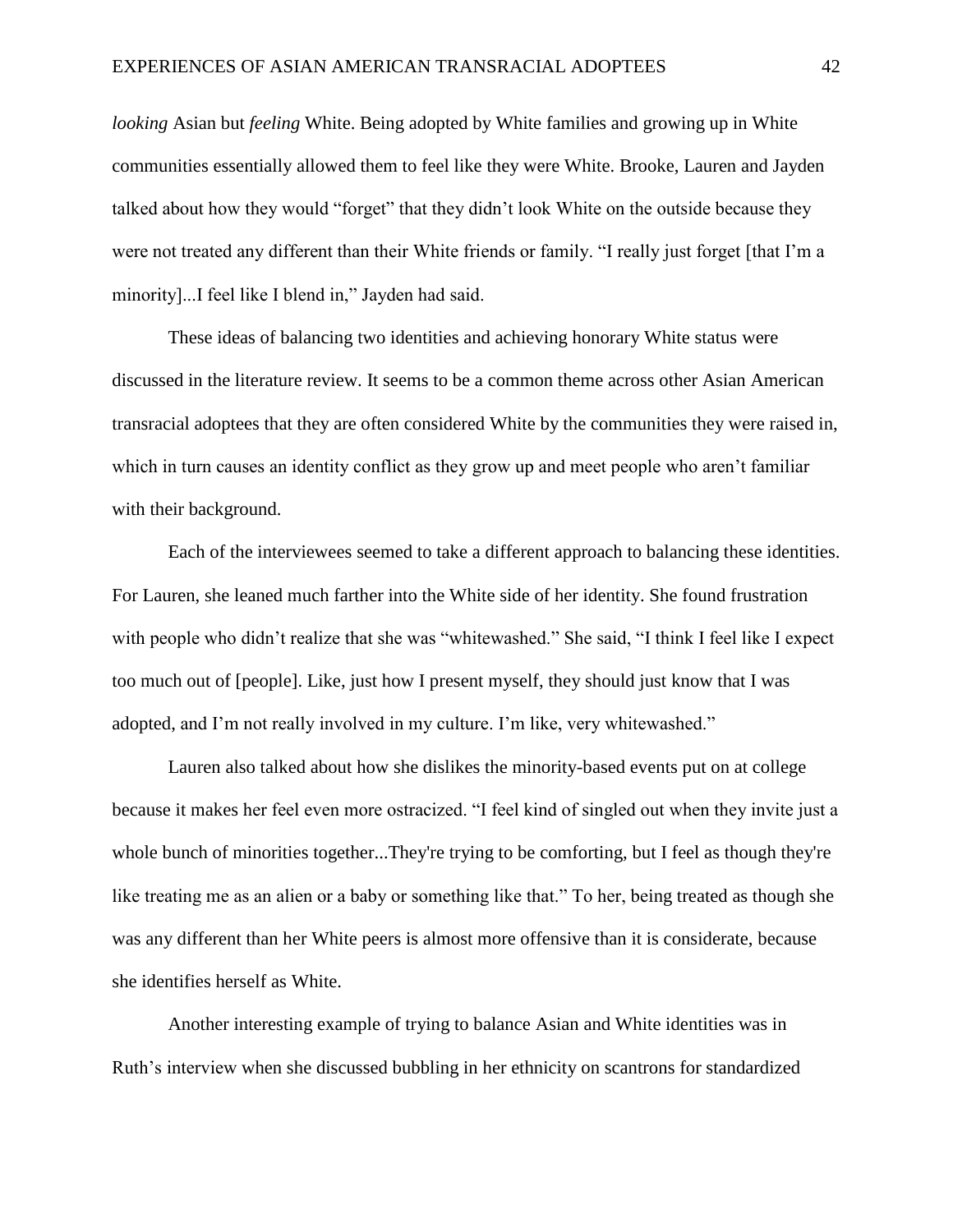*looking* Asian but *feeling* White. Being adopted by White families and growing up in White communities essentially allowed them to feel like they were White. Brooke, Lauren and Jayden talked about how they would "forget" that they didn't look White on the outside because they were not treated any different than their White friends or family. "I really just forget [that I'm a minority]...I feel like I blend in," Jayden had said.

These ideas of balancing two identities and achieving honorary White status were discussed in the literature review. It seems to be a common theme across other Asian American transracial adoptees that they are often considered White by the communities they were raised in, which in turn causes an identity conflict as they grow up and meet people who aren't familiar with their background.

Each of the interviewees seemed to take a different approach to balancing these identities. For Lauren, she leaned much farther into the White side of her identity. She found frustration with people who didn't realize that she was "whitewashed." She said, "I think I feel like I expect too much out of [people]. Like, just how I present myself, they should just know that I was adopted, and I'm not really involved in my culture. I'm like, very whitewashed."

Lauren also talked about how she dislikes the minority-based events put on at college because it makes her feel even more ostracized. "I feel kind of singled out when they invite just a whole bunch of minorities together...They're trying to be comforting, but I feel as though they're like treating me as an alien or a baby or something like that." To her, being treated as though she was any different than her White peers is almost more offensive than it is considerate, because she identifies herself as White.

Another interesting example of trying to balance Asian and White identities was in Ruth's interview when she discussed bubbling in her ethnicity on scantrons for standardized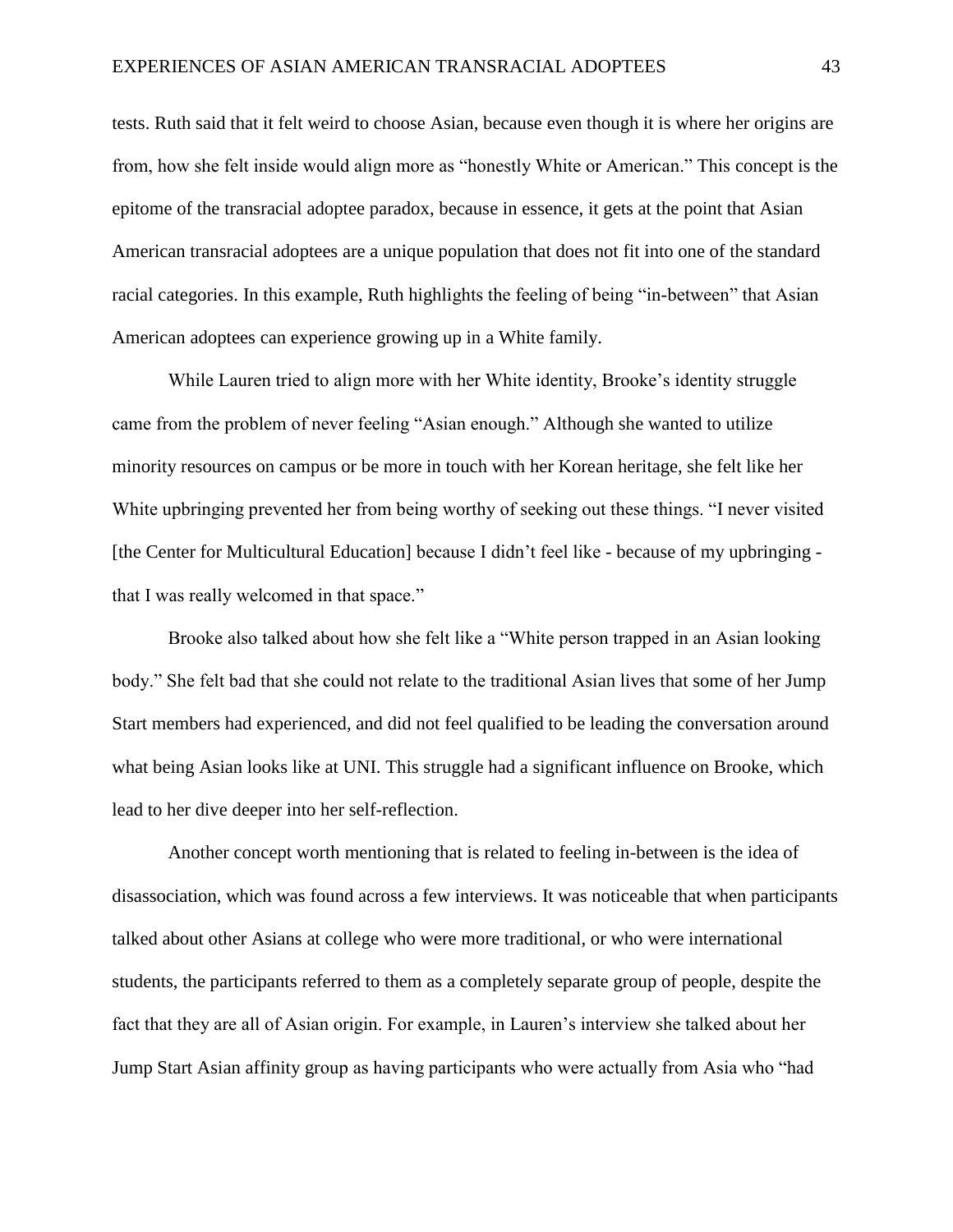tests. Ruth said that it felt weird to choose Asian, because even though it is where her origins are from, how she felt inside would align more as "honestly White or American." This concept is the epitome of the transracial adoptee paradox, because in essence, it gets at the point that Asian American transracial adoptees are a unique population that does not fit into one of the standard racial categories. In this example, Ruth highlights the feeling of being "in-between" that Asian American adoptees can experience growing up in a White family.

While Lauren tried to align more with her White identity, Brooke's identity struggle came from the problem of never feeling "Asian enough." Although she wanted to utilize minority resources on campus or be more in touch with her Korean heritage, she felt like her White upbringing prevented her from being worthy of seeking out these things. "I never visited [the Center for Multicultural Education] because I didn't feel like - because of my upbringing that I was really welcomed in that space."

Brooke also talked about how she felt like a "White person trapped in an Asian looking body." She felt bad that she could not relate to the traditional Asian lives that some of her Jump Start members had experienced, and did not feel qualified to be leading the conversation around what being Asian looks like at UNI. This struggle had a significant influence on Brooke, which lead to her dive deeper into her self-reflection.

Another concept worth mentioning that is related to feeling in-between is the idea of disassociation, which was found across a few interviews. It was noticeable that when participants talked about other Asians at college who were more traditional, or who were international students, the participants referred to them as a completely separate group of people, despite the fact that they are all of Asian origin. For example, in Lauren's interview she talked about her Jump Start Asian affinity group as having participants who were actually from Asia who "had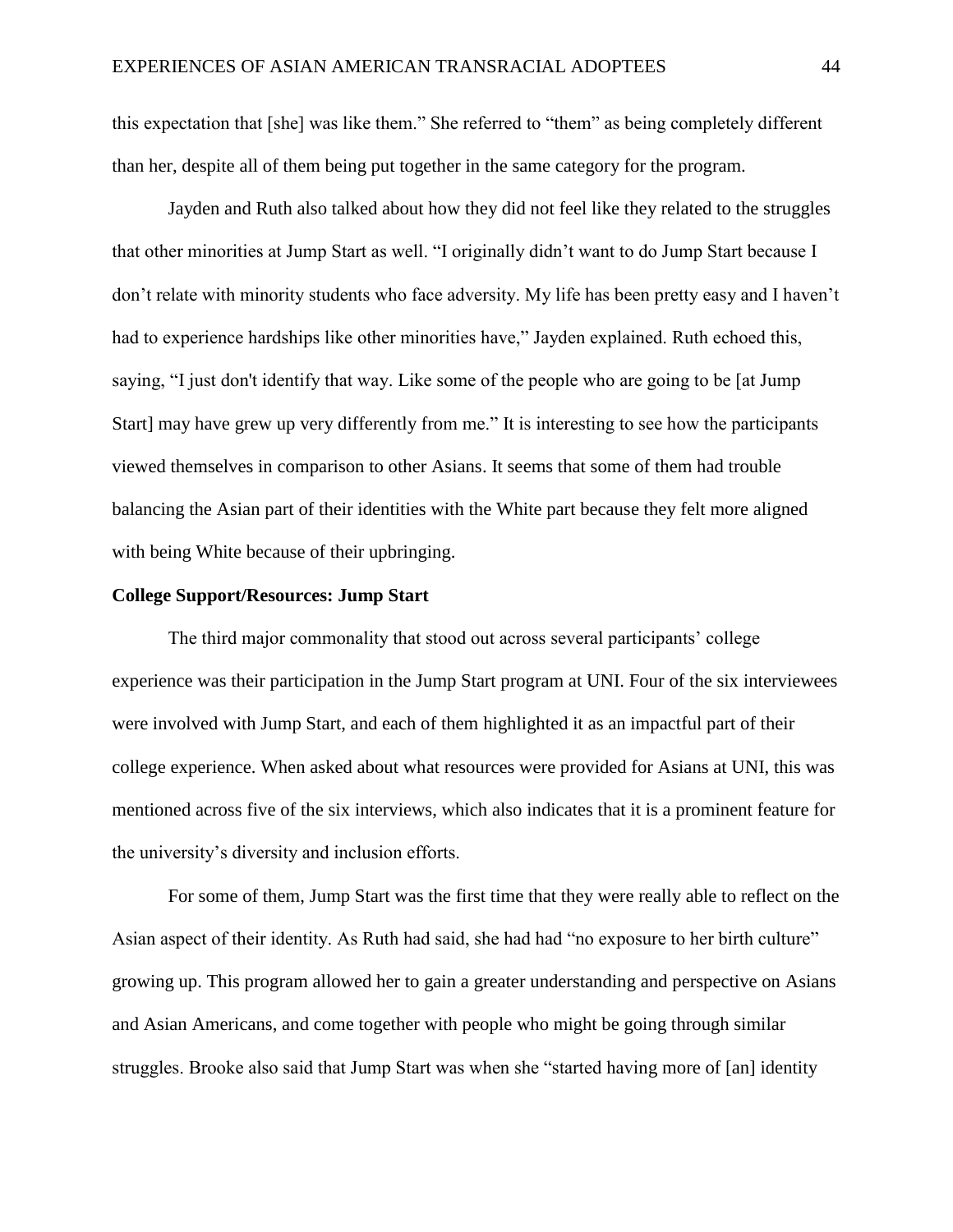this expectation that [she] was like them." She referred to "them" as being completely different than her, despite all of them being put together in the same category for the program.

Jayden and Ruth also talked about how they did not feel like they related to the struggles that other minorities at Jump Start as well. "I originally didn't want to do Jump Start because I don't relate with minority students who face adversity. My life has been pretty easy and I haven't had to experience hardships like other minorities have," Jayden explained. Ruth echoed this, saying, "I just don't identify that way. Like some of the people who are going to be [at Jump Start] may have grew up very differently from me." It is interesting to see how the participants viewed themselves in comparison to other Asians. It seems that some of them had trouble balancing the Asian part of their identities with the White part because they felt more aligned with being White because of their upbringing.

#### **College Support/Resources: Jump Start**

The third major commonality that stood out across several participants' college experience was their participation in the Jump Start program at UNI. Four of the six interviewees were involved with Jump Start, and each of them highlighted it as an impactful part of their college experience. When asked about what resources were provided for Asians at UNI, this was mentioned across five of the six interviews, which also indicates that it is a prominent feature for the university's diversity and inclusion efforts.

For some of them, Jump Start was the first time that they were really able to reflect on the Asian aspect of their identity. As Ruth had said, she had had "no exposure to her birth culture" growing up. This program allowed her to gain a greater understanding and perspective on Asians and Asian Americans, and come together with people who might be going through similar struggles. Brooke also said that Jump Start was when she "started having more of [an] identity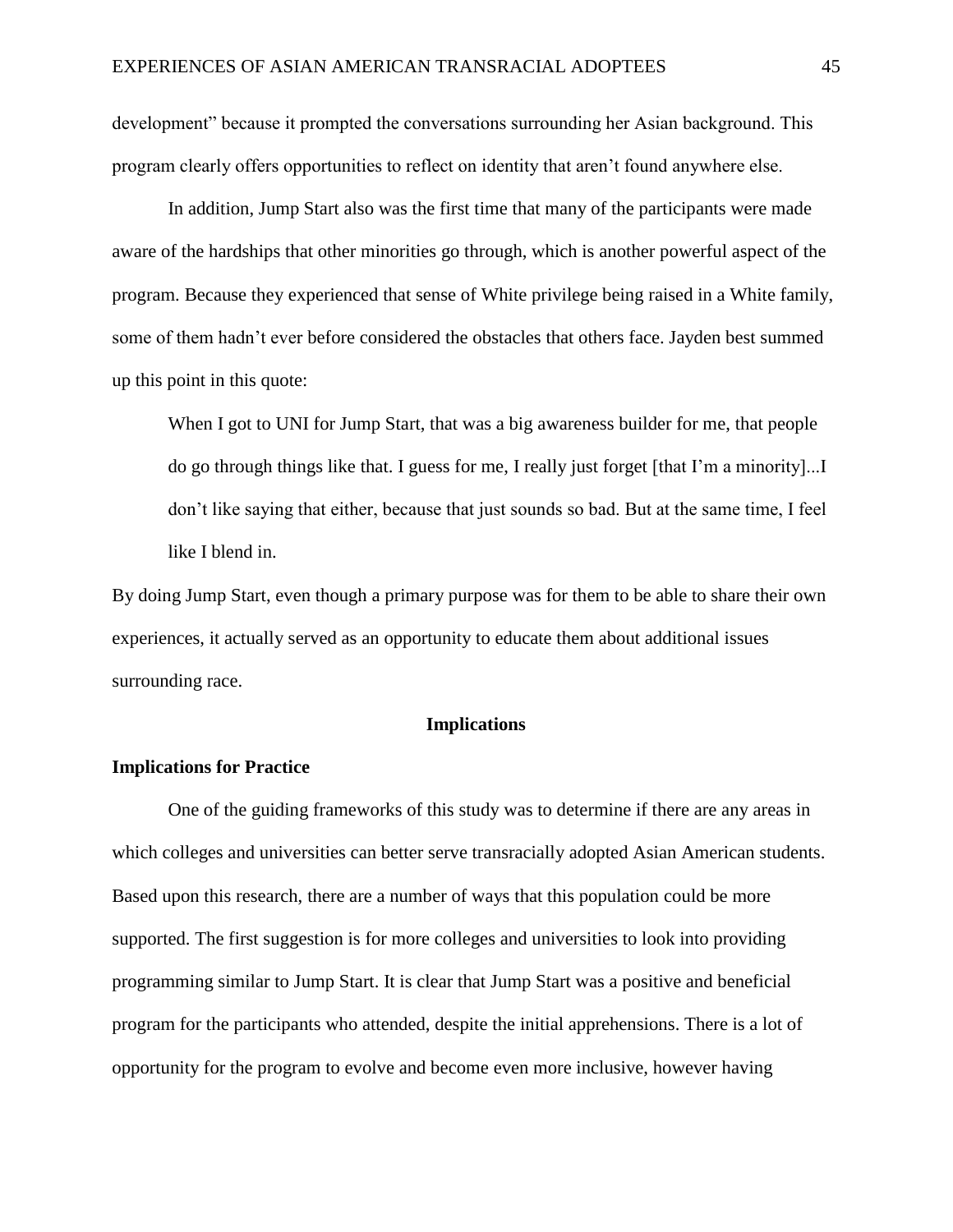development" because it prompted the conversations surrounding her Asian background. This program clearly offers opportunities to reflect on identity that aren't found anywhere else.

In addition, Jump Start also was the first time that many of the participants were made aware of the hardships that other minorities go through, which is another powerful aspect of the program. Because they experienced that sense of White privilege being raised in a White family, some of them hadn't ever before considered the obstacles that others face. Jayden best summed up this point in this quote:

When I got to UNI for Jump Start, that was a big awareness builder for me, that people do go through things like that. I guess for me, I really just forget [that I'm a minority]...I don't like saying that either, because that just sounds so bad. But at the same time, I feel like I blend in.

By doing Jump Start, even though a primary purpose was for them to be able to share their own experiences, it actually served as an opportunity to educate them about additional issues surrounding race.

#### **Implications**

## **Implications for Practice**

One of the guiding frameworks of this study was to determine if there are any areas in which colleges and universities can better serve transracially adopted Asian American students. Based upon this research, there are a number of ways that this population could be more supported. The first suggestion is for more colleges and universities to look into providing programming similar to Jump Start. It is clear that Jump Start was a positive and beneficial program for the participants who attended, despite the initial apprehensions. There is a lot of opportunity for the program to evolve and become even more inclusive, however having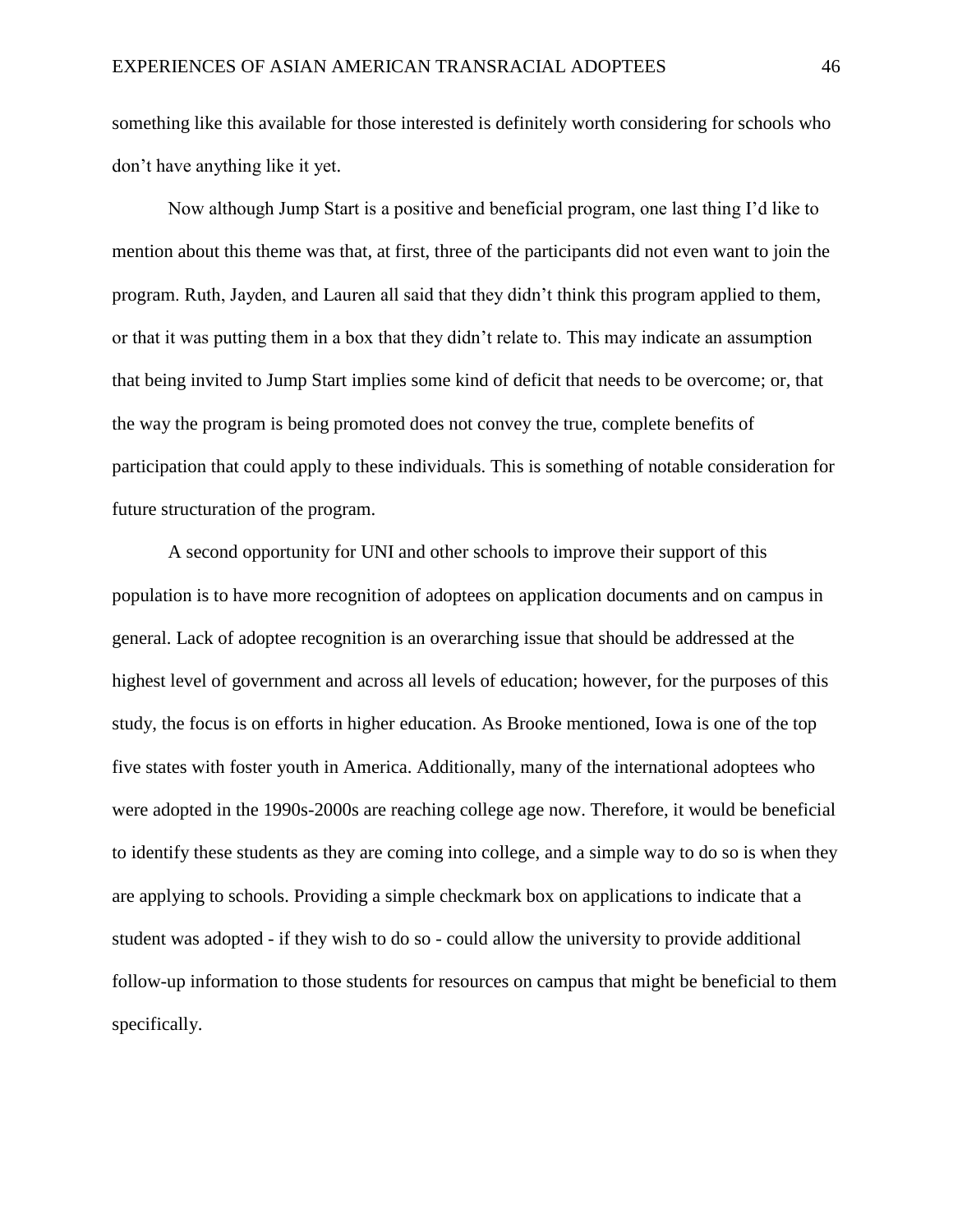something like this available for those interested is definitely worth considering for schools who don't have anything like it yet.

Now although Jump Start is a positive and beneficial program, one last thing I'd like to mention about this theme was that, at first, three of the participants did not even want to join the program. Ruth, Jayden, and Lauren all said that they didn't think this program applied to them, or that it was putting them in a box that they didn't relate to. This may indicate an assumption that being invited to Jump Start implies some kind of deficit that needs to be overcome; or, that the way the program is being promoted does not convey the true, complete benefits of participation that could apply to these individuals. This is something of notable consideration for future structuration of the program.

A second opportunity for UNI and other schools to improve their support of this population is to have more recognition of adoptees on application documents and on campus in general. Lack of adoptee recognition is an overarching issue that should be addressed at the highest level of government and across all levels of education; however, for the purposes of this study, the focus is on efforts in higher education. As Brooke mentioned, Iowa is one of the top five states with foster youth in America. Additionally, many of the international adoptees who were adopted in the 1990s-2000s are reaching college age now. Therefore, it would be beneficial to identify these students as they are coming into college, and a simple way to do so is when they are applying to schools. Providing a simple checkmark box on applications to indicate that a student was adopted - if they wish to do so - could allow the university to provide additional follow-up information to those students for resources on campus that might be beneficial to them specifically.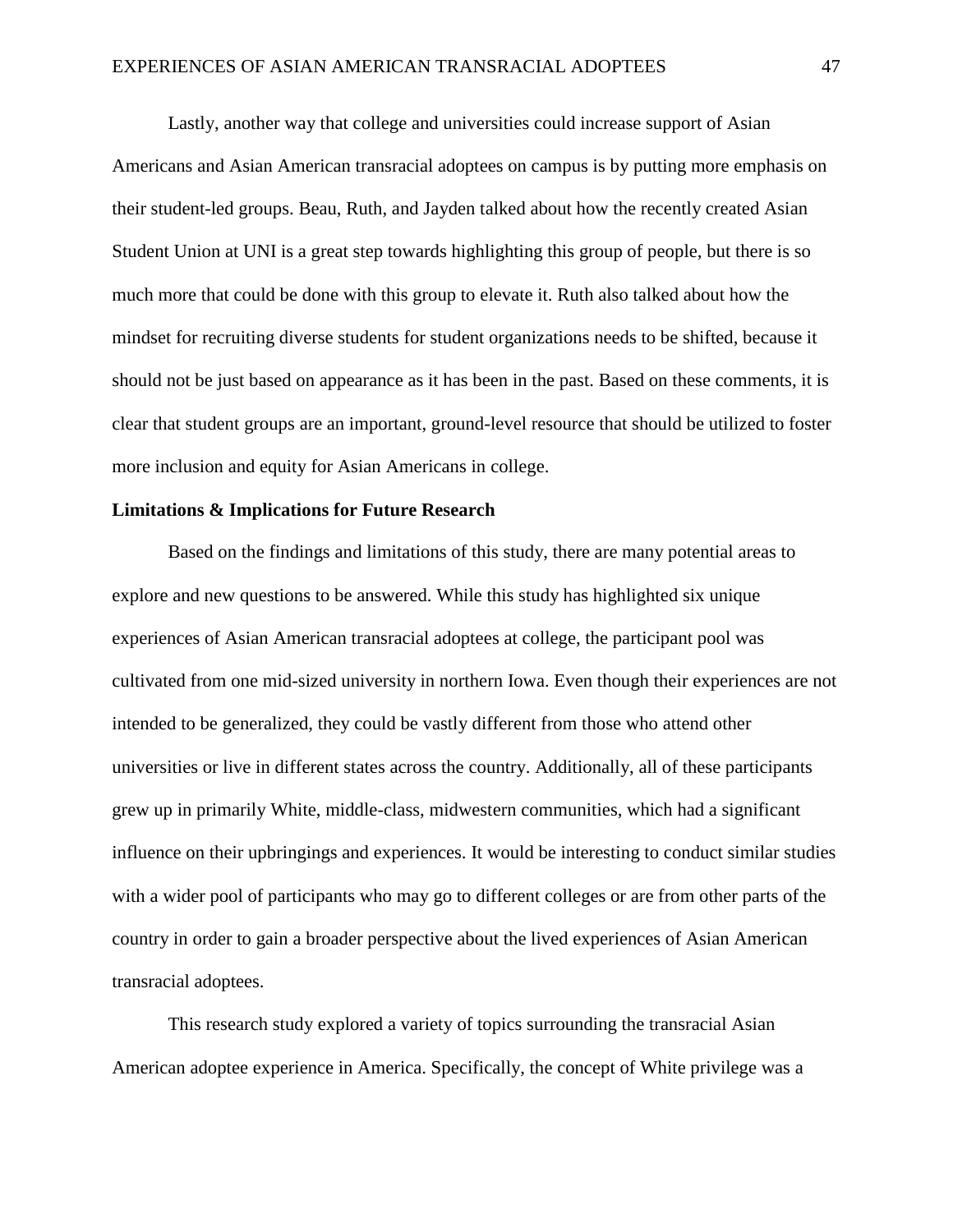Lastly, another way that college and universities could increase support of Asian Americans and Asian American transracial adoptees on campus is by putting more emphasis on their student-led groups. Beau, Ruth, and Jayden talked about how the recently created Asian Student Union at UNI is a great step towards highlighting this group of people, but there is so much more that could be done with this group to elevate it. Ruth also talked about how the mindset for recruiting diverse students for student organizations needs to be shifted, because it should not be just based on appearance as it has been in the past. Based on these comments, it is clear that student groups are an important, ground-level resource that should be utilized to foster more inclusion and equity for Asian Americans in college.

# **Limitations & Implications for Future Research**

Based on the findings and limitations of this study, there are many potential areas to explore and new questions to be answered. While this study has highlighted six unique experiences of Asian American transracial adoptees at college, the participant pool was cultivated from one mid-sized university in northern Iowa. Even though their experiences are not intended to be generalized, they could be vastly different from those who attend other universities or live in different states across the country. Additionally, all of these participants grew up in primarily White, middle-class, midwestern communities, which had a significant influence on their upbringings and experiences. It would be interesting to conduct similar studies with a wider pool of participants who may go to different colleges or are from other parts of the country in order to gain a broader perspective about the lived experiences of Asian American transracial adoptees.

This research study explored a variety of topics surrounding the transracial Asian American adoptee experience in America. Specifically, the concept of White privilege was a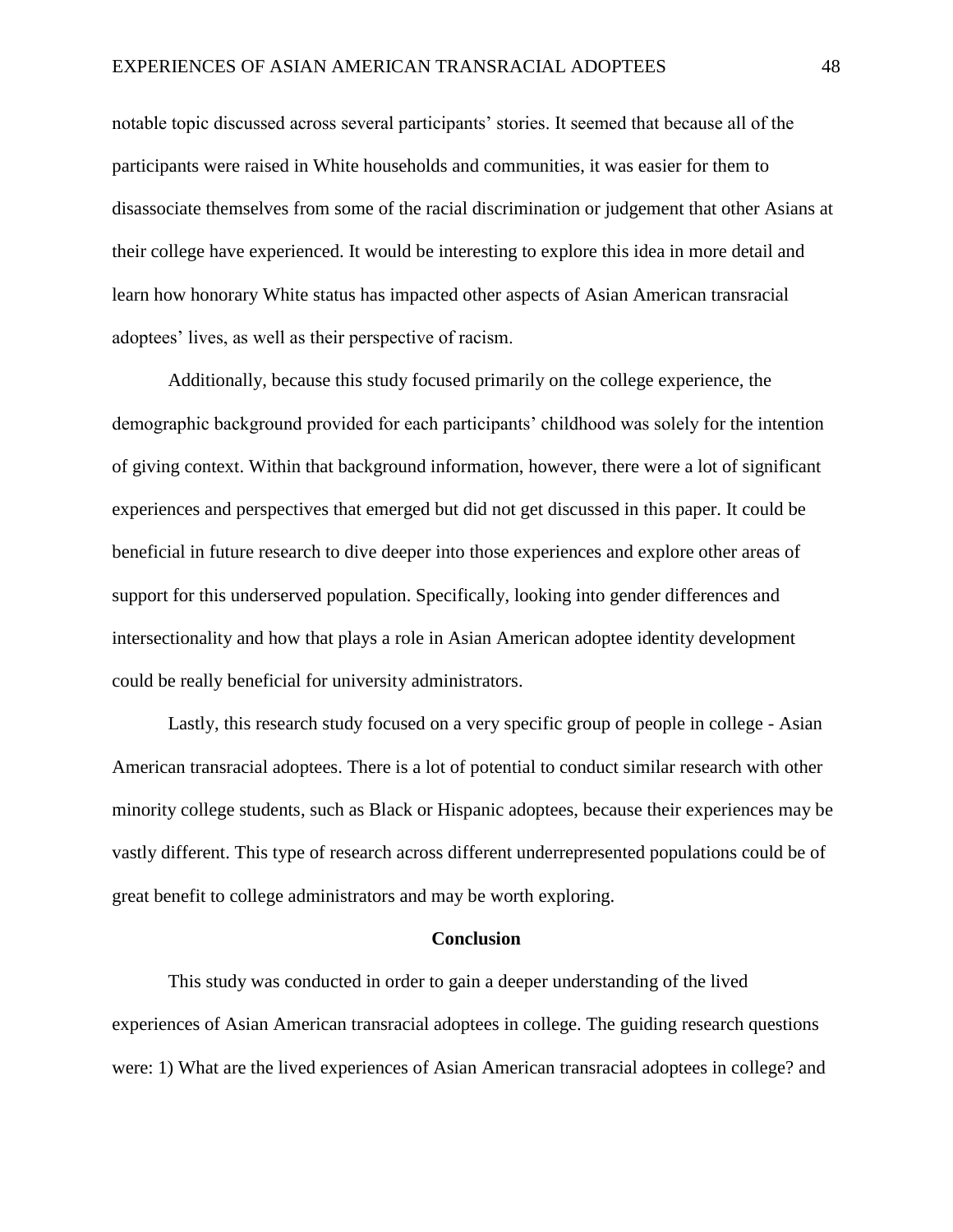notable topic discussed across several participants' stories. It seemed that because all of the participants were raised in White households and communities, it was easier for them to disassociate themselves from some of the racial discrimination or judgement that other Asians at their college have experienced. It would be interesting to explore this idea in more detail and learn how honorary White status has impacted other aspects of Asian American transracial adoptees' lives, as well as their perspective of racism.

Additionally, because this study focused primarily on the college experience, the demographic background provided for each participants' childhood was solely for the intention of giving context. Within that background information, however, there were a lot of significant experiences and perspectives that emerged but did not get discussed in this paper. It could be beneficial in future research to dive deeper into those experiences and explore other areas of support for this underserved population. Specifically, looking into gender differences and intersectionality and how that plays a role in Asian American adoptee identity development could be really beneficial for university administrators.

Lastly, this research study focused on a very specific group of people in college - Asian American transracial adoptees. There is a lot of potential to conduct similar research with other minority college students, such as Black or Hispanic adoptees, because their experiences may be vastly different. This type of research across different underrepresented populations could be of great benefit to college administrators and may be worth exploring.

#### **Conclusion**

This study was conducted in order to gain a deeper understanding of the lived experiences of Asian American transracial adoptees in college. The guiding research questions were: 1) What are the lived experiences of Asian American transracial adoptees in college? and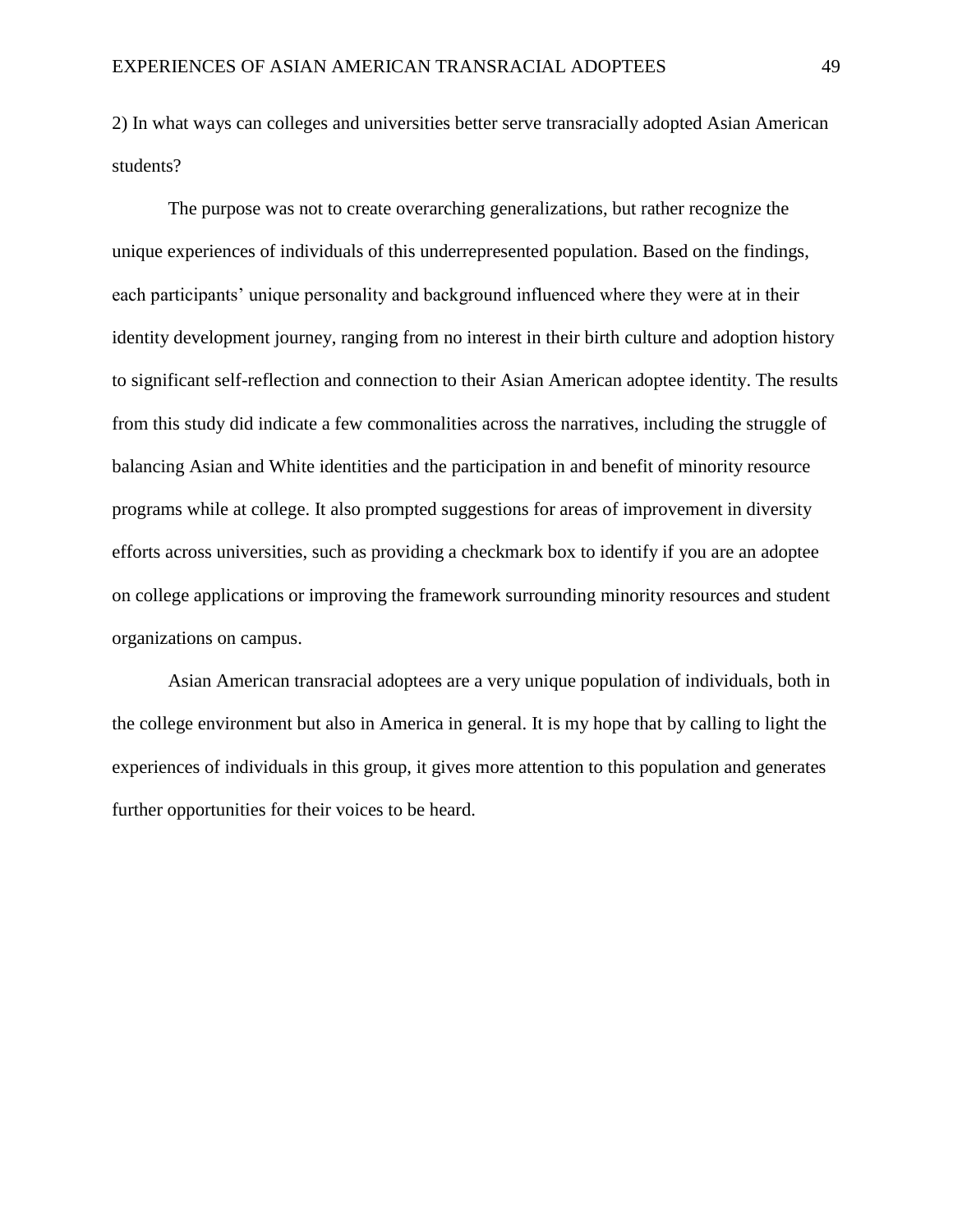2) In what ways can colleges and universities better serve transracially adopted Asian American students?

The purpose was not to create overarching generalizations, but rather recognize the unique experiences of individuals of this underrepresented population. Based on the findings, each participants' unique personality and background influenced where they were at in their identity development journey, ranging from no interest in their birth culture and adoption history to significant self-reflection and connection to their Asian American adoptee identity. The results from this study did indicate a few commonalities across the narratives, including the struggle of balancing Asian and White identities and the participation in and benefit of minority resource programs while at college. It also prompted suggestions for areas of improvement in diversity efforts across universities, such as providing a checkmark box to identify if you are an adoptee on college applications or improving the framework surrounding minority resources and student organizations on campus.

Asian American transracial adoptees are a very unique population of individuals, both in the college environment but also in America in general. It is my hope that by calling to light the experiences of individuals in this group, it gives more attention to this population and generates further opportunities for their voices to be heard.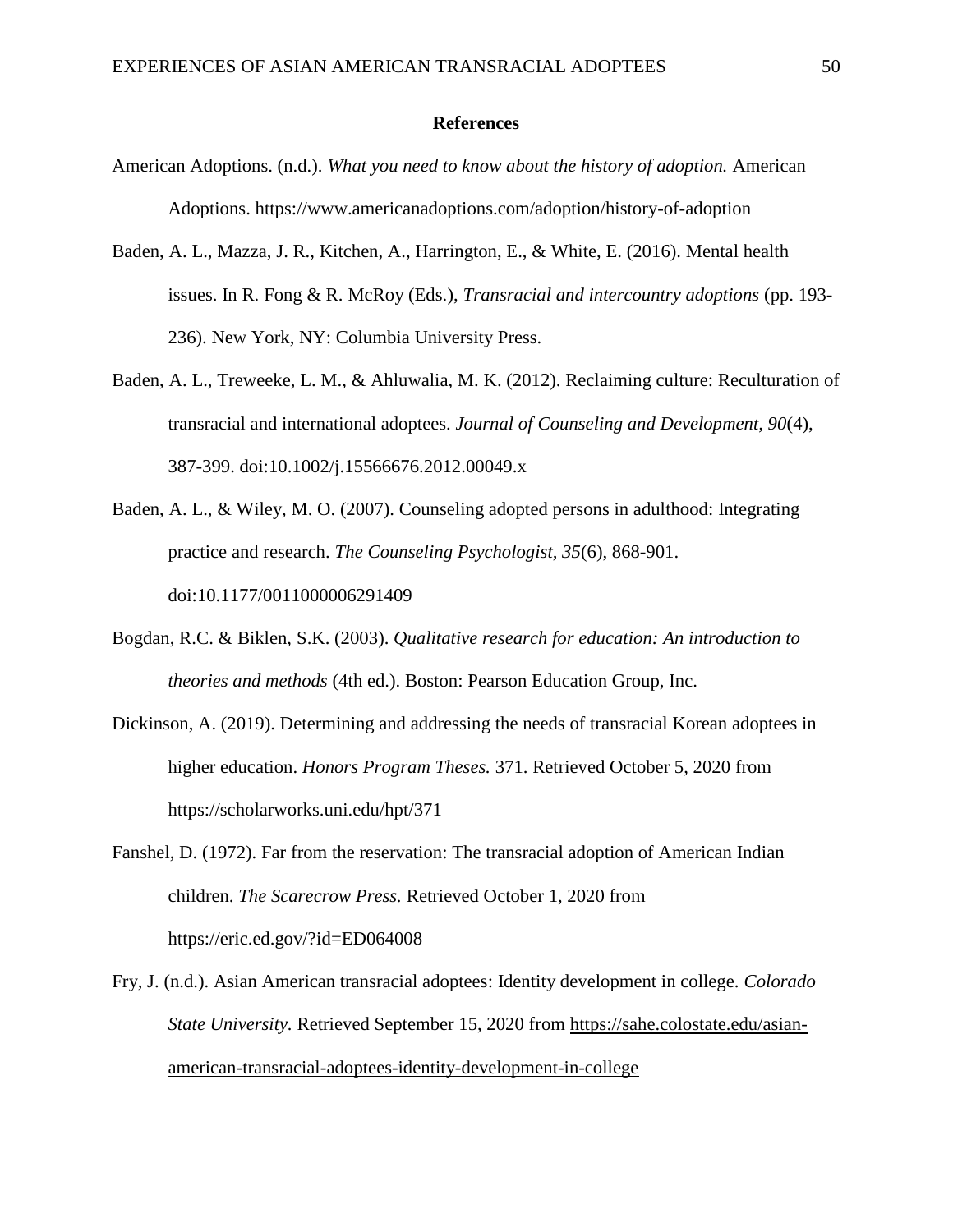#### **References**

- American Adoptions. (n.d.). *What you need to know about the history of adoption.* American Adoptions. https://www.americanadoptions.com/adoption/history-of-adoption
- Baden, A. L., Mazza, J. R., Kitchen, A., Harrington, E., & White, E. (2016). Mental health issues. In R. Fong & R. McRoy (Eds.), *Transracial and intercountry adoptions* (pp. 193- 236). New York, NY: Columbia University Press.
- Baden, A. L., Treweeke, L. M., & Ahluwalia, M. K. (2012). Reclaiming culture: Reculturation of transracial and international adoptees. *Journal of Counseling and Development, 90*(4), 387-399. doi:10.1002/j.15566676.2012.00049.x
- Baden, A. L., & Wiley, M. O. (2007). Counseling adopted persons in adulthood: Integrating practice and research. *The Counseling Psychologist, 35*(6), 868-901. doi:10.1177/0011000006291409
- Bogdan, R.C. & Biklen, S.K. (2003). *Qualitative research for education: An introduction to theories and methods* (4th ed.). Boston: Pearson Education Group, Inc.
- Dickinson, A. (2019). Determining and addressing the needs of transracial Korean adoptees in higher education. *Honors Program Theses.* 371. Retrieved October 5, 2020 from https://scholarworks.uni.edu/hpt/371
- Fanshel, D. (1972). Far from the reservation: The transracial adoption of American Indian children. *The Scarecrow Press.* Retrieved October 1, 2020 from https://eric.ed.gov/?id=ED064008
- Fry, J. (n.d.). Asian American transracial adoptees: Identity development in college. *Colorado State University.* Retrieved September 15, 2020 from [https://sahe.colostate.edu/asian](https://sahe.colostate.edu/asian-american-transracial-adoptees-identity-development-in-college)[american-transracial-adoptees-identity-development-in-college](https://sahe.colostate.edu/asian-american-transracial-adoptees-identity-development-in-college)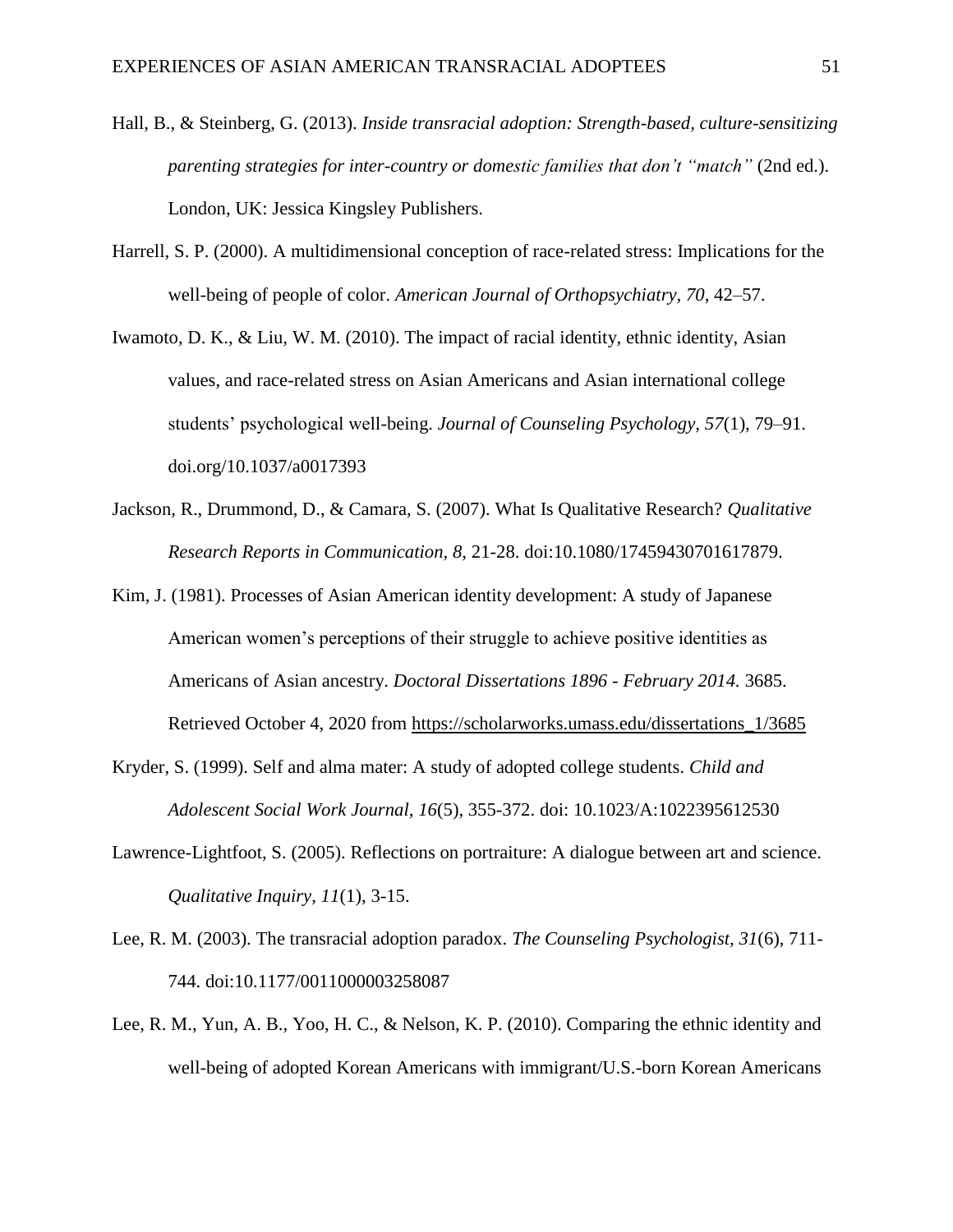- Hall, B., & Steinberg, G. (2013). *Inside transracial adoption: Strength-based, culture-sensitizing parenting strategies for inter-country or domestic families that don't "match"* (2nd ed.). London, UK: Jessica Kingsley Publishers.
- Harrell, S. P. (2000). A multidimensional conception of race-related stress: Implications for the well-being of people of color. *American Journal of Orthopsychiatry, 70*, 42–57.
- Iwamoto, D. K., & Liu, W. M. (2010). The impact of racial identity, ethnic identity, Asian values, and race-related stress on Asian Americans and Asian international college students' psychological well-being. *Journal of Counseling Psychology, 57*(1), 79–91. [doi.org/10.1037/a0017393](https://psycnet.apa.org/doi/10.1037/a0017393)
- Jackson, R., Drummond, D., & Camara, S. (2007). What Is Qualitative Research? *Qualitative Research Reports in Communication, 8,* 21-28. doi:10.1080/17459430701617879.
- Kim, J. (1981). Processes of Asian American identity development: A study of Japanese American women's perceptions of their struggle to achieve positive identities as Americans of Asian ancestry. *Doctoral Dissertations 1896 - February 2014.* 3685. Retrieved October 4, 2020 from [https://scholarworks.umass.edu/dissertations\\_1/3685](https://scholarworks.umass.edu/dissertations_1/3685)
- Kryder, S. (1999). Self and alma mater: A study of adopted college students. *Child and Adolescent Social Work Journal, 16*(5), 355-372. doi: 10.1023/A:1022395612530
- Lawrence-Lightfoot, S. (2005). Reflections on portraiture: A dialogue between art and science. *Qualitative Inquiry, 11*(1), 3-15.
- Lee, R. M. (2003). The transracial adoption paradox. *The Counseling Psychologist, 31*(6), 711- 744. doi:10.1177/0011000003258087
- Lee, R. M., Yun, A. B., Yoo, H. C., & Nelson, K. P. (2010). Comparing the ethnic identity and well-being of adopted Korean Americans with immigrant/U.S.-born Korean Americans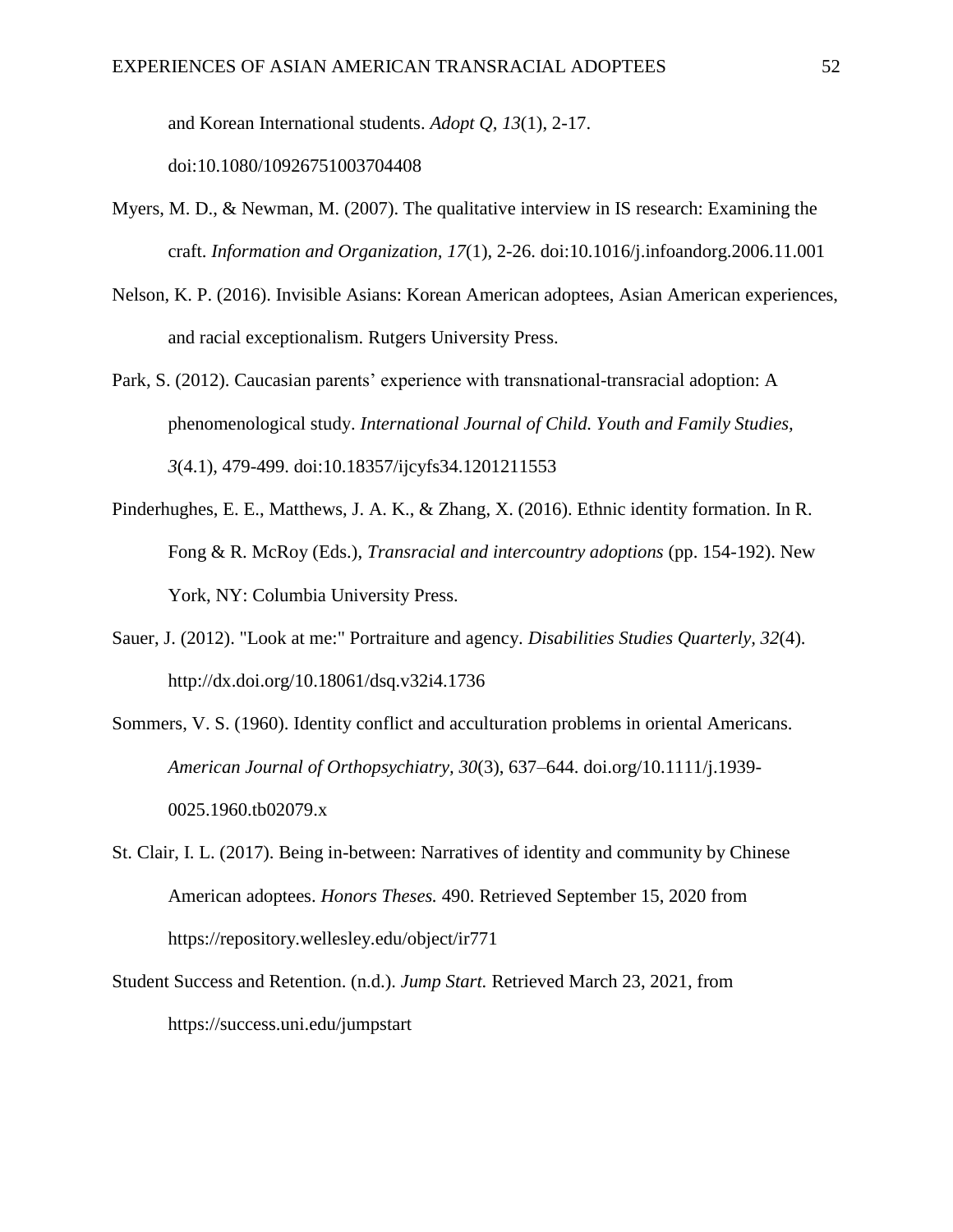and Korean International students. *Adopt Q, 13*(1), 2-17.

doi:10.1080/10926751003704408

- Myers, M. D., & Newman, M. (2007). The qualitative interview in IS research: Examining the craft. *Information and Organization, 17*(1), 2-26. doi:10.1016/j.infoandorg.2006.11.001
- Nelson, K. P. (2016). Invisible Asians: Korean American adoptees, Asian American experiences, and racial exceptionalism. Rutgers University Press.
- Park, S. (2012). Caucasian parents' experience with transnational-transracial adoption: A phenomenological study. *International Journal of Child. Youth and Family Studies, 3*(4.1), 479-499. doi:10.18357/ijcyfs34.1201211553
- Pinderhughes, E. E., Matthews, J. A. K., & Zhang, X. (2016). Ethnic identity formation. In R. Fong & R. McRoy (Eds.), *Transracial and intercountry adoptions* (pp. 154-192). New York, NY: Columbia University Press.
- Sauer, J. (2012). "Look at me:" Portraiture and agency. *Disabilities Studies Quarterly, 32*(4). http://dx.doi.org/10.18061/dsq.v32i4.1736
- Sommers, V. S. (1960). Identity conflict and acculturation problems in oriental Americans. *American Journal of Orthopsychiatry, 30*(3), 637–644. doi.org/10.1111/j.1939- 0025.1960.tb02079.x
- St. Clair, I. L. (2017). Being in-between: Narratives of identity and community by Chinese American adoptees. *Honors Theses.* 490. Retrieved September 15, 2020 from https://repository.wellesley.edu/object/ir771
- Student Success and Retention. (n.d.). *Jump Start.* Retrieved March 23, 2021, from https://success.uni.edu/jumpstart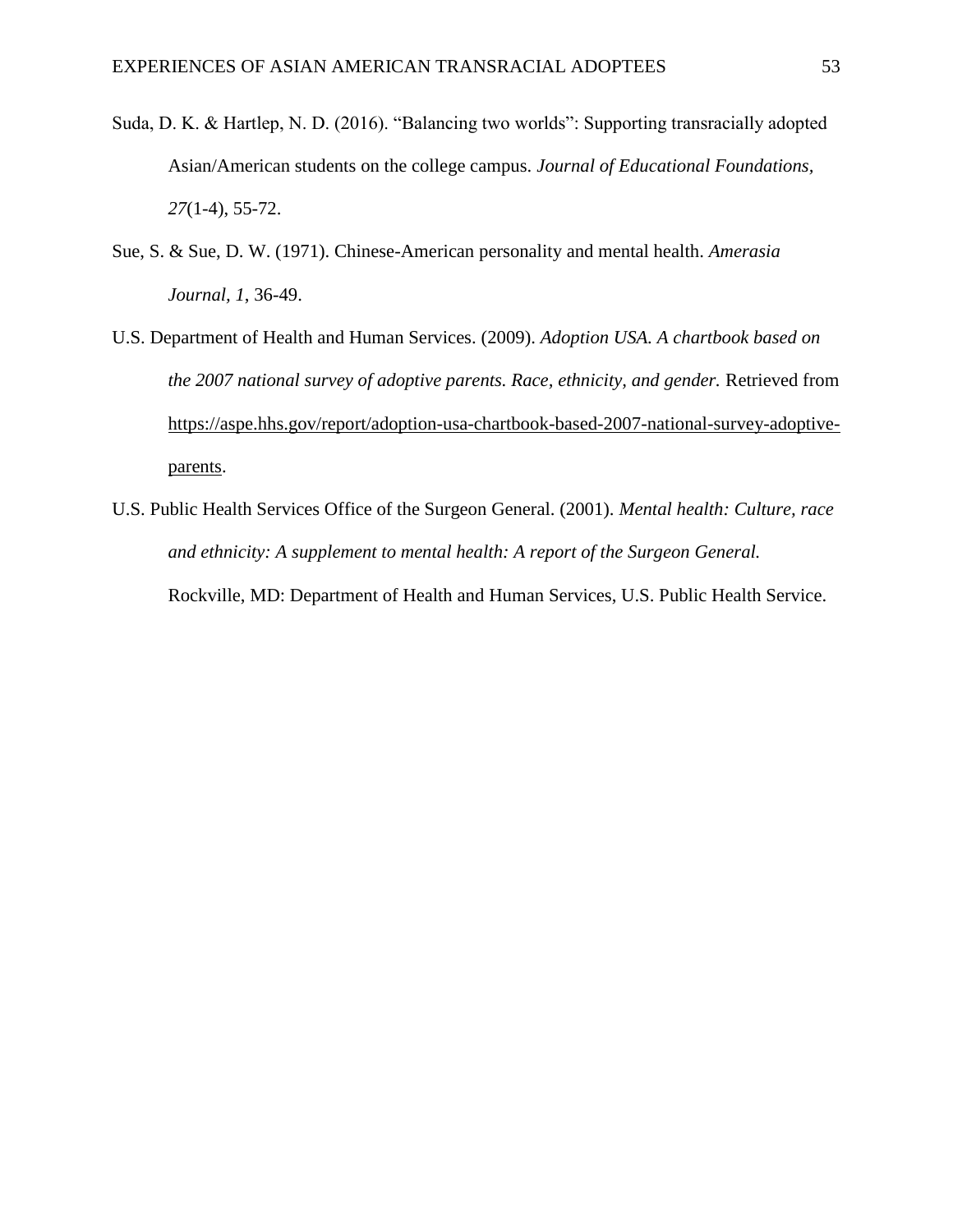- Suda, D. K. & Hartlep, N. D. (2016). "Balancing two worlds": Supporting transracially adopted Asian/American students on the college campus. *Journal of Educational Foundations, 27*(1-4), 55-72.
- Sue, S. & Sue, D. W. (1971). Chinese-American personality and mental health. *Amerasia Journal, 1*, 36-49.
- U.S. Department of Health and Human Services. (2009). *Adoption USA. A chartbook based on the 2007 national survey of adoptive parents. Race, ethnicity, and gender.* Retrieved from [https://aspe.hhs.gov/report/adoption-usa-chartbook-based-2007-national-survey-adoptive](https://aspe.hhs.gov/report/adoption-usa-chartbook-based-2007-national-survey-adoptive-parents)[parents.](https://aspe.hhs.gov/report/adoption-usa-chartbook-based-2007-national-survey-adoptive-parents)
- U.S. Public Health Services Office of the Surgeon General. (2001). *Mental health: Culture, race and ethnicity: A supplement to mental health: A report of the Surgeon General.*  Rockville, MD: Department of Health and Human Services, U.S. Public Health Service.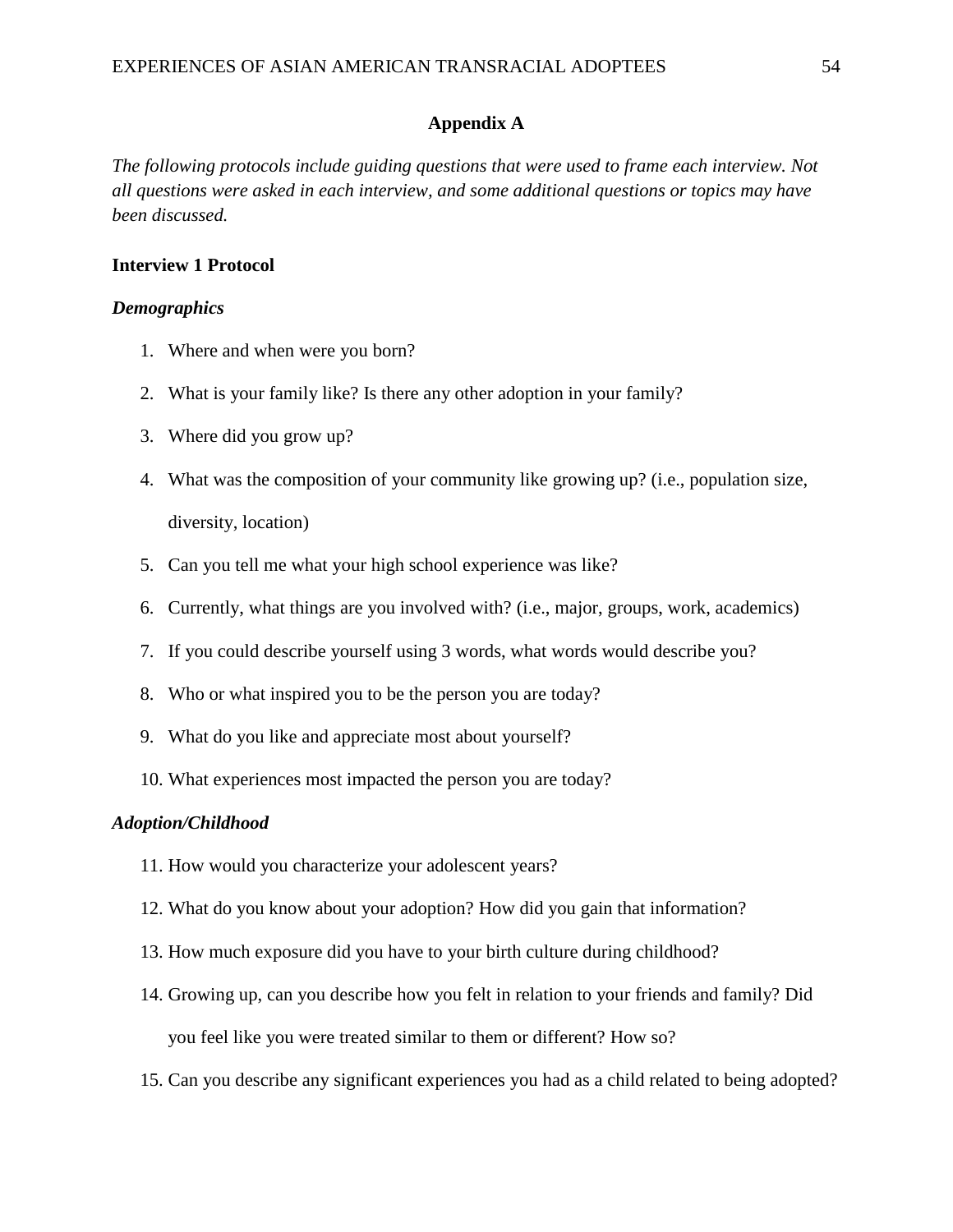# **Appendix A**

*The following protocols include guiding questions that were used to frame each interview. Not all questions were asked in each interview, and some additional questions or topics may have been discussed.*

# **Interview 1 Protocol**

## *Demographics*

- 1. Where and when were you born?
- 2. What is your family like? Is there any other adoption in your family?
- 3. Where did you grow up?
- 4. What was the composition of your community like growing up? (i.e., population size, diversity, location)
- 5. Can you tell me what your high school experience was like?
- 6. Currently, what things are you involved with? (i.e., major, groups, work, academics)
- 7. If you could describe yourself using 3 words, what words would describe you?
- 8. Who or what inspired you to be the person you are today?
- 9. What do you like and appreciate most about yourself?
- 10. What experiences most impacted the person you are today?

## *Adoption/Childhood*

- 11. How would you characterize your adolescent years?
- 12. What do you know about your adoption? How did you gain that information?
- 13. How much exposure did you have to your birth culture during childhood?
- 14. Growing up, can you describe how you felt in relation to your friends and family? Did you feel like you were treated similar to them or different? How so?
- 15. Can you describe any significant experiences you had as a child related to being adopted?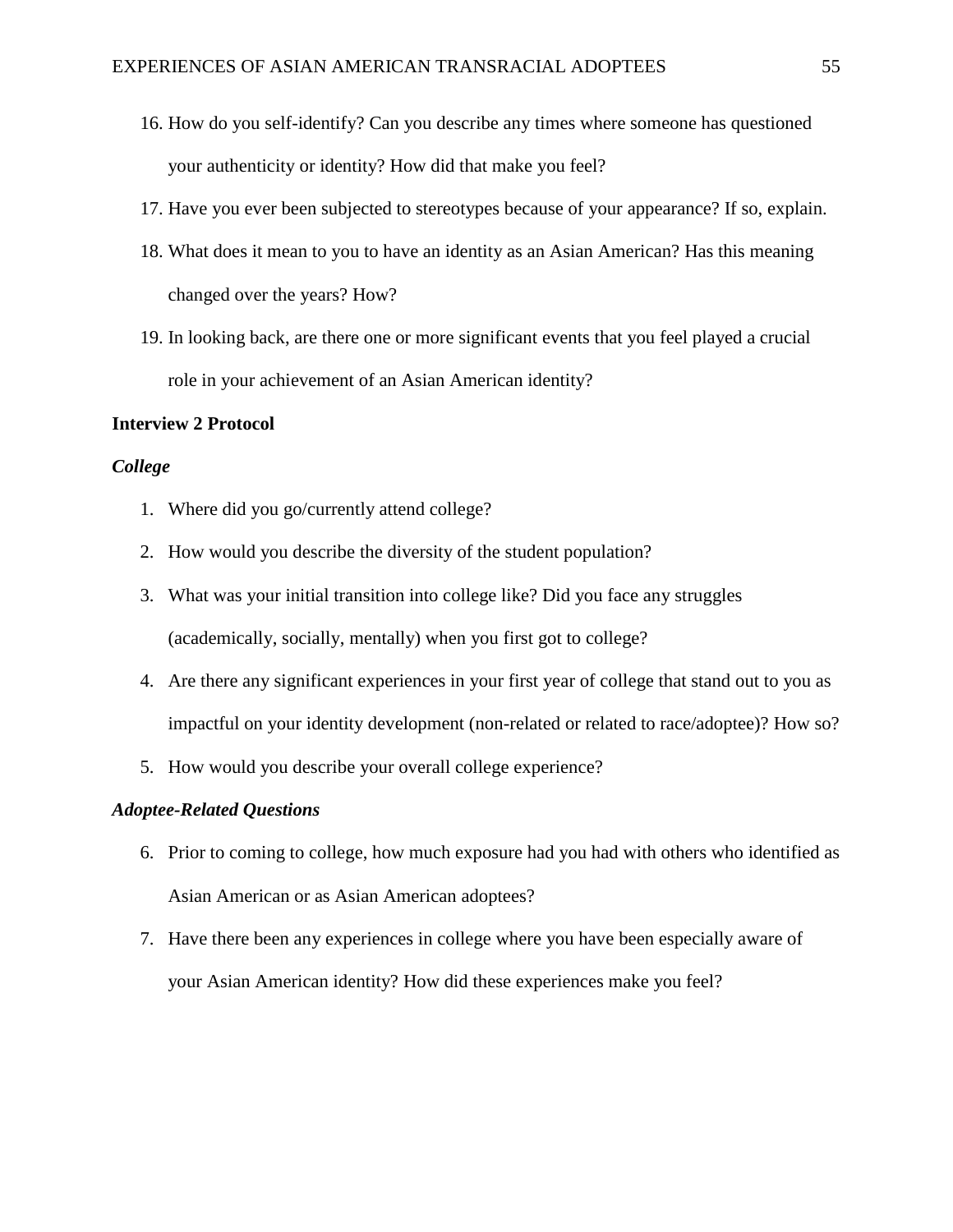- 16. How do you self-identify? Can you describe any times where someone has questioned your authenticity or identity? How did that make you feel?
- 17. Have you ever been subjected to stereotypes because of your appearance? If so, explain.
- 18. What does it mean to you to have an identity as an Asian American? Has this meaning changed over the years? How?
- 19. In looking back, are there one or more significant events that you feel played a crucial role in your achievement of an Asian American identity?

#### **Interview 2 Protocol**

#### *College*

- 1. Where did you go/currently attend college?
- 2. How would you describe the diversity of the student population?
- 3. What was your initial transition into college like? Did you face any struggles (academically, socially, mentally) when you first got to college?
- 4. Are there any significant experiences in your first year of college that stand out to you as impactful on your identity development (non-related or related to race/adoptee)? How so?
- 5. How would you describe your overall college experience?

# *Adoptee-Related Questions*

- 6. Prior to coming to college, how much exposure had you had with others who identified as Asian American or as Asian American adoptees?
- 7. Have there been any experiences in college where you have been especially aware of your Asian American identity? How did these experiences make you feel?